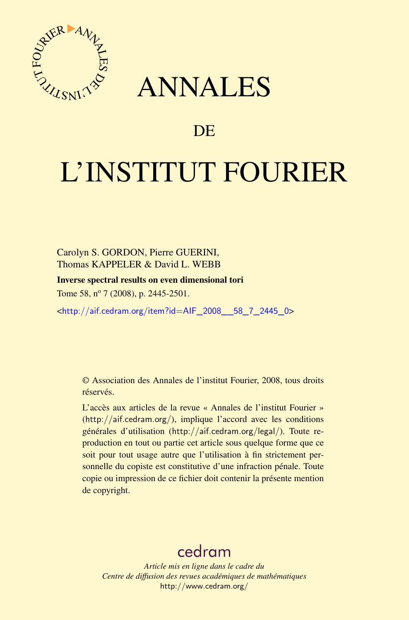

## ANNALES

### **DE**

# L'INSTITUT FOURIER

Carolyn S. GORDON, Pierre GUERINI, Thomas KAPPELER & David L. WEBB

Inverse spectral results on even dimensional tori

Tome 58, nº 7 (2008), p. 2445-2501.

<[http://aif.cedram.org/item?id=AIF\\_2008\\_\\_58\\_7\\_2445\\_0](http://aif.cedram.org/item?id=AIF_2008__58_7_2445_0)>

© Association des Annales de l'institut Fourier, 2008, tous droits réservés.

L'accès aux articles de la revue « Annales de l'institut Fourier » (<http://aif.cedram.org/>), implique l'accord avec les conditions générales d'utilisation (<http://aif.cedram.org/legal/>). Toute reproduction en tout ou partie cet article sous quelque forme que ce soit pour tout usage autre que l'utilisation à fin strictement personnelle du copiste est constitutive d'une infraction pénale. Toute copie ou impression de ce fichier doit contenir la présente mention de copyright.

## [cedram](http://www.cedram.org/)

*Article mis en ligne dans le cadre du Centre de diffusion des revues académiques de mathématiques* <http://www.cedram.org/>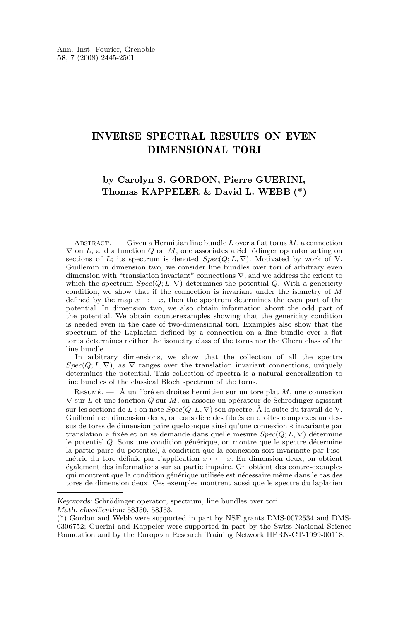#### INVERSE SPECTRAL RESULTS ON EVEN DIMENSIONAL TORI

#### **by Carolyn S. GORDON, Pierre GUERINI, Thomas KAPPELER & David L. WEBB (\*)**

ABSTRACT. — Given a Hermitian line bundle L over a flat torus  $M$ , a connection  $\nabla$  on L, and a function Q on M, one associates a Schrödinger operator acting on sections of L; its spectrum is denoted  $Spec(Q; L, \nabla)$ . Motivated by work of V. Guillemin in dimension two, we consider line bundles over tori of arbitrary even dimension with "translation invariant" connections  $\nabla$ , and we address the extent to which the spectrum  $Spec(Q; L, \nabla)$  determines the potential Q. With a genericity condition, we show that if the connection is invariant under the isometry of M defined by the map  $x \to -x$ , then the spectrum determines the even part of the potential. In dimension two, we also obtain information about the odd part of the potential. We obtain counterexamples showing that the genericity condition is needed even in the case of two-dimensional tori. Examples also show that the spectrum of the Laplacian defined by a connection on a line bundle over a flat torus determines neither the isometry class of the torus nor the Chern class of the line bundle.

In arbitrary dimensions, we show that the collection of all the spectra  $Spec(Q; L, \nabla)$ , as  $\nabla$  ranges over the translation invariant connections, uniquely determines the potential. This collection of spectra is a natural generalization to line bundles of the classical Bloch spectrum of the torus.

RÉSUMÉ.  $-$  À un fibré en droites hermitien sur un tore plat M, une connexion  $\nabla$  sur L et une fonction Q sur M, on associe un opérateur de Schrödinger agissant sur les sections de L; on note  $Spec(Q; L, \nabla)$  son spectre. À la suite du travail de V. Guillemin en dimension deux, on considère des fibrés en droites complexes au dessus de tores de dimension paire quelconque ainsi qu'une connexion « invariante par translation » fixée et on se demande dans quelle mesure  $Spec(Q; L, \nabla)$  détermine le potentiel Q. Sous une condition générique, on montre que le spectre détermine la partie paire du potentiel, à condition que la connexion soit invariante par l'isométrie du tore définie par l'application  $x \mapsto -x$ . En dimension deux, on obtient également des informations sur sa partie impaire. On obtient des contre-exemples qui montrent que la condition générique utilisée est nécessaire même dans le cas des tores de dimension deux. Ces exemples montrent aussi que le spectre du laplacien

*Keywords:* Schrödinger operator, spectrum, line bundles over tori.

*Math. classification:* 58J50, 58J53.

<sup>(\*)</sup> Gordon and Webb were supported in part by NSF grants DMS-0072534 and DMS-0306752; Guerini and Kappeler were supported in part by the Swiss National Science Foundation and by the European Research Training Network HPRN-CT-1999-00118.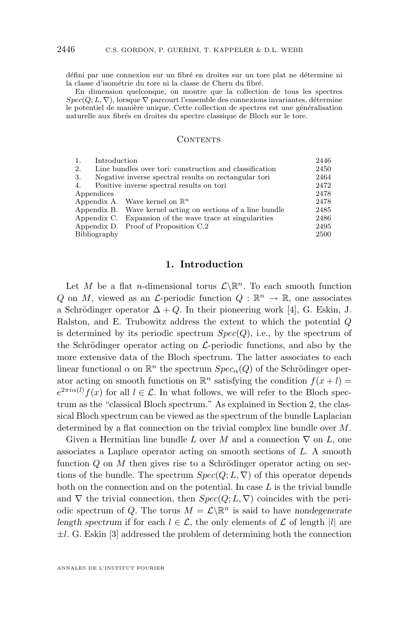défini par une connexion sur un fibré en droites sur un tore plat ne détermine ni la classe d'isométrie du tore ni la classe de Chern du fibré.

En dimension quelconque, on montre que la collection de tous les spectres  $Spec(Q; L, \nabla)$ , lorsque  $\nabla$  parcourt l'ensemble des connexions invariantes, détermine le potentiel de manière unique. Cette collection de spectres est une généralisation naturelle aux fibrés en droites du spectre classique de Bloch sur le tore.

#### CONTENTS

| Introduction<br>1.                                            |                                                             | 2446 |
|---------------------------------------------------------------|-------------------------------------------------------------|------|
| 2.<br>Line bundles over tori: construction and classification |                                                             | 2450 |
| 3.<br>Negative inverse spectral results on rectangular tori   |                                                             | 2464 |
| Positive inverse spectral results on tori<br>4.               |                                                             | 2472 |
| Appendices                                                    |                                                             | 2478 |
|                                                               | Appendix A. Wave kernel on $\mathbb{R}^n$                   | 2478 |
|                                                               | Appendix B. Wave kernel acting on sections of a line bundle | 2485 |
|                                                               | Appendix C. Expansion of the wave trace at singularities    | 2486 |
|                                                               | Appendix D. Proof of Proposition C.2                        | 2495 |
| Bibliography                                                  |                                                             | 2500 |

#### **1. Introduction**

Let M be a flat n-dimensional torus  $\mathcal{L}\backslash\mathbb{R}^n$ . To each smooth function Q on M, viewed as an  $\mathcal{L}$ -periodic function  $Q : \mathbb{R}^n \to \mathbb{R}$ , one associates a Schrödinger operator  $\Delta + Q$ . In their pioneering work [\[4\]](#page-56-0), G. Eskin, J. Ralston, and E. Trubowitz address the extent to which the potential Q is determined by its periodic spectrum  $Spec(Q)$ , i.e., by the spectrum of the Schrödinger operator acting on  $\mathcal{L}$ -periodic functions, and also by the more extensive data of the Bloch spectrum. The latter associates to each linear functional  $\alpha$  on  $\mathbb{R}^n$  the spectrum  $Spec_{\alpha}(Q)$  of the Schrödinger operator acting on smooth functions on  $\mathbb{R}^n$  satisfying the condition  $f(x+l)$  $e^{2\pi i \alpha(l)} f(x)$  for all  $l \in \mathcal{L}$ . In what follows, we will refer to the Bloch spectrum as the "classical Bloch spectrum." As explained in Section [2,](#page-6-0) the classical Bloch spectrum can be viewed as the spectrum of the bundle Laplacian determined by a flat connection on the trivial complex line bundle over M.

Given a Hermitian line bundle L over M and a connection  $\nabla$  on L, one associates a Laplace operator acting on smooth sections of L. A smooth function  $Q$  on  $M$  then gives rise to a Schrödinger operator acting on sections of the bundle. The spectrum  $Spec(Q; L, \nabla)$  of this operator depends both on the connection and on the potential. In case  $L$  is the trivial bundle and  $\nabla$  the trivial connection, then  $Spec(Q; L, \nabla)$  coincides with the periodic spectrum of Q. The torus  $M = \mathcal{L} \backslash \mathbb{R}^n$  is said to have *nondegenerate length spectrum* if for each  $l \in \mathcal{L}$ , the only elements of  $\mathcal L$  of length |l| are  $\pm l$ . G. Eskin [\[3\]](#page-56-0) addressed the problem of determining both the connection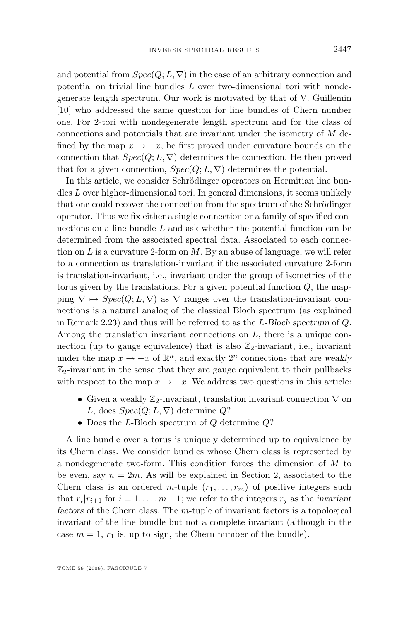and potential from  $Spec(Q; L, \nabla)$  in the case of an arbitrary connection and potential on trivial line bundles L over two-dimensional tori with nondegenerate length spectrum. Our work is motivated by that of V. Guillemin [\[10\]](#page-56-0) who addressed the same question for line bundles of Chern number one. For 2-tori with nondegenerate length spectrum and for the class of connections and potentials that are invariant under the isometry of  $M$  defined by the map  $x \to -x$ , he first proved under curvature bounds on the connection that  $Spec(Q; L, \nabla)$  determines the connection. He then proved that for a given connection,  $Spec(Q; L, \nabla)$  determines the potential.

In this article, we consider Schrödinger operators on Hermitian line bundles L over higher-dimensional tori. In general dimensions, it seems unlikely that one could recover the connection from the spectrum of the Schrödinger operator. Thus we fix either a single connection or a family of specified connections on a line bundle L and ask whether the potential function can be determined from the associated spectral data. Associated to each connection on  $L$  is a curvature 2-form on  $M$ . By an abuse of language, we will refer to a connection as translation-invariant if the associated curvature 2-form is translation-invariant, i.e., invariant under the group of isometries of the torus given by the translations. For a given potential function  $Q$ , the mapping  $\nabla \mapsto Spec(Q; L, \nabla)$  as  $\nabla$  ranges over the translation-invariant connections is a natural analog of the classical Bloch spectrum (as explained in Remark [2.23\)](#page-16-0) and thus will be referred to as the L*-Bloch spectrum* of Q. Among the translation invariant connections on  $L$ , there is a unique connection (up to gauge equivalence) that is also  $\mathbb{Z}_2$ -invariant, i.e., invariant under the map  $x \to -x$  of  $\mathbb{R}^n$ , and exactly  $2^n$  connections that are *weakly*  $\mathbb{Z}_2$ -invariant in the sense that they are gauge equivalent to their pullbacks with respect to the map  $x \to -x$ . We address two questions in this article:

- Given a weakly  $\mathbb{Z}_2$ -invariant, translation invariant connection  $\nabla$  on L, does  $Spec(Q; L, \nabla)$  determine Q?
- Does the L-Bloch spectrum of  $Q$  determine  $Q$ ?

A line bundle over a torus is uniquely determined up to equivalence by its Chern class. We consider bundles whose Chern class is represented by a nondegenerate two-form. This condition forces the dimension of M to be even, say  $n = 2m$ . As will be explained in Section 2, associated to the Chern class is an ordered m-tuple  $(r_1, \ldots, r_m)$  of positive integers such that  $r_i | r_{i+1}$  for  $i = 1, ..., m-1$ ; we refer to the integers  $r_j$  as the *invariant factors* of the Chern class. The m-tuple of invariant factors is a topological invariant of the line bundle but not a complete invariant (although in the case  $m = 1, r_1$  is, up to sign, the Chern number of the bundle).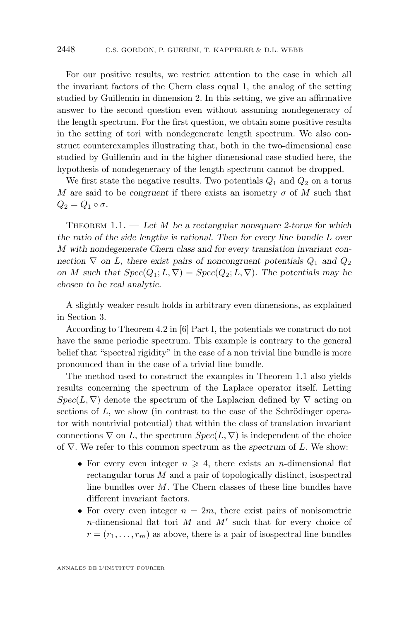<span id="page-4-0"></span>For our positive results, we restrict attention to the case in which all the invariant factors of the Chern class equal 1, the analog of the setting studied by Guillemin in dimension 2. In this setting, we give an affirmative answer to the second question even without assuming nondegeneracy of the length spectrum. For the first question, we obtain some positive results in the setting of tori with nondegenerate length spectrum. We also construct counterexamples illustrating that, both in the two-dimensional case studied by Guillemin and in the higher dimensional case studied here, the hypothesis of nondegeneracy of the length spectrum cannot be dropped.

We first state the negative results. Two potentials  $Q_1$  and  $Q_2$  on a torus M are said to be *congruent* if there exists an isometry  $\sigma$  of M such that  $Q_2 = Q_1 \circ \sigma.$ 

Theorem 1.1. — *Let* M *be a rectangular nonsquare 2-torus for which the ratio of the side lengths is rational. Then for every line bundle* L *over* M *with nondegenerate Chern class and for every translation invariant connection*  $\nabla$  *on L, there exist pairs of noncongruent potentials*  $Q_1$  *and*  $Q_2$ *on M* such that  $Spec(Q_1; L, \nabla) = Spec(Q_2; L, \nabla)$ . The potentials may be *chosen to be real analytic.*

A slightly weaker result holds in arbitrary even dimensions, as explained in Section 3.

According to Theorem 4.2 in [\[6\]](#page-56-0) Part I, the potentials we construct do not have the same periodic spectrum. This example is contrary to the general belief that "spectral rigidity" in the case of a non trivial line bundle is more pronounced than in the case of a trivial line bundle.

The method used to construct the examples in Theorem 1.1 also yields results concerning the spectrum of the Laplace operator itself. Letting  $Spec(L, \nabla)$  denote the spectrum of the Laplacian defined by  $\nabla$  acting on sections of L, we show (in contrast to the case of the Schrödinger operator with nontrivial potential) that within the class of translation invariant connections  $\nabla$  on L, the spectrum  $Spec(L, \nabla)$  is independent of the choice of ∇. We refer to this common spectrum as the *spectrum* of L. We show:

- For every even integer  $n \geq 4$ , there exists an *n*-dimensional flat rectangular torus M and a pair of topologically distinct, isospectral line bundles over M. The Chern classes of these line bundles have different invariant factors.
- For every even integer  $n = 2m$ , there exist pairs of nonisometric n-dimensional flat tori  $M$  and  $M'$  such that for every choice of  $r = (r_1, \ldots, r_m)$  as above, there is a pair of isospectral line bundles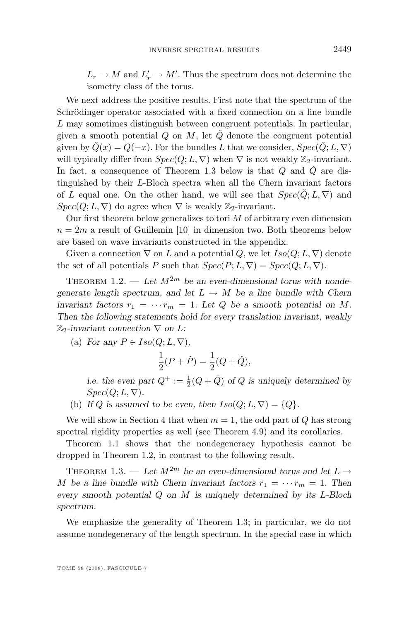<span id="page-5-0"></span> $L_r \to M$  and  $L'_r \to M'$ . Thus the spectrum does not determine the isometry class of the torus.

We next address the positive results. First note that the spectrum of the Schrödinger operator associated with a fixed connection on a line bundle L may sometimes distinguish between congruent potentials. In particular, given a smooth potential Q on M, let  $\check{Q}$  denote the congruent potential given by  $\check{Q}(x) = Q(-x)$ . For the bundles L that we consider,  $Spec(\check{Q}; L, \nabla)$ will typically differ from  $Spec(Q; L, \nabla)$  when  $\nabla$  is not weakly  $\mathbb{Z}_2$ -invariant. In fact, a consequence of Theorem 1.3 below is that  $Q$  and  $\dot{Q}$  are distinguished by their L-Bloch spectra when all the Chern invariant factors of L equal one. On the other hand, we will see that  $Spec(\check{Q};L,\nabla)$  and  $Spec(Q; L, \nabla)$  do agree when  $\nabla$  is weakly  $\mathbb{Z}_2$ -invariant.

Our first theorem below generalizes to tori  $M$  of arbitrary even dimension  $n = 2m$  a result of Guillemin [\[10\]](#page-56-0) in dimension two. Both theorems below are based on wave invariants constructed in the appendix.

Given a connection  $\nabla$  on L and a potential Q, we let  $Iso(Q; L, \nabla)$  denote the set of all potentials P such that  $Spec(P; L, \nabla) = Spec(Q; L, \nabla)$ .

THEOREM 1.2. — Let  $M^{2m}$  be an even-dimensional torus with nonde*generate length spectrum, and let*  $L \rightarrow M$  *be a line bundle with Chern invariant factors*  $r_1 = \cdots r_m = 1$ *. Let* Q *be a smooth potential on* M. *Then the following statements hold for every translation invariant, weakly*  $\mathbb{Z}_2$ -invariant connection  $\nabla$  on  $L$ :

(a) *For any*  $P \in Iso(Q; L, \nabla)$ ,

$$
\frac{1}{2}(P + \check{P}) = \frac{1}{2}(Q + \check{Q}),
$$

*i.e. the even part*  $Q^+ := \frac{1}{2}(Q + \check{Q})$  *of*  $Q$  *is uniquely determined by*  $Spec(Q; L, \nabla).$ 

(b) If Q is assumed to be even, then  $Iso(Q; L, \nabla) = \{Q\}.$ 

We will show in Section [4](#page-28-0) that when  $m = 1$ , the odd part of Q has strong spectral rigidity properties as well (see Theorem [4.9\)](#page-32-0) and its corollaries.

Theorem [1.1](#page-4-0) shows that the nondegeneracy hypothesis cannot be dropped in Theorem 1.2, in contrast to the following result.

THEOREM 1.3. — Let  $M^{2m}$  be an even-dimensional torus and let  $L \rightarrow$ M be a line bundle with Chern invariant factors  $r_1 = \cdots r_m = 1$ . Then *every smooth potential* Q *on* M *is uniquely determined by its* L*-Bloch spectrum.*

We emphasize the generality of Theorem 1.3; in particular, we do not assume nondegeneracy of the length spectrum. In the special case in which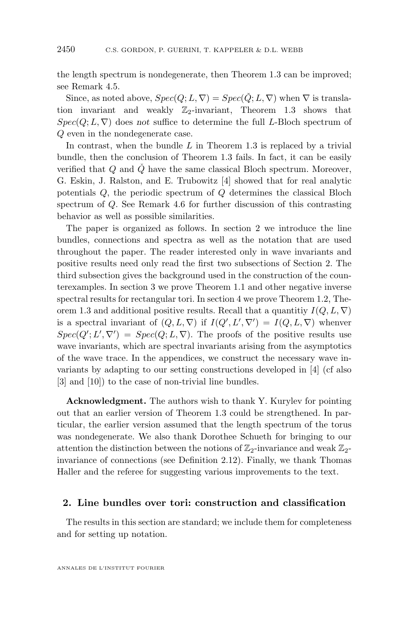<span id="page-6-0"></span>the length spectrum is nondegenerate, then Theorem [1.3](#page-5-0) can be improved; see Remark [4.5.](#page-30-0)

Since, as noted above,  $Spec(Q; L, \nabla) = Spec(\check{Q}; L, \nabla)$  when  $\nabla$  is translation invariant and weakly  $\mathbb{Z}_2$ -invariant, Theorem [1.3](#page-5-0) shows that  $Spec(Q; L, \nabla)$  does *not* suffice to determine the full L-Bloch spectrum of Q even in the nondegenerate case.

In contrast, when the bundle  $L$  in Theorem [1.3](#page-5-0) is replaced by a trivial bundle, then the conclusion of Theorem [1.3](#page-5-0) fails. In fact, it can be easily verified that  $Q$  and  $\check{Q}$  have the same classical Bloch spectrum. Moreover, G. Eskin, J. Ralston, and E. Trubowitz [\[4\]](#page-56-0) showed that for real analytic potentials Q, the periodic spectrum of Q determines the classical Bloch spectrum of Q. See Remark [4.6](#page-31-0) for further discussion of this contrasting behavior as well as possible similarities.

The paper is organized as follows. In section 2 we introduce the line bundles, connections and spectra as well as the notation that are used throughout the paper. The reader interested only in wave invariants and positive results need only read the first two subsections of Section 2. The third subsection gives the background used in the construction of the counterexamples. In section [3](#page-20-0) we prove Theorem [1.1](#page-4-0) and other negative inverse spectral results for rectangular tori. In section [4](#page-28-0) we prove Theorem [1.2,](#page-5-0) The-orem [1.3](#page-5-0) and additional positive results. Recall that a quantitiy  $I(Q, L, \nabla)$ is a spectral invariant of  $(Q, L, \nabla)$  if  $I(Q', L', \nabla') = I(Q, L, \nabla)$  whenver  $Spec(Q'; L', \nabla') = Spec(Q; L, \nabla)$ . The proofs of the positive results use wave invariants, which are spectral invariants arising from the asymptotics of the wave trace. In the appendices, we construct the necessary wave invariants by adapting to our setting constructions developed in [\[4\]](#page-56-0) (cf also [\[3\]](#page-56-0) and [\[10\]](#page-56-0)) to the case of non-trivial line bundles.

**Acknowledgment.** The authors wish to thank Y. Kurylev for pointing out that an earlier version of Theorem [1.3](#page-5-0) could be strengthened. In particular, the earlier version assumed that the length spectrum of the torus was nondegenerate. We also thank Dorothee Schueth for bringing to our attention the distinction between the notions of  $\mathbb{Z}_2$ -invariance and weak  $\mathbb{Z}_2$ invariance of connections (see Definition [2.12\)](#page-11-0). Finally, we thank Thomas Haller and the referee for suggesting various improvements to the text.

#### **2. Line bundles over tori: construction and classification**

The results in this section are standard; we include them for completeness and for setting up notation.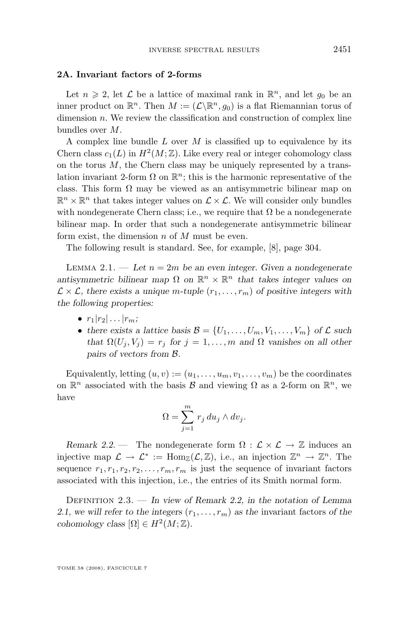#### <span id="page-7-0"></span>**2A. Invariant factors of 2-forms**

Let  $n \geqslant 2$ , let  $\mathcal L$  be a lattice of maximal rank in  $\mathbb R^n$ , and let  $g_0$  be an inner product on  $\mathbb{R}^n$ . Then  $M := (\mathcal{L} \backslash \mathbb{R}^n, g_0)$  is a flat Riemannian torus of dimension  $n$ . We review the classification and construction of complex line bundles over M.

A complex line bundle  $L$  over  $M$  is classified up to equivalence by its Chern class  $c_1(L)$  in  $H^2(M;\mathbb{Z})$ . Like every real or integer cohomology class on the torus  $M$ , the Chern class may be uniquely represented by a translation invariant 2-form  $\Omega$  on  $\mathbb{R}^n$ ; this is the harmonic representative of the class. This form  $\Omega$  may be viewed as an antisymmetric bilinear map on  $\mathbb{R}^n \times \mathbb{R}^n$  that takes integer values on  $\mathcal{L} \times \mathcal{L}$ . We will consider only bundles with nondegenerate Chern class; i.e., we require that  $\Omega$  be a nondegenerate bilinear map. In order that such a nondegenerate antisymmetric bilinear form exist, the dimension  $n$  of  $M$  must be even.

The following result is standard. See, for example, [\[8\]](#page-56-0), page 304.

LEMMA 2.1.  $\qquad$  *Let*  $n = 2m$  *be an even integer. Given a nondegenerate antisymmetric bilinear map*  $\Omega$  *on*  $\mathbb{R}^n \times \mathbb{R}^n$  *that takes integer values on*  $\mathcal{L} \times \mathcal{L}$ , there exists a unique m-tuple  $(r_1, \ldots, r_m)$  of positive integers with *the following properties:*

- $\bullet$   $r_1|r_2| \dots |r_m;$
- there exists a lattice basis  $\mathcal{B} = \{U_1, \ldots, U_m, V_1, \ldots, V_m\}$  of  $\mathcal{L}$  such *that*  $\Omega(U_i, V_j) = r_j$  *for*  $j = 1, ..., m$  *and*  $\Omega$  *vanishes on all other pairs of vectors from* B*.*

Equivalently, letting  $(u, v) := (u_1, \ldots, u_m, v_1, \ldots, v_m)$  be the coordinates on  $\mathbb{R}^n$  associated with the basis  $\mathcal{B}$  and viewing  $\Omega$  as a 2-form on  $\mathbb{R}^n$ , we have

$$
\Omega = \sum_{j=1}^{m} r_j du_j \wedge dv_j.
$$

*Remark 2.2.* — The nondegenerate form  $\Omega : \mathcal{L} \times \mathcal{L} \rightarrow \mathbb{Z}$  induces an injective map  $\mathcal{L} \to \mathcal{L}^* := \text{Hom}_{\mathbb{Z}}(\mathcal{L}, \mathbb{Z}),$  i.e., an injection  $\mathbb{Z}^n \to \mathbb{Z}^n$ . The sequence  $r_1, r_1, r_2, r_2, \ldots, r_m, r_m$  is just the sequence of invariant factors associated with this injection, i.e., the entries of its Smith normal form.

Definition 2.3. — *In view of Remark 2.2, in the notation of Lemma* 2.1, we will refer to the integers  $(r_1, \ldots, r_m)$  as the invariant factors of the *cohomology class*  $[\Omega] \in H^2(M; \mathbb{Z})$ *.*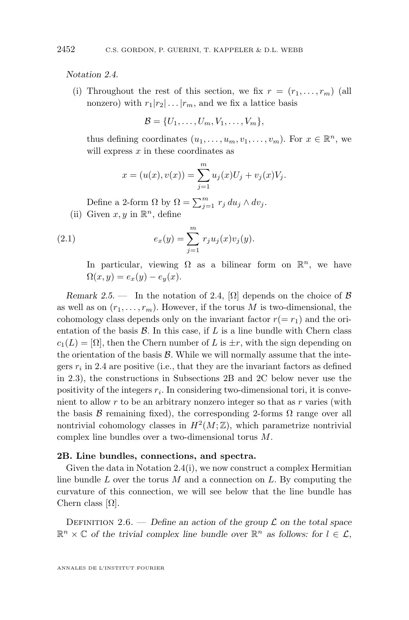<span id="page-8-0"></span>*Notation 2.4.*

(i) Throughout the rest of this section, we fix  $r = (r_1, \ldots, r_m)$  (all nonzero) with  $r_1|r_2| \dots |r_m$ , and we fix a lattice basis

$$
\mathcal{B} = \{U_1, \ldots, U_m, V_1, \ldots, V_m\},\
$$

thus defining coordinates  $(u_1, \ldots, u_m, v_1, \ldots, v_m)$ . For  $x \in \mathbb{R}^n$ , we will express  $x$  in these coordinates as

$$
x = (u(x), v(x)) = \sum_{j=1}^{m} u_j(x)U_j + v_j(x)V_j.
$$

Define a 2-form  $\Omega$  by  $\Omega = \sum_{j=1}^{m} r_j du_j \wedge dv_j$ . (ii) Given  $x, y$  in  $\mathbb{R}^n$ , define

(2.1) 
$$
e_x(y) = \sum^m r_j u_j(x) v_j(y).
$$

$$
c_x(y) = \sum_{j=1}^{r} f_j \omega_j(x) c_j(y).
$$
  
In particular, viewing  $Q$  as a bilinear form on

In particular, viewing  $\Omega$  as a bilinear form on  $\mathbb{R}^n$ , we have  $\Omega(x, y) = e_x(y) - e_y(x).$ 

*Remark 2.5.* — In the notation of 2.4,  $[\Omega]$  depends on the choice of  $\beta$ as well as on  $(r_1, \ldots, r_m)$ . However, if the torus M is two-dimensional, the cohomology class depends only on the invariant factor  $r(= r_1)$  and the orientation of the basis  $\mathcal{B}$ . In this case, if  $L$  is a line bundle with Chern class  $c_1(L) = [\Omega]$ , then the Chern number of L is  $\pm r$ , with the sign depending on the orientation of the basis  $\mathcal{B}$ . While we will normally assume that the integers  $r_i$  in 2.4 are positive (i.e., that they are the invariant factors as defined in [2.3\)](#page-7-0), the constructions in Subsections 2B and 2C below never use the positivity of the integers  $r_i$ . In considering two-dimensional tori, it is convenient to allow  $r$  to be an arbitrary nonzero integer so that as  $r$  varies (with the basis  $\beta$  remaining fixed), the corresponding 2-forms  $\Omega$  range over all nontrivial cohomology classes in  $H^2(M; \mathbb{Z})$ , which parametrize nontrivial complex line bundles over a two-dimensional torus M.

#### **2B. Line bundles, connections, and spectra.**

Given the data in Notation 2.4(i), we now construct a complex Hermitian line bundle L over the torus M and a connection on L. By computing the curvature of this connection, we will see below that the line bundle has Chern class  $|\Omega|$ .

DEFINITION 2.6. — *Define an action of the group*  $\mathcal L$  *on the total space*  $\mathbb{R}^n \times \mathbb{C}$  of the trivial complex line bundle over  $\mathbb{R}^n$  as follows: for  $l \in \mathcal{L}$ ,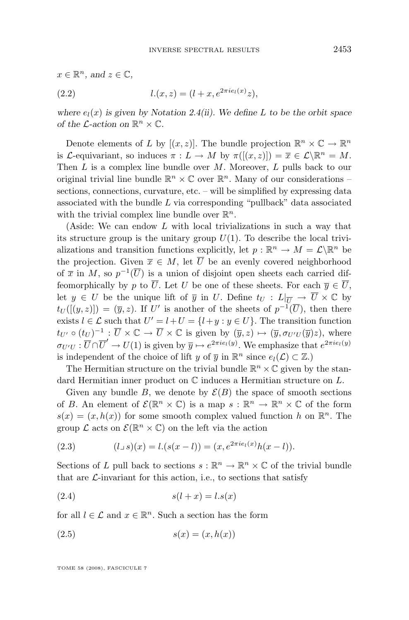<span id="page-9-0"></span>
$$
x \in \mathbb{R}^n
$$
, and  $z \in \mathbb{C}$ ,  
(2.2) 
$$
l.(x, z) = (l + x, e^{2\pi i e_l(x)}z),
$$

where  $e_l(x)$  *is given by Notation [2.4\(](#page-8-0)ii).* We define L to be the orbit space *of the L*-action on  $\mathbb{R}^n \times \mathbb{C}$ .

Denote elements of L by  $[(x, z)]$ . The bundle projection  $\mathbb{R}^n \times \mathbb{C} \to \mathbb{R}^n$ is L-equivariant, so induces  $\pi: L \to M$  by  $\pi([ (x, z) ]) = \overline{x} \in L \setminus \mathbb{R}^n = M$ . Then  $L$  is a complex line bundle over  $M$ . Moreover,  $L$  pulls back to our original trivial line bundle  $\mathbb{R}^n \times \mathbb{C}$  over  $\mathbb{R}^n$ . Many of our considerations – sections, connections, curvature, etc. – will be simplified by expressing data associated with the bundle  $L$  via corresponding "pullback" data associated with the trivial complex line bundle over  $\mathbb{R}^n$ .

(Aside: We can endow L with local trivializations in such a way that its structure group is the unitary group  $U(1)$ . To describe the local trivializations and transition functions explicitly, let  $p : \mathbb{R}^n \to M = \mathcal{L} \backslash \mathbb{R}^n$  be the projection. Given  $\overline{x} \in M$ , let  $\overline{U}$  be an evenly covered neighborhood of  $\bar{x}$  in M, so  $p^{-1}(\bar{U})$  is a union of disjoint open sheets each carried diffeomorphically by p to  $\overline{U}$ . Let U be one of these sheets. For each  $\overline{y} \in \overline{U}$ , let  $y \in U$  be the unique lift of  $\overline{y}$  in U. Define  $t_U : L|_{\overline{U}} \to \overline{U} \times \mathbb{C}$  by  $t_U([y,z]) = (\overline{y}, z)$ . If U' is another of the sheets of  $p^{-1}(\overline{U})$ , then there exists  $l \in \mathcal{L}$  such that  $U' = l + U = \{l + y : y \in U\}$ . The transition function  $t_{U'} \circ (t_U)^{-1} : \overline{U} \times \mathbb{C} \to \overline{U} \times \mathbb{C}$  is given by  $(\overline{y}, z) \mapsto (\overline{y}, \sigma_{U'U}(\overline{y})z)$ , where  $\sigma_{U'U} : \overline{U} \cap \overline{U}' \to U(1)$  is given by  $\overline{y} \mapsto e^{2\pi i e_l(y)}$ . We emphasize that  $e^{2\pi i e_l(y)}$ is independent of the choice of lift y of  $\overline{y}$  in  $\mathbb{R}^n$  since  $e_l(\mathcal{L}) \subset \mathbb{Z}$ .

The Hermitian structure on the trivial bundle  $\mathbb{R}^n \times \mathbb{C}$  given by the standard Hermitian inner product on C induces a Hermitian structure on L.

Given any bundle B, we denote by  $\mathcal{E}(B)$  the space of smooth sections of B. An element of  $\mathcal{E}(\mathbb{R}^n \times \mathbb{C})$  is a map  $s : \mathbb{R}^n \to \mathbb{R}^n \times \mathbb{C}$  of the form  $s(x) = (x, h(x))$  for some smooth complex valued function h on  $\mathbb{R}^n$ . The group  $\mathcal L$  acts on  $\mathcal E(\mathbb R^n\times\mathbb C)$  on the left via the action

(2.3) 
$$
(l \cup s)(x) = l.(s(x - l)) = (x, e^{2\pi i e_l(x)}h(x - l)).
$$

Sections of L pull back to sections  $s : \mathbb{R}^n \to \mathbb{R}^n \times \mathbb{C}$  of the trivial bundle that are  $\mathcal{L}$ -invariant for this action, i.e., to sections that satisfy

$$
(2.4) \qquad \qquad s(l+x) = l.s(x)
$$

for all  $l \in \mathcal{L}$  and  $x \in \mathbb{R}^n$ . Such a section has the form

$$
(2.5) \qquad \qquad s(x) = (x, h(x))
$$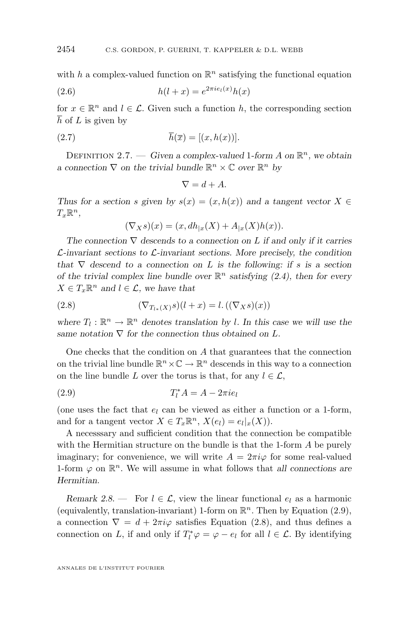<span id="page-10-0"></span>with h a complex-valued function on  $\mathbb{R}^n$  satisfying the functional equation

(2.6) 
$$
h(l+x) = e^{2\pi i e_l(x)}h(x)
$$

for  $x \in \mathbb{R}^n$  and  $l \in \mathcal{L}$ . Given such a function h, the corresponding section  $\overline{h}$  of L is given by

(2.7) 
$$
\overline{h}(\overline{x}) = [(x, h(x))].
$$

DEFINITION 2.7. — *Given a complex-valued* 1-form A on  $\mathbb{R}^n$ , we obtain *a* connection  $\nabla$  on the trivial bundle  $\mathbb{R}^n \times \mathbb{C}$  over  $\mathbb{R}^n$  by

$$
\nabla = d + A.
$$

*Thus for a section s given by*  $s(x) = (x, h(x))$  *and a tangent vector*  $X \in$  $T_x \mathbb{R}^n$ ,

$$
(\nabla_X s)(x) = (x, dh_{|x}(X) + A_{|x}(X)h(x)).
$$

*The connection* ∇ *descends to a connection on* L *if and only if it carries* L*-invariant sections to* L*-invariant sections. More precisely, the condition that*  $\nabla$  *descend to a connection on L is the following: if s is a section of the trivial complex line bundle over*  $\mathbb{R}^n$  *satisfying [\(2.4\)](#page-9-0), then for every*  $X \in T_x \mathbb{R}^n$  and  $l \in \mathcal{L}$ , we have that

(2.8) 
$$
(\nabla_{T_{l*}(X)}s)(l+x) = l. ((\nabla_X s)(x))
$$

where  $T_l : \mathbb{R}^n \to \mathbb{R}^n$  denotes translation by *l*. In this case we will use the same notation  $\nabla$  for the connection thus obtained on L.

One checks that the condition on A that guarantees that the connection on the trivial line bundle  $\mathbb{R}^n \times \mathbb{C} \to \mathbb{R}^n$  descends in this way to a connection on the line bundle L over the torus is that, for any  $l \in \mathcal{L}$ ,

$$
(2.9) \t\t T_l^* A = A - 2\pi i e_l
$$

(one uses the fact that  $e_l$  can be viewed as either a function or a 1-form, and for a tangent vector  $X \in T_x \mathbb{R}^n$ ,  $X(e_l) = e_l |_x(X)$ .

A necesssary and sufficient condition that the connection be compatible with the Hermitian structure on the bundle is that the 1-form A be purely imaginary; for convenience, we will write  $A = 2\pi i \varphi$  for some real-valued 1-form  $\varphi$  on  $\mathbb{R}^n$ . We will assume in what follows that *all connections are Hermitian*.

*Remark 2.8.* — For  $l \in \mathcal{L}$ , view the linear functional  $e_l$  as a harmonic (equivalently, translation-invariant) 1-form on  $\mathbb{R}^n$ . Then by Equation (2.9), a connection  $\nabla = d + 2\pi i \varphi$  satisfies Equation (2.8), and thus defines a connection on L, if and only if  $T_l^* \varphi = \varphi - e_l$  for all  $l \in \mathcal{L}$ . By identifying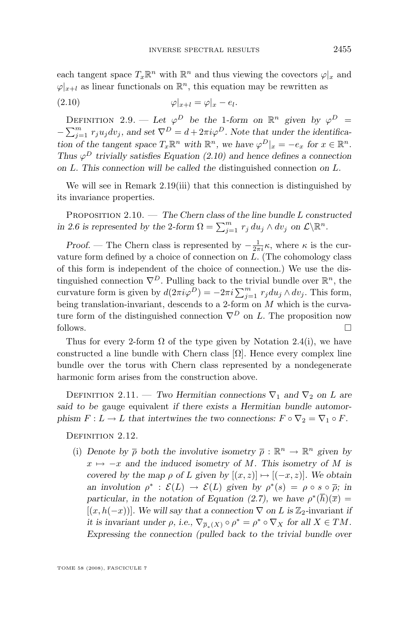<span id="page-11-0"></span>
$$
\varphi|_{x+l} = \varphi|_x - e_l.
$$

DEFINITION 2.9. — Let  $\varphi^D$  be the 1-form on  $\mathbb{R}^n$  given by  $\varphi^D$  =  $-\sum_{j=1}^{m} r_j u_j dv_j$ , and set  $\nabla^D = d + 2\pi i \varphi^D$ . Note that under the identifica*tion of the tangent space*  $T_x \mathbb{R}^n$  *with*  $\mathbb{R}^n$ *, we have*  $\varphi^D|_x = -e_x$  *for*  $x \in \mathbb{R}^n$ *. Thus*  $\varphi^D$  *trivially satisfies Equation (2.10) and hence defines a connection on* L*. This connection will be called the* distinguished connection *on* L*.*

We will see in Remark [2.19\(](#page-14-0)iii) that this connection is distinguished by its invariance properties.

Proposition 2.10. — *The Chern class of the line bundle* L *constructed in* [2.6](#page-8-0) *is represented by the* 2*-form*  $\Omega = \sum_{j=1}^{m} r_j du_j \wedge dv_j$  *on*  $\mathcal{L}\backslash \mathbb{R}^n$ *.* 

*Proof.* — The Chern class is represented by  $-\frac{1}{2\pi i}\kappa$ , where  $\kappa$  is the curvature form defined by a choice of connection on  $L$ . (The cohomology class of this form is independent of the choice of connection.) We use the distinguished connection  $\nabla^D$ . Pulling back to the trivial bundle over  $\mathbb{R}^n$ , the curvature form is given by  $d(2\pi i\varphi^D) = -2\pi i \sum_{j=1}^m r_j du_j \wedge dv_j$ . This form, being translation-invariant, descends to a 2-form on M which is the curvature form of the distinguished connection  $\nabla^D$  on L. The proposition now follows.

Thus for every 2-form  $\Omega$  of the type given by Notation [2.4\(](#page-8-0)i), we have constructed a line bundle with Chern class  $[\Omega]$ . Hence every complex line bundle over the torus with Chern class represented by a nondegenerate harmonic form arises from the construction above.

DEFINITION 2.11. — *Two Hermitian connections*  $\nabla_1$  *and*  $\nabla_2$  *on* L *are said to be* gauge equivalent *if there exists a Hermitian bundle automorphism*  $F: L \to L$  *that intertwines the two connections:*  $F \circ \nabla_2 = \nabla_1 \circ F$ .

DEFINITION 2.12.

(i) *Denote by*  $\bar{\rho}$  *both the involutive isometry*  $\bar{\rho}$  :  $\mathbb{R}^n \to \mathbb{R}^n$  given by  $x \mapsto -x$  and the induced isometry of M. This isometry of M is *covered by the map*  $\rho$  *of* L given by  $[(x, z)] \mapsto [(-x, z)]$ *. We obtain an involution*  $\rho^* : \mathcal{E}(L) \to \mathcal{E}(L)$  given by  $\rho^*(s) = \rho \circ s \circ \overline{\rho}$ ; in *particular, in the notation of Equation [\(2.7\)](#page-10-0), we have*  $\rho^*(\overline{h})(\overline{x}) =$  $[(x, h(-x))]$ *. We will say that a connection*  $\nabla$  *on* L is Z<sub>2</sub>-invariant *if it is invariant under*  $\rho$ , *i.e.*,  $\nabla_{\overline{\rho}_*(X)} \circ \rho^* = \rho^* \circ \nabla_X$  for all  $X \in TM$ . *Expressing the connection (pulled back to the trivial bundle over*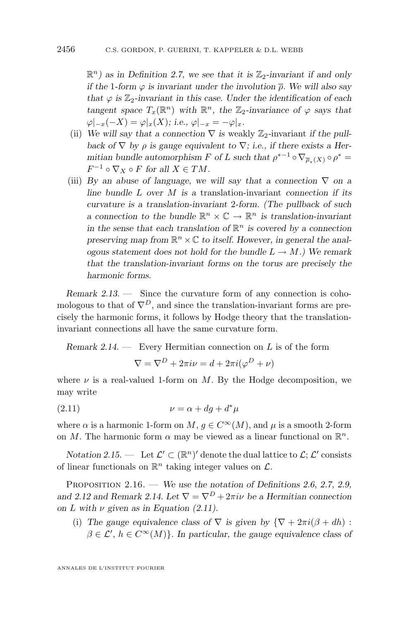<span id="page-12-0"></span> $\mathbb{R}^n$ ) as in Definition [2.7,](#page-10-0) we see that it is  $\mathbb{Z}_2$ -invariant if and only *if the* 1*-form*  $\varphi$  *is invariant under the involution*  $\bar{\rho}$ *. We will also say that*  $\varphi$  *is*  $\mathbb{Z}_2$ -invariant in this case. Under the identification of each *tangent space*  $T_x(\mathbb{R}^n)$  *with*  $\mathbb{R}^n$ *, the*  $\mathbb{Z}_2$ *-invariance of*  $\varphi$  *says that*  $\varphi|_{-x}(-X) = \varphi|_{x}(X);$  *i.e.*,  $\varphi|_{-x} = -\varphi|_{x}$ .

- (ii) We will say that a connection  $\nabla$  is weakly  $\mathbb{Z}_2$ -invariant *if the pullback of*  $\nabla$  *by*  $\rho$  *is gauge equivalent to*  $\nabla$ *; i.e., if there exists a Hermitian bundle automorphism F of L such that*  $\rho^{*-1} \circ \nabla_{\overline{\rho}_*(X)} \circ \rho^* =$  $F^{-1} \circ \nabla_X \circ F$  for all  $X \in TM$ .
- (iii) *By an abuse of language, we will say that a connection*  $\nabla$  *on a line bundle* L *over* M *is a* translation-invariant *connection if its curvature is a translation-invariant* 2*-form. (The pullback of such a* connection to the bundle  $\mathbb{R}^n \times \mathbb{C} \to \mathbb{R}^n$  is translation-invariant in the sense that each translation of  $\mathbb{R}^n$  is covered by a connection preserving map from  $\mathbb{R}^n \times \mathbb{C}$  to itself. However, in general the anal*ogous statement does not hold for the bundle*  $L \rightarrow M$ *.) We remark that the translation-invariant forms on the torus are precisely the harmonic forms.*

*Remark 2.13. —* Since the curvature form of any connection is cohomologous to that of  $\nabla^D$ , and since the translation-invariant forms are precisely the harmonic forms, it follows by Hodge theory that the translationinvariant connections all have the same curvature form.

*Remark 2.14. —* Every Hermitian connection on L is of the form

$$
\nabla = \nabla^D + 2\pi i \nu = d + 2\pi i (\varphi^D + \nu)
$$

where  $\nu$  is a real-valued 1-form on M. By the Hodge decomposition, we may write

$$
(2.11) \t\t\t \nu = \alpha + dg + d^*\mu
$$

where  $\alpha$  is a harmonic 1-form on M,  $g \in C^{\infty}(M)$ , and  $\mu$  is a smooth 2-form on M. The harmonic form  $\alpha$  may be viewed as a linear functional on  $\mathbb{R}^n$ .

*Notation 2.15.* — Let  $\mathcal{L}' \subset (\mathbb{R}^n)'$  denote the dual lattice to  $\mathcal{L}; \mathcal{L}'$  consists of linear functionals on  $\mathbb{R}^n$  taking integer values on  $\mathcal{L}$ .

Proposition 2.16. — *We use the notation of Definitions [2.6,](#page-8-0) [2.7,](#page-10-0) [2.9,](#page-11-0)* and [2.12](#page-11-0) and Remark 2.14. Let  $\nabla = \nabla^D + 2\pi i \nu$  be a Hermitian connection *on L* with  $\nu$  *given as in Equation (2.11).* 

(i) The gauge equivalence class of  $\nabla$  is given by  ${\nabla + 2\pi i(\beta + dh)}$ :  $\beta \in \mathcal{L}'$ ,  $h \in C^{\infty}(M)$ *. In particular, the gauge equivalence class of*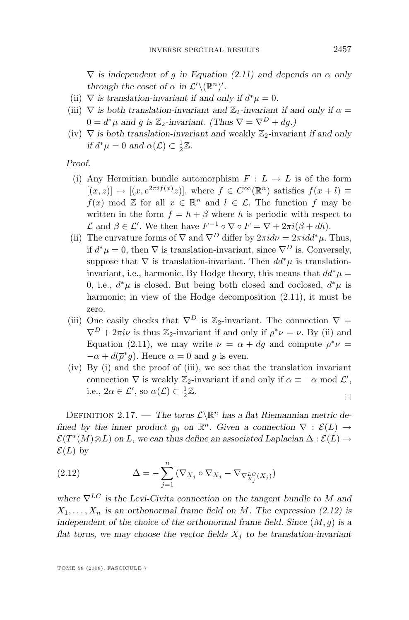<span id="page-13-0"></span> $\nabla$  *is independent of g in Equation [\(2.11\)](#page-12-0)* and depends on  $\alpha$  only *through the coset of*  $\alpha$  *in*  $\mathcal{L}'(\mathbb{R}^n)'$ *.* 

- (ii)  $\nabla$  *is translation-invariant if and only if*  $d^*\mu = 0$ *.*
- (iii)  $\nabla$  *is both translation-invariant and*  $\mathbb{Z}_2$ -*invariant if and only if*  $\alpha$  $0 = d^*\mu$  and g is  $\mathbb{Z}_2$ -invariant. (Thus  $\nabla = \nabla^D + dg$ .)
- (iv)  $\nabla$  *is both translation-invariant and* weakly  $\mathbb{Z}_2$ -invariant *if and only if*  $d^*\mu = 0$  and  $\alpha(\mathcal{L}) \subset \frac{1}{2}\mathbb{Z}$ .

*Proof.*

- (i) Any Hermitian bundle automorphism  $F: L \to L$  is of the form  $[(x, z)] \mapsto [(x, e^{2\pi i f(x)}z)],$  where  $f \in C^{\infty}(\mathbb{R}^n)$  satisfies  $f(x + l) \equiv$  $f(x) \mod \mathbb{Z}$  for all  $x \in \mathbb{R}^n$  and  $l \in \mathcal{L}$ . The function f may be written in the form  $f = h + \beta$  where h is periodic with respect to  $\mathcal L$  and  $\beta \in \mathcal L'$ . We then have  $F^{-1} \circ \nabla \circ F = \nabla + 2\pi i(\beta + dh)$ .
- (ii) The curvature forms of  $\nabla$  and  $\nabla^D$  differ by  $2\pi i d\nu = 2\pi i d d^*\mu$ . Thus, if  $d^*\mu = 0$ , then  $\nabla$  is translation-invariant, since  $\nabla^D$  is. Conversely, suppose that  $\nabla$  is translation-invariant. Then  $dd^*\mu$  is translationinvariant, i.e., harmonic. By Hodge theory, this means that  $dd^*\mu =$ 0, i.e.,  $d^*\mu$  is closed. But being both closed and coclosed,  $d^*\mu$  is harmonic; in view of the Hodge decomposition [\(2.11\)](#page-12-0), it must be zero.
- (iii) One easily checks that  $\nabla^D$  is  $\mathbb{Z}_2$ -invariant. The connection  $\nabla =$  $\nabla^D + 2\pi i \nu$  is thus  $\mathbb{Z}_2$ -invariant if and only if  $\overline{\rho}^*\nu = \nu$ . By (ii) and Equation [\(2.11\)](#page-12-0), we may write  $\nu = \alpha + dg$  and compute  $\bar{\rho}^* \nu =$  $-\alpha + d(\overline{\rho}^*g)$ . Hence  $\alpha = 0$  and g is even.
- (iv) By (i) and the proof of (iii), we see that the translation invariant connection  $\nabla$  is weakly  $\mathbb{Z}_2$ -invariant if and only if  $\alpha \equiv -\alpha \mod \mathcal{L}'$ , i.e.,  $2\alpha \in \mathcal{L}'$ , so  $\alpha(\mathcal{L}) \subset \frac{1}{2}\mathbb{Z}$ .  $\Box$

DEFINITION 2.17. — The torus  $\mathcal{L}\backslash\mathbb{R}^n$  has a flat Riemannian metric de*fined by the inner product*  $g_0$  *on*  $\mathbb{R}^n$ *. Given a connection*  $\nabla : \mathcal{E}(L) \rightarrow$  $\mathcal{E}(T^*(M) \otimes L)$  on L, we can thus define an associated Laplacian  $\Delta : \mathcal{E}(L) \rightarrow$  $\mathcal{E}(L)$  by

(2.12) 
$$
\Delta = -\sum_{j=1}^{n} (\nabla_{X_j} \circ \nabla_{X_j} - \nabla_{\nabla_{X_j}^{LC}(X_j)})
$$

*where*  $\nabla^{LC}$  *is the Levi-Civita connection on the tangent bundle to* M *and*  $X_1, \ldots, X_n$  *is an orthonormal frame field on M*. The expression (2.12) is *independent of the choice of the orthonormal frame field. Since* (M, g) *is a flat torus, we may choose the vector fields*  $X_i$  *to be translation-invariant*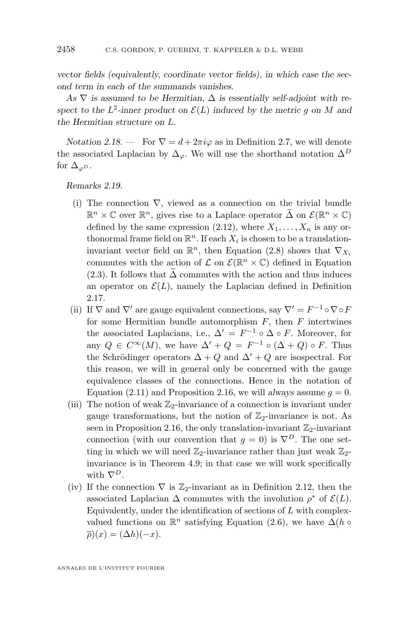<span id="page-14-0"></span>*vector fields (equivalently, coordinate vector fields), in which case the second term in each of the summands vanishes.*

As  $\nabla$  *is assumed to be Hermitian,*  $\Delta$  *is essentially self-adjoint with re*spect to the  $L^2$ -inner product on  $\mathcal{E}(L)$  induced by the metric g on M and *the Hermitian structure on* L*.*

*Notation 2.18.* — For  $\nabla = d + 2\pi i \varphi$  as in Definition [2.7,](#page-10-0) we will denote the associated Laplacian by  $\Delta_{\varphi}$ . We will use the shorthand notation  $\Delta^{D}$ for  $\Delta_{\varphi D}$ .

*Remarks 2.19.*

- (i) The connection  $\nabla$ , viewed as a connection on the trivial bundle  $\mathbb{R}^n \times \mathbb{C}$  over  $\mathbb{R}^n$ , gives rise to a Laplace operator  $\tilde{\Delta}$  on  $\mathcal{E}(\mathbb{R}^n \times \mathbb{C})$ defined by the same expression [\(2.12\)](#page-13-0), where  $X_1, \ldots, X_n$  is any orthonormal frame field on  $\mathbb{R}^n$ . If each  $X_i$  is chosen to be a translationinvariant vector field on  $\mathbb{R}^n$ , then Equation [\(2.8\)](#page-10-0) shows that  $\nabla_{X_i}$ commutes with the action of  $\mathcal L$  on  $\mathcal E(\mathbb R^n\times\mathbb C)$  defined in Equation [\(2.3\)](#page-9-0). It follows that  $\Delta$  commutes with the action and thus induces an operator on  $\mathcal{E}(L)$ , namely the Laplacian defined in Definition [2.17.](#page-13-0)
- (ii) If  $\nabla$  and  $\nabla'$  are gauge equivalent connections, say  $\nabla' = F^{-1} \circ \nabla \circ F$ for some Hermitian bundle automorphism  $F$ , then  $F$  intertwines the associated Laplacians, i.e.,  $\Delta' = F^{-1} \circ \Delta \circ F$ . Moreover, for any  $Q \in C^{\infty}(M)$ , we have  $\Delta' + Q = F^{-1} \circ (\Delta + Q) \circ F$ . Thus the Schrödinger operators  $\Delta + Q$  and  $\Delta' + Q$  are isospectral. For this reason, we will in general only be concerned with the gauge equivalence classes of the connections. Hence in the notation of Equation [\(2.11\)](#page-12-0) and Proposition [2.16,](#page-12-0) we will *always* assume  $q = 0$ .
- (iii) The notion of weak  $\mathbb{Z}_2$ -invariance of a connection is invariant under gauge transformations, but the notion of  $\mathbb{Z}_2$ -invariance is not. As seen in Proposition [2.16,](#page-12-0) the only translation-invariant  $\mathbb{Z}_2$ -invariant connection (with our convention that  $g = 0$ ) is  $\nabla^D$ . The one setting in which we will need  $\mathbb{Z}_2$ -invariance rather than just weak  $\mathbb{Z}_2$ invariance is in Theorem [4.9;](#page-32-0) in that case we will work specifically with  $\nabla^D$ .
- (iv) If the connection  $\nabla$  is  $\mathbb{Z}_2$ -invariant as in Definition [2.12,](#page-11-0) then the associated Laplacian  $\Delta$  commutes with the involution  $\rho^*$  of  $\mathcal{E}(L)$ . Equivalently, under the identification of sections of  $L$  with complexvalued functions on  $\mathbb{R}^n$  satisfying Equation [\(2.6\)](#page-10-0), we have  $\Delta(h \circ$  $\overline{\rho})(x) = (\Delta h)(-x).$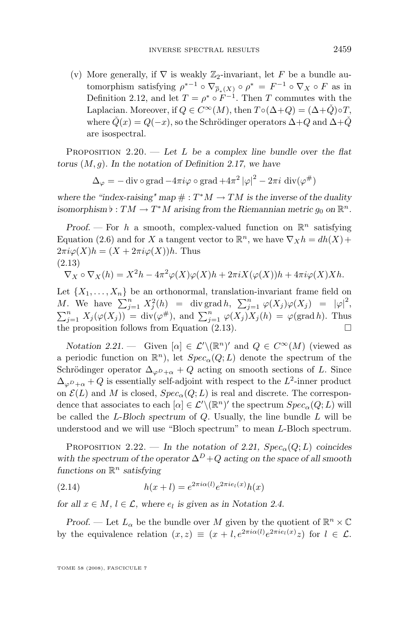<span id="page-15-0"></span>(v) More generally, if  $\nabla$  is weakly  $\mathbb{Z}_2$ -invariant, let F be a bundle automorphism satisfying  $\rho^{*-1} \circ \nabla_{\overline{\rho}_*(X)} \circ \rho^* = F^{-1} \circ \nabla_X \circ F$  as in Definition [2.12,](#page-11-0) and let  $T = \rho^* \circ F^{-1}$ . Then T commutes with the Laplacian. Moreover, if  $Q \in C^{\infty}(M)$ , then  $T \circ (\Delta + Q) = (\Delta + \check{Q}) \circ T$ , where  $\check{Q}(x) = Q(-x)$ , so the Schrödinger operators  $\Delta + Q$  and  $\Delta + \check{Q}$ are isospectral.

Proposition 2.20. — *Let* L *be a complex line bundle over the flat torus* (M, g)*. In the notation of Definition [2.17,](#page-13-0) we have*

$$
\Delta_{\varphi} = -\operatorname{div} \circ \operatorname{grad} -4\pi i \varphi \circ \operatorname{grad} +4\pi^2 |\varphi|^2 - 2\pi i \operatorname{div}(\varphi^{\#})
$$

where the "index-raising" map  $# : T^*M \to TM$  is the inverse of the duality  $\mathbf{a}$  *isomorphism*  $\mathbf{b} : TM \to T^*M$  arising from the Riemannian metric  $g_0$  on  $\mathbb{R}^n$ .

*Proof.* – For h a smooth, complex-valued function on  $\mathbb{R}^n$  satisfying Equation [\(2.6\)](#page-10-0) and for X a tangent vector to  $\mathbb{R}^n$ , we have  $\nabla_X h = dh(X) +$  $2\pi i\varphi(X)h = (X + 2\pi i\varphi(X))h$ . Thus (2.13)

$$
\nabla_X \circ \nabla_X(h) = X^2 h - 4\pi^2 \varphi(X)\varphi(X)h + 2\pi i X(\varphi(X))h + 4\pi i \varphi(X)Xh.
$$

Let  $\{X_1, \ldots, X_n\}$  be an orthonormal, translation-invariant frame field on M. We have  $\sum_{j=1}^n X_j^2(h) = \text{div grad } h, \sum_{j=1}^n \varphi(X_j) \varphi(X_j) = |\varphi|^2,$  $\sum_{j=1}^n X_j(\varphi(X_j)) = \text{div}(\varphi^{\#})$ , and  $\sum_{j=1}^n \varphi(X_j) X_j(h) = \varphi(\text{grad } h)$ . Thus the proposition follows from Equation (2.13).  $\Box$ 

*Notation 2.21.* – Given  $[\alpha] \in \mathcal{L}'(\mathbb{R}^n)'$  and  $Q \in C^{\infty}(M)$  (viewed as a periodic function on  $\mathbb{R}^n$ , let  $Spec_{\alpha}(Q; L)$  denote the spectrum of the Schrödinger operator  $\Delta_{\omega}P_{+\alpha} + Q$  acting on smooth sections of L. Since  $\Delta_{\varphi^D+\alpha}+Q$  is essentially self-adjoint with respect to the  $L^2$ -inner product on  $\mathcal{E}(L)$  and M is closed,  $Spec_{\alpha}(Q;L)$  is real and discrete. The correspondence that associates to each  $[\alpha] \in \mathcal{L}' \setminus (\mathbb{R}^n)'$  the spectrum  $Spec_{\alpha}(Q; L)$  will be called the L-*Bloch spectrum* of Q. Usually, the line bundle L will be understood and we will use "Bloch spectrum" to mean L-Bloch spectrum.

PROPOSITION 2.22. — In the notation of 2.21,  $Spec_{\alpha}(Q;L)$  coincides with the spectrum of the operator  $\Delta^D + Q$  acting on the space of all smooth *functions on* R <sup>n</sup> *satisfying*

(2.14) 
$$
h(x+l) = e^{2\pi i \alpha(l)} e^{2\pi i e_l(x)} h(x)
$$

*for all*  $x \in M$ ,  $l \in \mathcal{L}$ , where  $e_l$  is given as in Notation [2.4.](#page-8-0)

*Proof.* — Let  $L_{\alpha}$  be the bundle over M given by the quotient of  $\mathbb{R}^n \times \mathbb{C}$ by the equivalence relation  $(x, z) \equiv (x + l, e^{2\pi i \alpha(l)} e^{2\pi i e_l(x)} z)$  for  $l \in \mathcal{L}$ .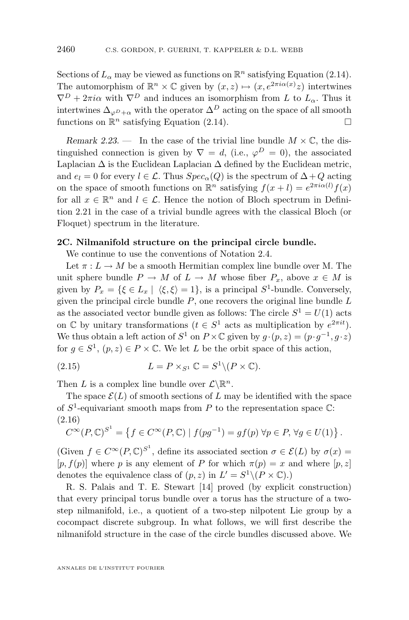<span id="page-16-0"></span>Sections of  $L_{\alpha}$  may be viewed as functions on  $\mathbb{R}^n$  satisfying Equation [\(2.14\)](#page-15-0). The automorphism of  $\mathbb{R}^n \times \mathbb{C}$  given by  $(x, z) \mapsto (x, e^{2\pi i \alpha(x)}z)$  intertwines  $\nabla^D + 2\pi i\alpha$  with  $\nabla^D$  and induces an isomorphism from L to  $L_\alpha$ . Thus it intertwines  $\Delta_{\varphi D+\alpha}$  with the operator  $\Delta^D$  acting on the space of all smooth functions on  $\mathbb{R}^n$  satisfying Equation [\(2.14\)](#page-15-0).

*Remark 2.23.* — In the case of the trivial line bundle  $M \times \mathbb{C}$ , the distinguished connection is given by  $\nabla = d$ , (i.e.,  $\varphi^D = 0$ ), the associated Laplacian  $\Delta$  is the Euclidean Laplacian  $\Delta$  defined by the Euclidean metric, and  $e_l = 0$  for every  $l \in \mathcal{L}$ . Thus  $Spec_{\alpha}(Q)$  is the spectrum of  $\Delta + Q$  acting on the space of smooth functions on  $\mathbb{R}^n$  satisfying  $f(x+l) = e^{2\pi i \alpha(l)} f(x)$ for all  $x \in \mathbb{R}^n$  and  $l \in \mathcal{L}$ . Hence the notion of Bloch spectrum in Definition [2.21](#page-15-0) in the case of a trivial bundle agrees with the classical Bloch (or Floquet) spectrum in the literature.

#### **2C. Nilmanifold structure on the principal circle bundle.**

We continue to use the conventions of Notation [2.4.](#page-8-0)

Let  $\pi: L \to M$  be a smooth Hermitian complex line bundle over M. The unit sphere bundle  $P \to M$  of  $L \to M$  whose fiber  $P_x$ , above  $x \in M$  is given by  $P_x = \{ \xi \in L_x \mid \langle \xi, \xi \rangle = 1 \},\$  is a principal  $S^1$ -bundle. Conversely, given the principal circle bundle  $P$ , one recovers the original line bundle  $L$ as the associated vector bundle given as follows: The circle  $S^1 = U(1)$  acts on C by unitary transformations  $(t \in S^1 \text{ acts as multiplication by } e^{2\pi i t}).$ We thus obtain a left action of  $S^1$  on  $P \times \mathbb{C}$  given by  $g \cdot (p, z) = (p \cdot g^{-1}, g \cdot z)$ for  $g \in S^1$ ,  $(p, z) \in P \times \mathbb{C}$ . We let L be the orbit space of this action,

(2.15) 
$$
L = P \times_{S^1} \mathbb{C} = S^1 \setminus (P \times \mathbb{C}).
$$

Then L is a complex line bundle over  $\mathcal{L}\backslash\mathbb{R}^n$ .

The space  $\mathcal{E}(L)$  of smooth sections of L may be identified with the space of  $S^1$ -equivariant smooth maps from P to the representation space  $\mathbb{C}$ : (2.16)

$$
C^{\infty}(P,\mathbb{C})^{S^1} = \left\{ f \in C^{\infty}(P,\mathbb{C}) \mid f(pg^{-1}) = gf(p) \,\forall p \in P, \,\forall g \in U(1) \right\}.
$$

(Given  $f \in C^{\infty}(P, \mathbb{C})^{S^1}$ , define its associated section  $\sigma \in \mathcal{E}(L)$  by  $\sigma(x) =$  $[p, f(p)]$  where p is any element of P for which  $\pi(p) = x$  and where  $[p, z]$ denotes the equivalence class of  $(p, z)$  in  $L' = S^1 \setminus (P \times \mathbb{C})$ .

R. S. Palais and T. E. Stewart [\[14\]](#page-56-0) proved (by explicit construction) that every principal torus bundle over a torus has the structure of a twostep nilmanifold, i.e., a quotient of a two-step nilpotent Lie group by a cocompact discrete subgroup. In what follows, we will first describe the nilmanifold structure in the case of the circle bundles discussed above. We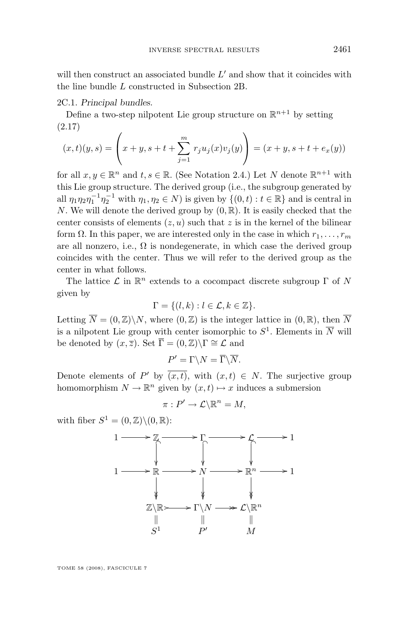will then construct an associated bundle  $L'$  and show that it coincides with the line bundle L constructed in Subsection 2B.

2C.1. *Principal bundles.*

Define a two-step nilpotent Lie group structure on  $\mathbb{R}^{n+1}$  by setting (2.17)

$$
(x,t)(y,s) = \left(x+y, s+t+\sum_{j=1}^{m} r_j u_j(x) v_j(y)\right) = (x+y, s+t+e_x(y))
$$

for all  $x, y \in \mathbb{R}^n$  and  $t, s \in \mathbb{R}$ . (See Notation [2.4.](#page-8-0)) Let N denote  $\mathbb{R}^{n+1}$  with this Lie group structure. The derived group (i.e., the subgroup generated by all  $\eta_1 \eta_2 \eta_1^{-1} \eta_2^{-1}$  with  $\eta_1, \eta_2 \in N$ ) is given by  $\{(0, t) : t \in \mathbb{R}\}\$  and is central in N. We will denote the derived group by  $(0, \mathbb{R})$ . It is easily checked that the center consists of elements  $(z, u)$  such that z is in the kernel of the bilinear form  $\Omega$ . In this paper, we are interested only in the case in which  $r_1, \ldots, r_m$ are all nonzero, i.e.,  $\Omega$  is nondegenerate, in which case the derived group coincides with the center. Thus we will refer to the derived group as the center in what follows.

The lattice  $\mathcal L$  in  $\mathbb R^n$  extends to a cocompact discrete subgroup  $\Gamma$  of  $N$ given by

$$
\Gamma = \{ (l, k) : l \in \mathcal{L}, k \in \mathbb{Z} \}.
$$

Letting  $\overline{N} = (0, \mathbb{Z}) \backslash N$ , where  $(0, \mathbb{Z})$  is the integer lattice in  $(0, \mathbb{R})$ , then  $\overline{N}$ is a nilpotent Lie group with center isomorphic to  $S^1$ . Elements in  $\overline{N}$  will be denoted by  $(x,\overline{z})$ . Set  $\overline{\Gamma} = (0,\mathbb{Z})\backslash \Gamma \cong \mathcal{L}$  and

$$
P' = \Gamma \backslash N = \overline{\Gamma} \backslash \overline{N}.
$$

Denote elements of P' by  $\overline{(x,t)}$ , with  $(x,t) \in N$ . The surjective group homomorphism  $N \to \mathbb{R}^n$  given by  $(x, t) \mapsto x$  induces a submersion

$$
\pi: P' \to \mathcal{L} \backslash \mathbb{R}^n = M,
$$

with fiber  $S^1 = (0, \mathbb{Z}) \setminus (0, \mathbb{R})$ :

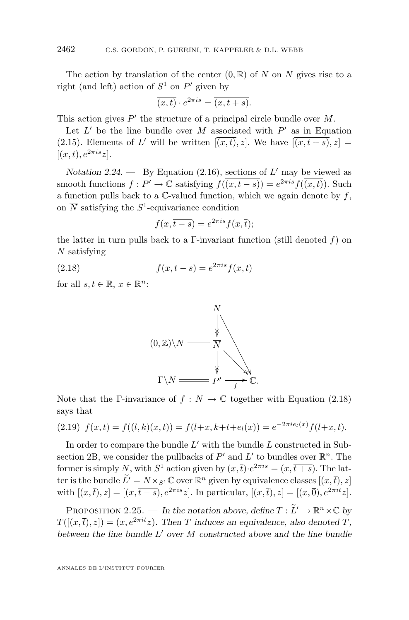<span id="page-18-0"></span>The action by translation of the center  $(0, \mathbb{R})$  of N on N gives rise to a right (and left) action of  $S^1$  on  $P'$  given by

$$
\overline{(x,t)} \cdot e^{2\pi i s} = \overline{(x,t+s)}.
$$

This action gives  $P'$  the structure of a principal circle bundle over  $M$ .

Let  $L'$  be the line bundle over M associated with  $P'$  as in Equation [\(2.15\)](#page-16-0). Elements of L' will be written  $\overline{[(x,t),z]}$ . We have  $\overline{[(x,t+s),z]}$  $[\overline{(x,t)}, e^{2\pi i s}z].$ 

*Notation 2.24.* — By Equation  $(2.16)$ , sections of L' may be viewed as smooth functions  $f: P' \to \mathbb{C}$  satisfying  $f(\overline{(x,t-s)}) = e^{2\pi i s} f(\overline{(x,t)})$ . Such a function pulls back to a  $\mathbb{C}\text{-valued function}$ , which we again denote by f, on  $\overline{N}$  satisfying the  $S^1$ -equivariance condition

$$
f(x,\overline{t-s}) = e^{2\pi i s} f(x,\overline{t});
$$

the latter in turn pulls back to a  $\Gamma$ -invariant function (still denoted f) on  $N$  satisfying

(2.18)  $f(x, t - s) = e^{2\pi i s} f(x, t)$ 

for all  $s, t \in \mathbb{R}, x \in \mathbb{R}^n$ :



Note that the Γ-invariance of  $f : N \to \mathbb{C}$  together with Equation (2.18) says that

$$
(2.19) \ f(x,t) = f((l,k)(x,t)) = f(l+x, k+t+e_l(x)) = e^{-2\pi i e_l(x)}f(l+x, t).
$$

In order to compare the bundle  $L'$  with the bundle  $L$  constructed in Subsection 2B, we consider the pullbacks of  $P'$  and  $L'$  to bundles over  $\mathbb{R}^n$ . The former is simply  $\overline{N}$ , with  $S^1$  action given by  $(x,\overline{t}) \cdot e^{2\pi i s} = (x,\overline{t+s})$ . The latter is the bundle  $\widetilde{L}' = \overline{N} \times_{S^1} \mathbb{C}$  over  $\mathbb{R}^n$  given by equivalence classes  $[(x,\overline{t}), z]$ with  $[(x,\bar{t}), z] = [(x,\bar{t}-s), e^{2\pi i s}z]$ . In particular,  $[(x,\bar{t}), z] = [(x,\bar{0}), e^{2\pi i t}z]$ .

PROPOSITION 2.25. — *In the notation above, define*  $T : \tilde{L}' \to \mathbb{R}^n \times \mathbb{C}$  *by*  $T([x,\bar{t}), z]) = (x, e^{2\pi i \bar{t}}z)$ . Then T induces an equivalence, also denoted T, *between the line bundle* L <sup>0</sup> *over* M *constructed above and the line bundle*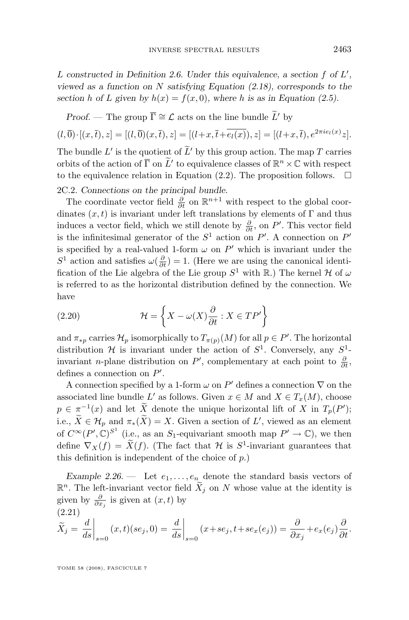<span id="page-19-0"></span>L constructed in Definition [2.6.](#page-8-0) Under this equivalence, a section f of L', *viewed as a function on* N *satisfying Equation [\(2.18\)](#page-18-0), corresponds to the section* h of L given by  $h(x) = f(x, 0)$ , where h is as in Equation [\(2.5\)](#page-9-0).

*Proof.* — The group  $\overline{\Gamma} \cong \mathcal{L}$  acts on the line bundle  $\widetilde{L}'$  by

$$
(l, \overline{0}) \cdot [(x, \overline{t}), z] = [(l, \overline{0})(x, \overline{t}), z] = [(l+x, \overline{t} + \overline{e_l(x)}), z] = [(l+x, \overline{t}), e^{2\pi i e_l(x)}z].
$$

The bundle L' is the quotient of L' by this group action. The map T carries orbits of the action of  $\overline{\Gamma}$  on  $\widetilde{L}'$  to equivalence classes of  $\mathbb{R}^n \times \mathbb{C}$  with respect to the equivalence relation in Equation [\(2.2\)](#page-9-0). The proposition follows.  $\Box$ 

2C.2. *Connections on the principal bundle.*

The coordinate vector field  $\frac{\partial}{\partial t}$  on  $\mathbb{R}^{n+1}$  with respect to the global coordinates  $(x, t)$  is invariant under left translations by elements of  $\Gamma$  and thus induces a vector field, which we still denote by  $\frac{\partial}{\partial t}$ , on P'. This vector field is the infinitesimal generator of the  $S^1$  action on P'. A connection on P' is specified by a real-valued 1-form  $\omega$  on  $P'$  which is invariant under the  $S^1$  action and satisfies  $\omega(\frac{\partial}{\partial t}) = 1$ . (Here we are using the canonical identification of the Lie algebra of the Lie group  $S^1$  with  $\mathbb{R}$ .) The kernel  $\mathcal H$  of  $\omega$ is referred to as the horizontal distribution defined by the connection. We have

(2.20) 
$$
\mathcal{H} = \left\{ X - \omega(X) \frac{\partial}{\partial t} : X \in TP' \right\}
$$

and  $\pi_{*p}$  carries  $\mathcal{H}_p$  isomorphically to  $T_{\pi(p)}(M)$  for all  $p \in P'$ . The horizontal distribution  $H$  is invariant under the action of  $S^1$ . Conversely, any  $S^1$ invariant *n*-plane distribution on P', complementary at each point to  $\frac{\partial}{\partial t}$ , defines a connection on  $P'$ .

A connection specified by a 1-form  $\omega$  on  $P'$  defines a connection  $\nabla$  on the associated line bundle L' as follows. Given  $x \in M$  and  $X \in T_x(M)$ , choose  $p \in \pi^{-1}(x)$  and let  $\overline{X}$  denote the unique horizontal lift of X in  $T_p(P')$ ; i.e.,  $\hat{X} \in \mathcal{H}_p$  and  $\pi_*(\hat{X}) = X$ . Given a section of  $L'$ , viewed as an element of  $C^{\infty}(P', \mathbb{C})^{S^1}$  (i.e., as an  $S_1$ -equivariant smooth map  $P' \to \mathbb{C}$ ), we then define  $\nabla_X(f) = \overline{X}(f)$ . (The fact that  $\mathcal H$  is  $S^1$ -invariant guarantees that this definition is independent of the choice of p.)

*Example 2.26.* — Let  $e_1, \ldots, e_n$  denote the standard basis vectors of  $\mathbb{R}^n$ . The left-invariant vector field  $\widetilde{X}_j$  on N whose value at the identity is given by  $\frac{\partial}{\partial x_j}$  is given at  $(x, t)$  by (2.21)

$$
\widetilde{X}_j = \frac{d}{ds}\bigg|_{s=0} (x,t)(se_j,0) = \frac{d}{ds}\bigg|_{s=0} (x+se_j,t+se_x(e_j)) = \frac{\partial}{\partial x_j} + e_x(e_j)\frac{\partial}{\partial t}.
$$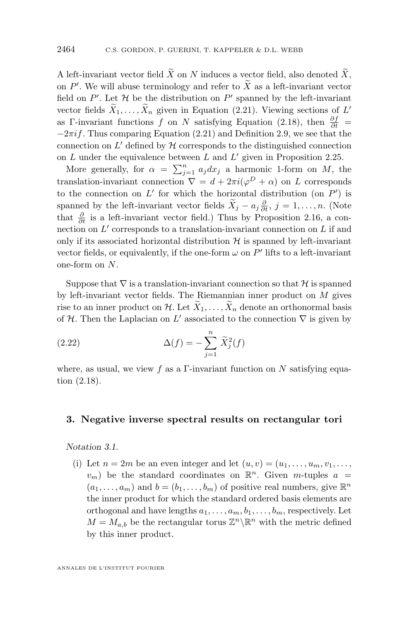<span id="page-20-0"></span>A left-invariant vector field  $\widetilde{X}$  on N induces a vector field, also denoted  $\widetilde{X}$ , on  $P'$ . We will abuse terminology and refer to X as a left-invariant vector field on  $P'$ . Let  $H$  be the distribution on  $P'$  spanned by the left-invariant vector fields  $X_1, \ldots, X_n$  given in Equation [\(2.21\)](#page-19-0). Viewing sections of L' as Γ-invariant functions f on N satisfying Equation [\(2.18\)](#page-18-0), then  $\frac{\partial f}{\partial t}$  =  $-2\pi i f$ . Thus comparing Equation [\(2.21\)](#page-19-0) and Definition [2.9,](#page-11-0) we see that the connection on  $L'$  defined by  $H$  corresponds to the distinguished connection on  $L$  under the equivalence between  $L$  and  $L'$  given in Proposition [2.25.](#page-18-0)

More generally, for  $\alpha = \sum_{j=1}^{n} a_j dx_j$  a harmonic 1-form on M, the translation-invariant connection  $\nabla = d + 2\pi i (\varphi^D + \alpha)$  on L corresponds to the connection on  $L'$  for which the horizontal distribution (on  $P'$ ) is spanned by the left-invariant vector fields  $\overline{X}_j - a_j \frac{\partial}{\partial t}, j = 1, \ldots, n$ . (Note that  $\frac{\partial}{\partial t}$  is a left-invariant vector field.) Thus by Proposition [2.16,](#page-12-0) a connection on  $L'$  corresponds to a translation-invariant connection on  $L$  if and only if its associated horizontal distribution  $H$  is spanned by left-invariant vector fields, or equivalently, if the one-form  $\omega$  on  $P'$  lifts to a left-invariant one-form on N.

Suppose that  $\nabla$  is a translation-invariant connection so that H is spanned by left-invariant vector fields. The Riemannian inner product on  $M$  gives rise to an inner product on H. Let  $\tilde{X}_1, \ldots, \tilde{X}_n$  denote an orthonormal basis of H. Then the Laplacian on  $L'$  associated to the connection  $\nabla$  is given by

(2.22) 
$$
\Delta(f) = -\sum_{j=1}^{n} \tilde{X}_{j}^{2}(f)
$$

where, as usual, we view f as a Γ-invariant function on N satisfying equation [\(2.18\)](#page-18-0).

#### **3. Negative inverse spectral results on rectangular tori**

*Notation 3.1.*

(i) Let  $n = 2m$  be an even integer and let  $(u, v) = (u_1, \ldots, u_m, v_1, \ldots, v_m)$  $v_m$ ) be the standard coordinates on  $\mathbb{R}^n$ . Given m-tuples  $a =$  $(a_1, \ldots, a_m)$  and  $b = (b_1, \ldots, b_m)$  of positive real numbers, give  $\mathbb{R}^n$ the inner product for which the standard ordered basis elements are orthogonal and have lengths  $a_1, \ldots, a_m, b_1, \ldots, b_m$ , respectively. Let  $M = M_{a,b}$  be the rectangular torus  $\mathbb{Z}^n \backslash \mathbb{R}^n$  with the metric defined by this inner product.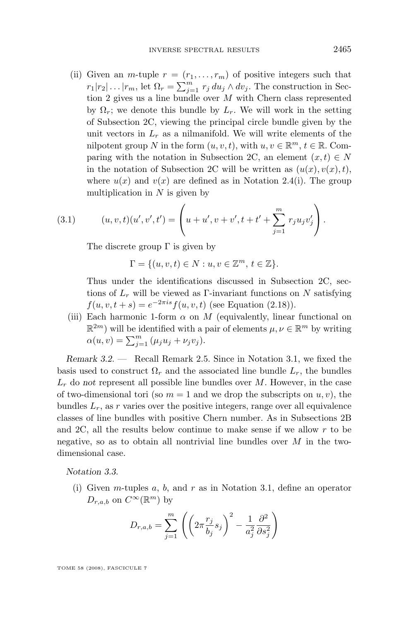<span id="page-21-0"></span>(ii) Given an *m*-tuple  $r = (r_1, \ldots, r_m)$  of positive integers such that  $r_1|r_2|\ldots|r_m$ , let  $\Omega_r = \sum_{j=1}^m r_j du_j \wedge dv_j$ . The construction in Section 2 gives us a line bundle over M with Chern class represented by  $\Omega_r$ ; we denote this bundle by  $L_r$ . We will work in the setting of Subsection 2C, viewing the principal circle bundle given by the unit vectors in  $L_r$  as a nilmanifold. We will write elements of the nilpotent group N in the form  $(u, v, t)$ , with  $u, v \in \mathbb{R}^m$ ,  $t \in \mathbb{R}$ . Comparing with the notation in Subsection 2C, an element  $(x, t) \in N$ in the notation of Subsection 2C will be written as  $(u(x), v(x), t)$ , where  $u(x)$  and  $v(x)$  are defined as in Notation [2.4\(](#page-8-0)i). The group multiplication in  $N$  is given by

(3.1) 
$$
(u, v, t)(u', v', t') = \left(u + u', v + v', t + t' + \sum_{j=1}^{m} r_j u_j v'_j\right).
$$

The discrete group  $\Gamma$  is given by

$$
\Gamma = \{(u, v, t) \in N : u, v \in \mathbb{Z}^m, t \in \mathbb{Z}\}.
$$

Thus under the identifications discussed in Subsection 2C, sections of  $L_r$  will be viewed as Γ-invariant functions on N satisfying  $f(u, v, t + s) = e^{-2\pi i s} f(u, v, t)$  (see Equation [\(2.18\)](#page-18-0)).

(iii) Each harmonic 1-form  $\alpha$  on M (equivalently, linear functional on  $\mathbb{R}^{2m}$ ) will be identified with a pair of elements  $\mu, \nu \in \mathbb{R}^m$  by writing  $\alpha(u, v) = \sum_{j=1}^{m} (\mu_j u_j + \nu_j v_j).$ 

*Remark 3.2. —* Recall Remark [2.5.](#page-8-0) Since in Notation [3.1,](#page-20-0) we fixed the basis used to construct  $\Omega_r$  and the associated line bundle  $L_r$ , the bundles  $L_r$  do *not* represent all possible line bundles over M. However, in the case of two-dimensional tori (so  $m = 1$  and we drop the subscripts on  $u, v$ ), the bundles  $L_r$ , as r varies over the positive integers, range over all equivalence classes of line bundles with positive Chern number. As in Subsections 2B and 2C, all the results below continue to make sense if we allow  $r$  to be negative, so as to obtain all nontrivial line bundles over  $M$  in the twodimensional case.

*Notation 3.3.*

(i) Given *m*-tuples  $a, b$ , and  $r$  as in Notation [3.1,](#page-20-0) define an operator  $D_{r,a,b}$  on  $C^{\infty}(\mathbb{R}^m)$  by

$$
D_{r,a,b} = \sum_{j=1}^{m} \left( \left( 2\pi \frac{r_j}{b_j} s_j \right)^2 - \frac{1}{a_j^2} \frac{\partial^2}{\partial s_j^2} \right)
$$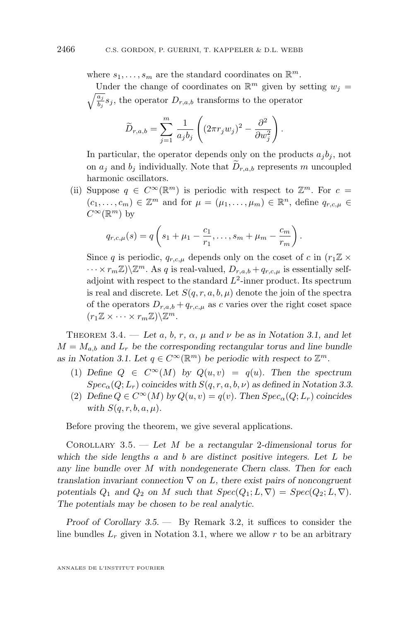<span id="page-22-0"></span>where  $s_1, \ldots, s_m$  are the standard coordinates on  $\mathbb{R}^m$ .

Under the change of coordinates on  $\mathbb{R}^m$  given by setting  $w_j =$  $\frac{a_j}{a_j}$  $\frac{a_j}{b_j}s_j$ , the operator  $D_{r,a,b}$  transforms to the operator

$$
\widetilde{D}_{r,a,b} = \sum_{j=1}^{m} \frac{1}{a_j b_j} \left( (2\pi r_j w_j)^2 - \frac{\partial^2}{\partial w_j^2} \right)
$$

In particular, the operator depends only on the products  $a_j b_j$ , not on  $a_i$  and  $b_i$  individually. Note that  $D_{r,a,b}$  represents m uncoupled harmonic oscillators.

.

(ii) Suppose  $q \in C^{\infty}(\mathbb{R}^m)$  is periodic with respect to  $\mathbb{Z}^m$ . For  $c =$  $(c_1, \ldots, c_m) \in \mathbb{Z}^m$  and for  $\mu = (\mu_1, \ldots, \mu_m) \in \mathbb{R}^n$ , define  $q_{r,c,\mu} \in$  $C^{\infty}(\mathbb{R}^m)$  by

$$
q_{r,c,\mu}(s) = q\left(s_1 + \mu_1 - \frac{c_1}{r_1}, \ldots, s_m + \mu_m - \frac{c_m}{r_m}\right).
$$

Since q is periodic,  $q_{r,c,\mu}$  depends only on the coset of c in  $(r_1 \mathbb{Z} \times$  $\cdots \times r_m \mathbb{Z} \setminus \mathbb{Z}^m$ . As q is real-valued,  $D_{r,a,b} + q_{r,c,\mu}$  is essentially selfadjoint with respect to the standard  $L^2$ -inner product. Its spectrum is real and discrete. Let  $S(q, r, a, b, \mu)$  denote the join of the spectra of the operators  $D_{r,a,b} + q_{r,c,\mu}$  as c varies over the right coset space  $(r_1 \mathbb{Z} \times \cdots \times r_m \mathbb{Z}) \backslash \mathbb{Z}^m$ .

THEOREM 3.4. — Let  $a, b, r, \alpha, \mu$  and  $\nu$  be as in Notation [3.1,](#page-20-0) and let  $M = M_{a,b}$  and  $L_r$  be the corresponding rectangular torus and line bundle as in Notation [3.1.](#page-20-0) Let  $q \in C^{\infty}(\mathbb{R}^m)$  be periodic with respect to  $\mathbb{Z}^m$ .

- (1) *Define*  $Q \in C^{\infty}(M)$  *by*  $Q(u, v) = q(u)$ *. Then the spectrum*  $Spec_{\alpha}(Q; L_r)$  *coincides with*  $S(q, r, a, b, \nu)$  *as defined in Notation [3.3.](#page-21-0)*
- (2) *Define*  $Q \in C^{\infty}(M)$  *by*  $Q(u, v) = q(v)$ *. Then*  $Spec_{\alpha}(Q; L_r)$  *coincides with*  $S(q, r, b, a, \mu)$ .

Before proving the theorem, we give several applications.

Corollary 3.5. — *Let* M *be a rectangular* 2*-dimensional torus for which the side lengths* a *and* b *are distinct positive integers. Let* L *be any line bundle over* M *with nondegenerate Chern class. Then for each translation invariant connection* ∇ *on* L*, there exist pairs of noncongruent* potentials  $Q_1$  and  $Q_2$  on M such that  $Spec(Q_1; L, \nabla) = Spec(Q_2; L, \nabla)$ . *The potentials may be chosen to be real analytic.*

*Proof of Corollary 3.5. —* By Remark [3.2,](#page-21-0) it suffices to consider the line bundles  $L_r$  given in Notation [3.1,](#page-20-0) where we allow r to be an arbitrary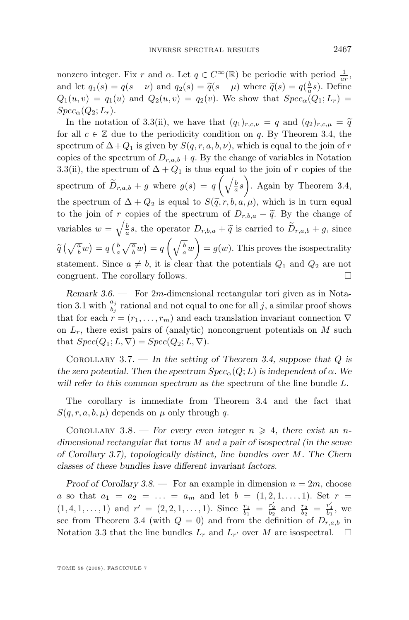<span id="page-23-0"></span>nonzero integer. Fix r and  $\alpha$ . Let  $q \in C^{\infty}(\mathbb{R})$  be periodic with period  $\frac{1}{ar}$ , and let  $q_1(s) = q(s - \nu)$  and  $q_2(s) = \tilde{q}(s - \mu)$  where  $\tilde{q}(s) = q(\frac{b}{a}s)$ . Define  $Q_1(u, v) = q_1(u)$  and  $Q_2(u, v) = q_2(v)$ . We show that  $Spec_{\alpha}(Q_1; L_r)$  $Spec_{\alpha}(Q_2;L_r).$ 

In the notation of [3.3\(](#page-21-0)ii), we have that  $(q_1)_{r,c,\nu} = q$  and  $(q_2)_{r,c,\mu} = \tilde{q}$ for all  $c \in \mathbb{Z}$  due to the periodicity condition on q. By Theorem [3.4,](#page-22-0) the spectrum of  $\Delta$ + $Q_1$  is given by  $S(q, r, a, b, \nu)$ , which is equal to the join of r copies of the spectrum of  $D_{r,a,b} + q$ . By the change of variables in Notation [3.3\(](#page-21-0)ii), the spectrum of  $\Delta + Q_1$  is thus equal to the join of r copies of the spectrum of  $\widetilde{D}_{r,a,b} + g$  where  $g(s) = q\left(\sqrt{\frac{b}{a}}s\right)$ . Again by Theorem [3.4,](#page-22-0) the spectrum of  $\Delta + Q_2$  is equal to  $S(\tilde{q}, r, b, a, \mu)$ , which is in turn equal to the join of r copies of the spectrum of  $D_{r,b,a} + \tilde{q}$ . By the change of variables  $w = \sqrt{\frac{b}{a}}s$ , the operator  $D_{r,b,a} + \tilde{q}$  is carried to  $\tilde{D}_{r,a,b} + g$ , since  $\widetilde{q}\left(\sqrt{\frac{a}{b}}w\right) = q\left(\frac{b}{a}\sqrt{\frac{a}{b}}w\right) = q\left(\sqrt{\frac{b}{a}}w\right) = g(w)$ . This proves the isospectrality statement. Since  $a \neq b$ , it is clear that the potentials  $Q_1$  and  $Q_2$  are not congruent. The corollary follows.

*Remark 3.6. —* For 2m-dimensional rectangular tori given as in Nota-tion [3.1](#page-20-0) with  $\frac{a_j}{b_j}$  rational and not equal to one for all j, a similar proof shows that for each  $r = (r_1, \ldots, r_m)$  and each translation invariant connection  $\nabla$ on  $L_r$ , there exist pairs of (analytic) noncongruent potentials on M such that  $Spec(Q_1; L, \nabla) = Spec(Q_2; L, \nabla)$ .

Corollary 3.7. — *In the setting of Theorem [3.4,](#page-22-0) suppose that* Q *is the zero potential. Then the spectrum*  $Spec_{\alpha}(Q; L)$  *is independent of*  $\alpha$ *. We will refer to this common spectrum as the* spectrum of the line bundle L*.*

The corollary is immediate from Theorem [3.4](#page-22-0) and the fact that  $S(q, r, a, b, \mu)$  depends on  $\mu$  only through q.

COROLLARY 3.8. — *For every even integer*  $n \geq 4$ , there exist an *ndimensional rectangular flat torus* M *and a pair of isospectral (in the sense of Corollary 3.7), topologically distinct, line bundles over* M*. The Chern classes of these bundles have different invariant factors.*

*Proof of Corollary*  $3.8.$  — For an example in dimension  $n = 2m$ , choose a so that  $a_1 = a_2 = \ldots = a_m$  and let  $b = (1, 2, 1, \ldots, 1)$ . Set  $r =$  $(1,4,1,\ldots,1)$  and  $r' = (2,2,1,\ldots,1)$ . Since  $\frac{r_1}{b_1} = \frac{r'_2}{b_2}$  and  $\frac{r_2}{b_2} = \frac{r'_1}{b_1}$ , we see from Theorem [3.4](#page-22-0) (with  $Q = 0$ ) and from the definition of  $D_{r,a,b}$  in Notation [3.3](#page-21-0) that the line bundles  $L_r$  and  $L_{r'}$  over M are isospectral.  $\Box$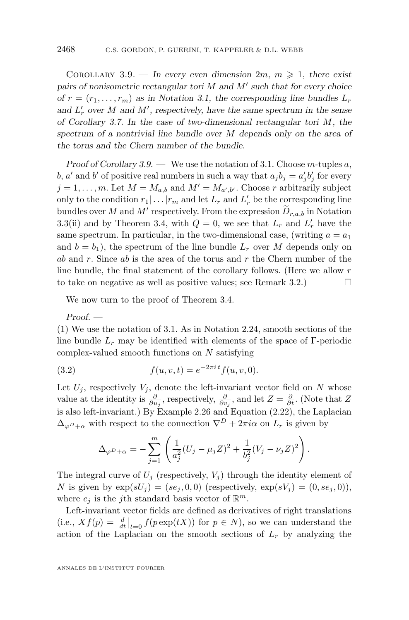<span id="page-24-0"></span>COROLLARY 3.9. — In every even dimension  $2m, m \geq 1$ , there exist pairs of nonisometric rectangular tori M and M' such that for every choice *of*  $r = (r_1, \ldots, r_m)$  *as in Notation [3.1,](#page-20-0) the corresponding line bundles*  $L_r$ and  $L'_r$  over M and M', respectively, have the same spectrum in the sense *of Corollary [3.7.](#page-23-0) In the case of two-dimensional rectangular tori* M*, the spectrum of a nontrivial line bundle over* M *depends only on the area of the torus and the Chern number of the bundle.*

*Proof of Corollary* [3.9.](#page-23-0) — We use the notation of [3.1.](#page-20-0) Choose *m*-tuples a, b, a' and b' of positive real numbers in such a way that  $a_j b_j = a'_j b'_j$  for every  $j = 1, \ldots, m$ . Let  $M = M_{a,b}$  and  $M' = M_{a',b'}$ . Choose r arbitrarily subject only to the condition  $r_1 | \dots | r_m$  and let  $L_r$  and  $L'_r$  be the corresponding line bundles over M and M' respectively. From the expression  $D_{r,a,b}$  in Notation [3.3\(](#page-21-0)ii) and by Theorem [3.4,](#page-22-0) with  $Q = 0$ , we see that  $L_r$  and  $L'_r$  have the same spectrum. In particular, in the two-dimensional case, (writing  $a = a_1$ ) and  $b = b_1$ , the spectrum of the line bundle  $L_r$  over M depends only on ab and r. Since ab is the area of the torus and r the Chern number of the line bundle, the final statement of the corollary follows. (Here we allow r to take on negative as well as positive values; see Remark [3.2.](#page-21-0))  $\Box$ 

We now turn to the proof of Theorem [3.4.](#page-22-0)

*Proof. —*

(1) We use the notation of [3.1.](#page-20-0) As in Notation [2.24,](#page-18-0) smooth sections of the line bundle  $L_r$  may be identified with elements of the space of Γ-periodic complex-valued smooth functions on N satisfying

(3.2) 
$$
f(u, v, t) = e^{-2\pi i t} f(u, v, 0).
$$

Let  $U_j$ , respectively  $V_j$ , denote the left-invariant vector field on N whose value at the identity is  $\frac{\partial}{\partial u_j}$ , respectively,  $\frac{\partial}{\partial v_j}$ , and let  $Z = \frac{\partial}{\partial t}$ . (Note that Z is also left-invariant.) By Example [2.26](#page-19-0) and Equation [\(2.22\)](#page-20-0), the Laplacian  $\Delta_{\varphi^D+\alpha}$  with respect to the connection  $\nabla^D+2\pi i\alpha$  on  $L_r$  is given by

$$
\Delta_{\varphi^{D}+\alpha} = -\sum_{j=1}^{m} \left( \frac{1}{a_j^2} (U_j - \mu_j Z)^2 + \frac{1}{b_j^2} (V_j - \nu_j Z)^2 \right).
$$

The integral curve of  $U_i$  (respectively,  $V_i$ ) through the identity element of N is given by  $exp(sU_i) = (se_i, 0, 0)$  (respectively,  $exp(sV_i) = (0, se_i, 0)$ ), where  $e_j$  is the j<sup>th</sup> standard basis vector of  $\mathbb{R}^m$ .

Left-invariant vector fields are defined as derivatives of right translations (i.e.,  $Xf(p) = \frac{d}{dt}\Big|_{t=0} f(p \exp(tX))$  for  $p \in N$ ), so we can understand the action of the Laplacian on the smooth sections of  $L<sub>r</sub>$  by analyzing the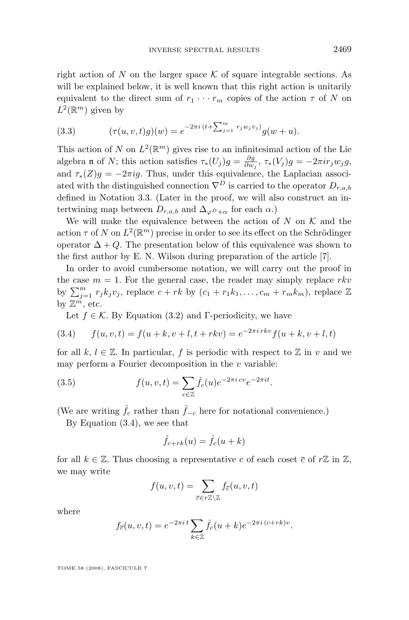<span id="page-25-0"></span>right action of N on the larger space  $\mathcal K$  of square integrable sections. As will be explained below, it is well known that this right action is unitarily equivalent to the direct sum of  $r_1 \cdots r_m$  copies of the action  $\tau$  of N on  $L^2(\mathbb{R}^m)$  given by

(3.3) 
$$
(\tau(u,v,t)g)(w) = e^{-2\pi i (t + \sum_{j=1}^m r_j w_j v_j)} g(w+u).
$$

This action of N on  $L^2(\mathbb{R}^m)$  gives rise to an infinitesimal action of the Lie algebra **n** of N; this action satisfies  $\tau_*(U_j)g = \frac{\partial g}{\partial w_j}$ ,  $\tau_*(V_j)g = -2\pi i r_j w_j g$ , and  $\tau_*(Z)g = -2\pi ig$ . Thus, under this equivalence, the Laplacian associated with the distinguished connection  $\nabla^D$  is carried to the operator  $D_{r,a,b}$ defined in Notation [3.3.](#page-21-0) (Later in the proof, we will also construct an intertwining map between  $D_{r,a,b}$  and  $\Delta_{\varphi D_{+\alpha}}$  for each  $\alpha$ .)

We will make the equivalence between the action of N on  $\mathcal K$  and the action  $\tau$  of N on  $L^2(\mathbb{R}^m)$  precise in order to see its effect on the Schrödinger operator  $\Delta + Q$ . The presentation below of this equivalence was shown to the first author by E. N. Wilson during preparation of the article [\[7\]](#page-56-0).

In order to avoid cumbersome notation, we will carry out the proof in the case  $m = 1$ . For the general case, the reader may simply replace rkv by  $\sum_{j=1}^{m} r_j k_j v_j$ , replace  $c + rk$  by  $(c_1 + r_1 k_1, \ldots, c_m + r_m k_m)$ , replace  $\mathbb{Z}$ by  $\mathbb{Z}^{\tilde{m}}$ , etc.

Let  $f \in \mathcal{K}$ . By Equation [\(3.2\)](#page-24-0) and Γ-periodicity, we have

(3.4) 
$$
f(u, v, t) = f(u + k, v + l, t + rkv) = e^{-2\pi i rkv} f(u + k, v + l, t)
$$

for all k,  $l \in \mathbb{Z}$ . In particular, f is periodic with respect to  $\mathbb{Z}$  in v and we may perform a Fourier decomposition in the  $v$  variable:

(3.5) 
$$
f(u, v, t) = \sum_{c \in \mathbb{Z}} \hat{f}_c(u) e^{-2\pi i c v} e^{-2\pi i t}.
$$

(We are writing  $\hat{f}_c$  rather than  $\hat{f}_{-c}$  here for notational convenience.)

By Equation (3.4), we see that

$$
\hat{f}_{c+rk}(u) = \hat{f}_c(u+k)
$$

for all  $k \in \mathbb{Z}$ . Thus choosing a representative c of each coset  $\bar{c}$  of  $r\mathbb{Z}$  in  $\mathbb{Z}$ , we may write

$$
f(u, v, t) = \sum_{\overline{c} \in r\mathbb{Z}\setminus\mathbb{Z}} f_{\overline{c}}(u, v, t)
$$

where

$$
f_{\overline{c}}(u, v, t) = e^{-2\pi i t} \sum_{k \in \mathbb{Z}} \hat{f}_c(u+k) e^{-2\pi i (c + rk)v}.
$$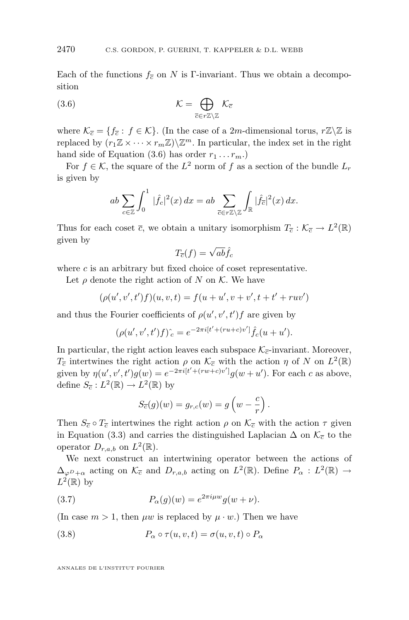Each of the functions  $f_{\overline{c}}$  on N is Γ-invariant. Thus we obtain a decomposition

(3.6) 
$$
\mathcal{K} = \bigoplus_{\overline{c} \in r\mathbb{Z}\setminus\mathbb{Z}} \mathcal{K}_{\overline{c}}
$$

where  $\mathcal{K}_{\overline{c}} = \{f_{\overline{c}} : f \in \mathcal{K}\}\$ . (In the case of a 2m-dimensional torus,  $r\mathbb{Z}\setminus\mathbb{Z}$  is replaced by  $(r_1 \mathbb{Z} \times \cdots \times r_m \mathbb{Z}) \backslash \mathbb{Z}^m$ . In particular, the index set in the right hand side of Equation (3.6) has order  $r_1 \ldots r_m$ .

For  $f \in \mathcal{K}$ , the square of the  $L^2$  norm of f as a section of the bundle  $L_r$ is given by

$$
ab \sum_{c \in \mathbb{Z}} \int_0^1 |\hat{f}_c|^2(x) dx = ab \sum_{\overline{c} \in r\mathbb{Z} \setminus \mathbb{Z}} \int_{\mathbb{R}} |\hat{f}_{\overline{c}}|^2(x) dx.
$$

Thus for each coset  $\bar{c}$ , we obtain a unitary isomorphism  $T_{\bar{c}} : \mathcal{K}_{\bar{c}} \to L^2(\mathbb{R})$ given by

$$
T_{\overline{c}}(f) = \sqrt{ab}\hat{f}_c
$$

where  $c$  is an arbitrary but fixed choice of coset representative.

Let  $\rho$  denote the right action of N on K. We have

$$
(\rho(u',v',t')f)(u,v,t) = f(u+u',v+v',t+t'+ruv')
$$

and thus the Fourier coefficients of  $\rho(u', v', t')f$  are given by

$$
(\rho(u',v',t')f)^{\hat{}}_c = e^{-2\pi i[t' + (ru+c)v']} \hat{f}_c(u+u').
$$

In particular, the right action leaves each subspace  $\mathcal{K}_{\overline{c}}$ -invariant. Moreover,  $T_{\overline{c}}$  intertwines the right action  $\rho$  on  $\mathcal{K}_{\overline{c}}$  with the action  $\eta$  of N on  $L^2(\mathbb{R})$ given by  $\eta(u', v', t')g(w) = e^{-2\pi i [t' + (rw + c)v']}g(w + u')$ . For each c as above, define  $S_{\overline{c}}: L^2(\mathbb{R}) \to L^2(\mathbb{R})$  by

$$
S_{\overline{c}}(g)(w) = g_{r,c}(w) = g\left(w - \frac{c}{r}\right).
$$

Then  $S_{\overline{c}} \circ T_{\overline{c}}$  intertwines the right action  $\rho$  on  $\mathcal{K}_{\overline{c}}$  with the action  $\tau$  given in Equation [\(3.3\)](#page-25-0) and carries the distinguished Laplacian  $\Delta$  on  $\mathcal{K}_{\overline{c}}$  to the operator  $D_{r,a,b}$  on  $L^2(\mathbb{R})$ .

We next construct an intertwining operator between the actions of  $\Delta_{\varphi^D+\alpha}$  acting on  $\mathcal{K}_{\overline{c}}$  and  $D_{r,a,b}$  acting on  $L^2(\mathbb{R})$ . Define  $P_\alpha: L^2(\mathbb{R}) \to$  $L^2(\mathbb{R})$  by

(3.7) 
$$
P_{\alpha}(g)(w) = e^{2\pi i \mu w} g(w + \nu).
$$

(In case  $m > 1$ , then  $\mu w$  is replaced by  $\mu \cdot w$ .) Then we have

(3.8) 
$$
P_{\alpha} \circ \tau(u, v, t) = \sigma(u, v, t) \circ P_{\alpha}
$$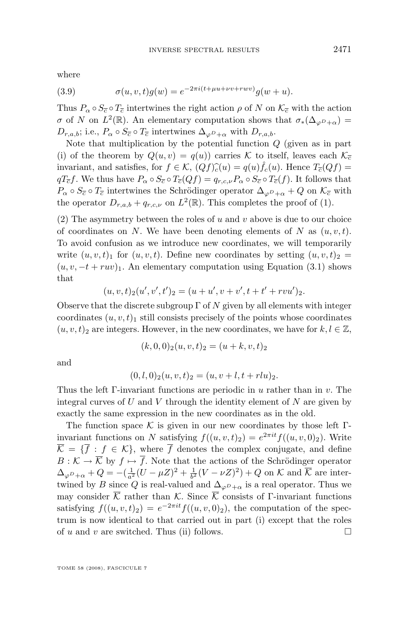where

(3.9) 
$$
\sigma(u, v, t)g(w) = e^{-2\pi i(t + \mu u + \nu v + r w v)}g(w + u).
$$

Thus  $P_{\alpha} \circ S_{\overline{c}} \circ T_{\overline{c}}$  intertwines the right action  $\rho$  of N on  $\mathcal{K}_{\overline{c}}$  with the action σ of N on  $L^2(\mathbb{R})$ . An elementary computation shows that  $\sigma_*(\Delta_{\varphi^D+\alpha})=$  $D_{r,a,b}$ ; i.e.,  $P_{\alpha} \circ S_{\overline{c}} \circ T_{\overline{c}}$  intertwines  $\Delta_{\varphi D}$ <sub>+ $\alpha$ </sub> with  $D_{r,a,b}$ .

Note that multiplication by the potential function  $Q$  (given as in part (i) of the theorem by  $Q(u, v) = q(u)$  carries K to itself, leaves each  $\mathcal{K}_{\overline{c}}$ invariant, and satisfies, for  $f \in \mathcal{K}$ ,  $(Qf)\hat{c}(u) = q(u)\hat{f}_c(u)$ . Hence  $T_{\overline{c}}(Qf) = cT f$ . We thus have  $B \circ S \circ T (Gf) = cT f S \circ T (f)$ . It follows that  $qT_{\overline{c}}f$ . We thus have  $P_{\alpha}\circ S_{\overline{c}}\circ T_{\overline{c}}(Qf) = q_{r,c,\nu}P_{\alpha}\circ S_{\overline{c}}\circ T_{\overline{c}}(f)$ . It follows that  $P_{\alpha} \circ S_{\overline{c}} \circ T_{\overline{c}}$  intertwines the Schrödinger operator  $\Delta_{\varphi} P_{+\alpha} + Q$  on  $\mathcal{K}_{\overline{c}}$  with the operator  $D_{r,a,b} + q_{r,c,\nu}$  on  $L^2(\mathbb{R})$ . This completes the proof of (1).

(2) The asymmetry between the roles of  $u$  and  $v$  above is due to our choice of coordinates on N. We have been denoting elements of N as  $(u, v, t)$ . To avoid confusion as we introduce new coordinates, we will temporarily write  $(u, v, t)$  for  $(u, v, t)$ . Define new coordinates by setting  $(u, v, t)_2$  =  $(u, v, -t + ruv)_1$ . An elementary computation using Equation [\(3.1\)](#page-21-0) shows that

$$
(u, v, t)2(u', v', t')2 = (u + u', v + v', t + t' + rvu')2.
$$

Observe that the discrete subgroup  $\Gamma$  of N given by all elements with integer coordinates  $(u, v, t)_1$  still consists precisely of the points whose coordinates  $(u, v, t)_2$  are integers. However, in the new coordinates, we have for  $k, l \in \mathbb{Z}$ ,

$$
(k,0,0)_2(u,v,t)_2 = (u+k,v,t)_2
$$

and

$$
(0,l,0)2(u,v,t)2 = (u,v+l,t+rlu)2.
$$

Thus the left Γ-invariant functions are periodic in  $u$  rather than in  $v$ . The integral curves of  $U$  and  $V$  through the identity element of  $N$  are given by exactly the same expression in the new coordinates as in the old.

The function space  $\mathcal K$  is given in our new coordinates by those left Γinvariant functions on N satisfying  $f((u, v, t)_2) = e^{2\pi i t} f((u, v, 0)_2)$ . Write  $\overline{\mathcal{K}} = {\overline{f} : f \in \mathcal{K}}$ , where  $\overline{f}$  denotes the complex conjugate, and define  $B: \mathcal{K} \to \overline{\mathcal{K}}$  by  $f \mapsto \overline{f}$ . Note that the actions of the Schrödinger operator  $\Delta_{\varphi^D+\alpha}+Q=-(\frac{1}{a^2}(U-\mu Z)^2+\frac{1}{b^2}(V-\nu Z)^2)+Q$  on K and  $\overline{\mathcal{K}}$  are intertwined by B since Q is real-valued and  $\Delta_{\varphi D+\alpha}$  is a real operator. Thus we may consider  $\overline{\mathcal{K}}$  rather than K. Since  $\overline{\mathcal{K}}$  consists of Γ-invariant functions satisfying  $f((u, v, t)_2) = e^{-2\pi it} f((u, v, 0)_2)$ , the computation of the spectrum is now identical to that carried out in part (i) except that the roles of u and v are switched. Thus (ii) follows.  $\Box$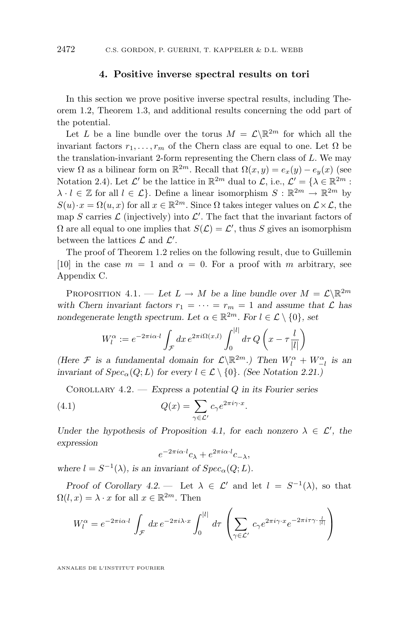#### **4. Positive inverse spectral results on tori**

<span id="page-28-0"></span>In this section we prove positive inverse spectral results, including Theorem [1.2,](#page-5-0) Theorem [1.3,](#page-5-0) and additional results concerning the odd part of the potential.

Let L be a line bundle over the torus  $M = \mathcal{L} \backslash \mathbb{R}^{2m}$  for which all the invariant factors  $r_1, \ldots, r_m$  of the Chern class are equal to one. Let  $\Omega$  be the translation-invariant 2-form representing the Chern class of  $L$ . We may view  $\Omega$  as a bilinear form on  $\mathbb{R}^{2m}$ . Recall that  $\Omega(x, y) = e_x(y) - e_y(x)$  (see Notation [2.4\)](#page-8-0). Let  $\mathcal{L}'$  be the lattice in  $\mathbb{R}^{2m}$  dual to  $\mathcal{L}$ , i.e.,  $\mathcal{L}' = {\lambda \in \mathbb{R}^{2m} : \lambda$  $\lambda \cdot l \in \mathbb{Z}$  for all  $l \in \mathcal{L}$ . Define a linear isomorphism  $S : \mathbb{R}^{2m} \to \mathbb{R}^{2m}$  by  $S(u) \cdot x = \Omega(u, x)$  for all  $x \in \mathbb{R}^{2m}$ . Since  $\Omega$  takes integer values on  $\mathcal{L} \times \mathcal{L}$ , the map S carries  $\mathcal L$  (injectively) into  $\mathcal L'$ . The fact that the invariant factors of  $\Omega$  are all equal to one implies that  $S(\mathcal{L}) = \mathcal{L}'$ , thus S gives an isomorphism between the lattices  $\mathcal L$  and  $\mathcal L'$ .

The proof of Theorem [1.2](#page-5-0) relies on the following result, due to Guillemin [\[10\]](#page-56-0) in the case  $m = 1$  and  $\alpha = 0$ . For a proof with m arbitrary, see Appendix C.

PROPOSITION 4.1. — Let  $L \to M$  be a line bundle over  $M = \mathcal{L} \backslash \mathbb{R}^{2m}$ with Chern invariant factors  $r_1 = \cdots = r_m = 1$  and assume that  $\mathcal L$  has *nondegenerate length spectrum. Let*  $\alpha \in \mathbb{R}^{2m}$ *. For*  $l \in \mathcal{L} \setminus \{0\}$ *, set* 

$$
W_l^{\alpha} := e^{-2\pi i \alpha \cdot l} \int_{\mathcal{F}} dx \, e^{2\pi i \Omega(x,l)} \int_0^{|l|} d\tau \, Q\left(x - \tau \frac{l}{|l|}\right)
$$

*(Here*  $\mathcal{F}$  *is a fundamental domain for*  $\mathcal{L}\backslash\mathbb{R}^{2m}$ *.) Then*  $W_l^{\alpha} + W_{-l}^{\alpha}$  *is an invariant of*  $Spec_{\alpha}(Q; L)$  *for every*  $l \in \mathcal{L} \setminus \{0\}$ *. (See Notation [2.21.](#page-15-0))* 

Corollary 4.2. — *Express a potential* Q *in its Fourier series*

(4.1) 
$$
Q(x) = \sum_{\gamma \in \mathcal{L}'} c_{\gamma} e^{2\pi i \gamma \cdot x}
$$

*Under the hypothesis of Proposition 4.1, for each nonzero*  $\lambda \in \mathcal{L}'$ , the *expression*

.

$$
e^{-2\pi i \alpha \cdot l} c_{\lambda} + e^{2\pi i \alpha \cdot l} c_{-\lambda},
$$

where  $l = S^{-1}(\lambda)$ *, is an invariant of*  $Spec_{\alpha}(Q; L)$ *.* 

*Proof of Corollary* 4.2. — Let  $\lambda \in \mathcal{L}'$  and let  $l = S^{-1}(\lambda)$ , so that  $\Omega(l, x) = \lambda \cdot x$  for all  $x \in \mathbb{R}^{2m}$ . Then

$$
W_l^{\alpha} = e^{-2\pi i \alpha \cdot l} \int_{\mathcal{F}} dx \, e^{-2\pi i \lambda \cdot x} \int_0^{|l|} d\tau \left( \sum_{\gamma \in \mathcal{L}'} c_{\gamma} e^{2\pi i \gamma \cdot x} e^{-2\pi i \tau \gamma \cdot \frac{l}{|l|}} \right)
$$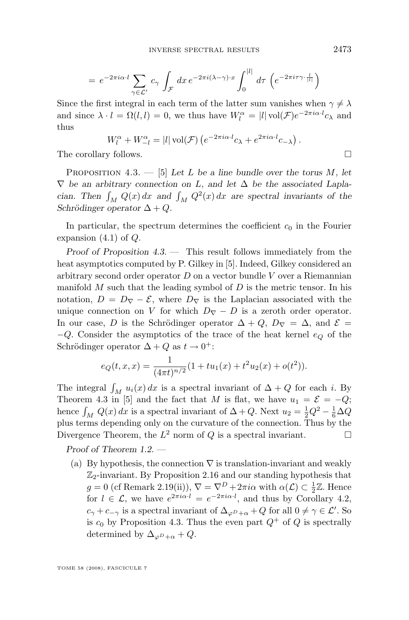<span id="page-29-0"></span>
$$
= e^{-2\pi i \alpha \cdot l} \sum_{\gamma \in \mathcal{L}'} c_{\gamma} \int_{\mathcal{F}} dx \, e^{-2\pi i (\lambda - \gamma) \cdot x} \int_0^{|l|} d\tau \, \left( e^{-2\pi i \tau \gamma \cdot \frac{l}{|l|}} \right)
$$

Since the first integral in each term of the latter sum vanishes when  $\gamma \neq \lambda$ and since  $\lambda \cdot l = \Omega(l, l) = 0$ , we thus have  $W_l^{\alpha} = |l| \text{vol}(\mathcal{F}) e^{-2\pi i \alpha \cdot l} c_{\lambda}$  and thus

$$
W_l^{\alpha} + W_{-l}^{\alpha} = |l| \operatorname{vol}(\mathcal{F}) \left( e^{-2\pi i \alpha \cdot l} c_{\lambda} + e^{2\pi i \alpha \cdot l} c_{-\lambda} \right).
$$

The corollary follows.

Proposition 4.3. — [\[5\]](#page-56-0) *Let* L *be a line bundle over the torus* M*, let* ∇ *be an arbitrary connection on* L*, and let* ∆ *be the associated Laplacian.* Then  $\int_M Q(x) dx$  and  $\int_M Q^2(x) dx$  are spectral invariants of the *Schrödinger operator*  $\Delta + Q$ .

In particular, the spectrum determines the coefficient  $c_0$  in the Fourier expansion  $(4.1)$  of  $Q$ .

*Proof of Proposition 4.3. —* This result follows immediately from the heat asymptotics computed by P. Gilkey in [\[5\]](#page-56-0). Indeed, Gilkey considered an arbitrary second order operator  $D$  on a vector bundle  $V$  over a Riemannian manifold  $M$  such that the leading symbol of  $D$  is the metric tensor. In his notation,  $D = D_{\nabla} - \mathcal{E}$ , where  $D_{\nabla}$  is the Laplacian associated with the unique connection on V for which  $D_{\nabla} - D$  is a zeroth order operator. In our case, D is the Schrödinger operator  $\Delta + Q$ ,  $D_{\nabla} = \Delta$ , and  $\mathcal{E} =$  $-Q$ . Consider the asymptotics of the trace of the heat kernel  $e_Q$  of the Schrödinger operator  $\Delta + Q$  as  $t \to 0^+$ :

$$
e_Q(t, x, x) = \frac{1}{(4\pi t)^{n/2}} (1 + tu_1(x) + t^2 u_2(x) + o(t^2)).
$$

The integral  $\int_M u_i(x) dx$  is a spectral invariant of  $\Delta + Q$  for each i. By Theorem 4.3 in [\[5\]](#page-56-0) and the fact that M is flat, we have  $u_1 = \mathcal{E} = -Q$ ; hence  $\int_M Q(x) dx$  is a spectral invariant of  $\Delta + Q$ . Next  $u_2 = \frac{1}{2}Q^2 - \frac{1}{6}\Delta Q$ plus terms depending only on the curvature of the connection. Thus by the Divergence Theorem, the  $L^2$  norm of Q is a spectral invariant.

*Proof of Theorem [1.2.](#page-5-0) —*

(a) By hypothesis, the connection  $\nabla$  is translation-invariant and weakly  $\mathbb{Z}_2$ -invariant. By Proposition [2.16](#page-12-0) and our standing hypothesis that  $g = 0$  (cf Remark [2.19\(](#page-14-0)ii)),  $\nabla = \nabla^D + 2\pi i \alpha$  with  $\alpha(\mathcal{L}) \subset \frac{1}{2}\mathbb{Z}$ . Hence  $g = 0$  (cf richard 2.15(n)),  $v = v + 2\pi i \alpha$  with  $\alpha(z) \leq 2\alpha$ . Hence  $c_{\gamma} + c_{-\gamma}$  is a spectral invariant of  $\Delta_{\varphi D+\alpha} + Q$  for all  $0 \neq \gamma \in \mathcal{L}'$ . So is  $c_0$  by Proposition 4.3. Thus the even part  $Q^+$  of Q is spectrally determined by  $\Delta_{\varphi D+\alpha}+Q$ .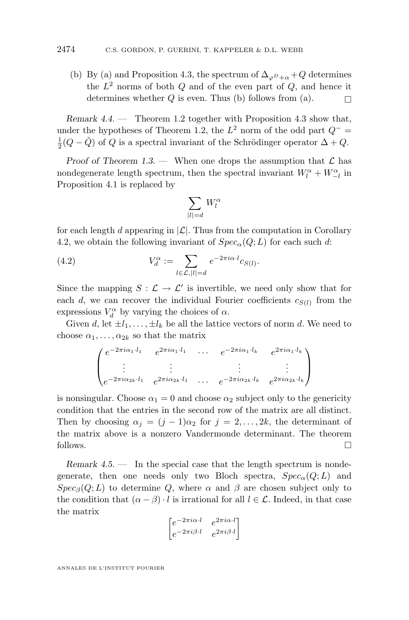<span id="page-30-0"></span>(b) By (a) and Proposition [4.3,](#page-29-0) the spectrum of  $\Delta_{\varphi P + \alpha} + Q$  determines the  $L^2$  norms of both  $Q$  and of the even part of  $Q$ , and hence it determines whether  $Q$  is even. Thus (b) follows from (a).

*Remark 4.4. —* Theorem [1.2](#page-5-0) together with Proposition [4.3](#page-29-0) show that, under the hypotheses of Theorem [1.2,](#page-5-0) the  $L^2$  norm of the odd part  $Q^-$  =  $\frac{1}{2}(Q - \check{Q})$  of  $Q$  is a spectral invariant of the Schrödinger operator  $\Delta + Q$ .

*Proof of Theorem [1.3.](#page-5-0)* — When one drops the assumption that  $\mathcal{L}$  has nondegenerate length spectrum, then the spectral invariant  $W_l^\alpha+W_{-l}^\alpha$  in Proposition [4.1](#page-28-0) is replaced by

$$
\sum_{|l|=d} W_l^{\alpha}
$$

for each length d appearing in  $|\mathcal{L}|$ . Thus from the computation in Corollary [4.2,](#page-28-0) we obtain the following invariant of  $Spec_{\alpha}(Q;L)$  for each such d:

(4.2) 
$$
V_d^{\alpha} := \sum_{l \in \mathcal{L}, |l| = d} e^{-2\pi i \alpha \cdot l} c_{S(l)}.
$$

Since the mapping  $S : \mathcal{L} \to \mathcal{L}'$  is invertible, we need only show that for each d, we can recover the individual Fourier coefficients  $c_{S(l)}$  from the expressions  $V_d^{\alpha}$  by varying the choices of  $\alpha$ .

Given d, let  $\pm l_1, \ldots, \pm l_k$  be all the lattice vectors of norm d. We need to choose  $\alpha_1, \ldots, \alpha_{2k}$  so that the matrix

$$
\begin{pmatrix} e^{-2\pi i \alpha_1 \cdot l_1} & e^{2\pi i \alpha_1 \cdot l_1} & \cdots & e^{-2\pi i \alpha_1 \cdot l_k} & e^{2\pi i \alpha_1 \cdot l_k} \\ \vdots & \vdots & & \vdots & \vdots \\ e^{-2\pi i \alpha_{2k} \cdot l_1} & e^{2\pi i \alpha_{2k} \cdot l_1} & \cdots & e^{-2\pi i \alpha_{2k} \cdot l_k} & e^{2\pi i \alpha_{2k} \cdot l_k} \end{pmatrix}
$$

is nonsingular. Choose  $\alpha_1 = 0$  and choose  $\alpha_2$  subject only to the genericity condition that the entries in the second row of the matrix are all distinct. Then by choosing  $\alpha_j = (j-1)\alpha_2$  for  $j = 2, \ldots, 2k$ , the determinant of the matrix above is a nonzero Vandermonde determinant. The theorem follows.

*Remark 4.5.* — In the special case that the length spectrum is nondegenerate, then one needs only two Bloch spectra,  $Spec_{\alpha}(Q;L)$  and  $Spec_{\beta}(Q;L)$  to determine Q, where  $\alpha$  and  $\beta$  are chosen subject only to the condition that  $(\alpha - \beta) \cdot l$  is irrational for all  $l \in \mathcal{L}$ . Indeed, in that case the matrix

$$
\begin{bmatrix} e^{-2\pi i \alpha \cdot l} & e^{2\pi i \alpha \cdot l} \\ e^{-2\pi i \beta \cdot l} & e^{2\pi i \beta \cdot l} \end{bmatrix}
$$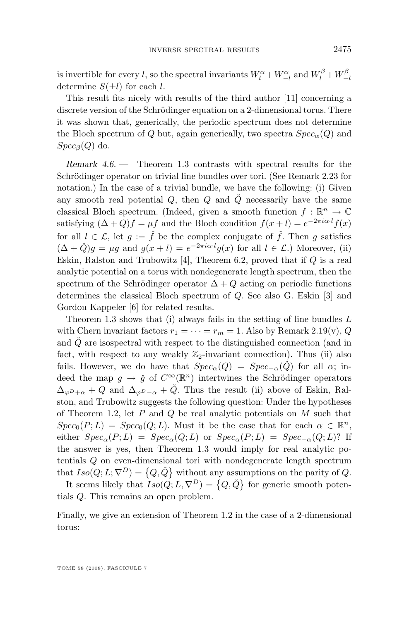<span id="page-31-0"></span>is invertible for every l, so the spectral invariants  $W_l^{\alpha} + W_{-l}^{\alpha}$  and  $W_l^{\beta} + W_{-l}^{\beta}$ determine  $S(\pm l)$  for each l.

This result fits nicely with results of the third author [\[11\]](#page-56-0) concerning a discrete version of the Schrödinger equation on a 2-dimensional torus. There it was shown that, generically, the periodic spectrum does not determine the Bloch spectrum of Q but, again generically, two spectra  $Spec_{\alpha}(Q)$  and  $Spec_{\beta}(Q)$  do.

*Remark 4.6. —* Theorem [1.3](#page-5-0) contrasts with spectral results for the Schrödinger operator on trivial line bundles over tori. (See Remark [2.23](#page-16-0) for notation.) In the case of a trivial bundle, we have the following: (i) Given any smooth real potential  $Q$ , then  $Q$  and  $\tilde{Q}$  necessarily have the same classical Bloch spectrum. (Indeed, given a smooth function  $f : \mathbb{R}^n \to \mathbb{C}$ satisfying  $(\Delta + Q)f = \mu f$  and the Bloch condition  $f(x+l) = e^{-2\pi i \alpha \cdot l} f(x)$ for all  $l \in \mathcal{L}$ , let  $g := \overline{\widetilde{f}}$  be the complex conjugate of  $\widetilde{f}$ . Then g satisfies  $(\Delta + \check{Q})g = \mu g$  and  $g(x+l) = e^{-2\pi i \alpha \cdot l} g(x)$  for all  $l \in \mathcal{L}$ .) Moreover, (ii) Eskin, Ralston and Trubowitz  $[4]$ , Theorem 6.2, proved that if  $Q$  is a real analytic potential on a torus with nondegenerate length spectrum, then the spectrum of the Schrödinger operator  $\Delta + Q$  acting on periodic functions determines the classical Bloch spectrum of Q. See also G. Eskin [\[3\]](#page-56-0) and Gordon Kappeler [\[6\]](#page-56-0) for related results.

Theorem [1.3](#page-5-0) shows that (i) always fails in the setting of line bundles  $L$ with Chern invariant factors  $r_1 = \cdots = r_m = 1$ . Also by Remark [2.19\(](#page-14-0)v), Q and  $Q$  are isospectral with respect to the distinguished connection (and in fact, with respect to any weakly  $\mathbb{Z}_2$ -invariant connection). Thus (ii) also fails. However, we do have that  $Spec_{\alpha}(Q) = Spec_{-\alpha}(Q)$  for all  $\alpha$ ; indeed the map  $g \to \check{g}$  of  $C^{\infty}(\mathbb{R}^n)$  intertwines the Schrödinger operators  $\Delta_{\varphi P+\alpha}+Q$  and  $\Delta_{\varphi P-\alpha}+\check{Q}$ . Thus the result (ii) above of Eskin, Ralston, and Trubowitz suggests the following question: Under the hypotheses of Theorem [1.2,](#page-5-0) let  $P$  and  $Q$  be real analytic potentials on  $M$  such that  $Spec_0(P; L) = Spec_0(Q; L)$ . Must it be the case that for each  $\alpha \in \mathbb{R}^n$ , either  $Spec_{\alpha}(P;L) = Spec_{\alpha}(Q;L)$  or  $Spec_{\alpha}(P;L) = Spec_{-\alpha}(Q;L)$ ? If the answer is yes, then Theorem [1.3](#page-5-0) would imply for real analytic potentials Q on even-dimensional tori with nondegenerate length spectrum that  $Iso(Q; L; \nabla^D) = \{Q, \check{Q}\}\$  without any assumptions on the parity of Q.

It seems likely that  $Iso(Q; L, \nabla^D) = \{Q, \check{Q}\}\$ for generic smooth potentials Q. This remains an open problem.

Finally, we give an extension of Theorem [1.2](#page-5-0) in the case of a 2-dimensional torus: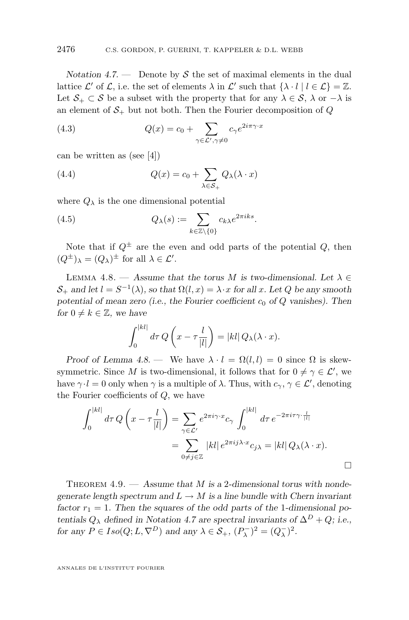<span id="page-32-0"></span>*Notation 4.7.* — Denote by S the set of maximal elements in the dual lattice  $\mathcal{L}'$  of  $\mathcal{L}$ , i.e. the set of elements  $\lambda$  in  $\mathcal{L}'$  such that  $\{\lambda \cdot l \mid l \in \mathcal{L}\} = \mathbb{Z}$ . Let  $S_+ \subset S$  be a subset with the property that for any  $\lambda \in S$ ,  $\lambda$  or  $-\lambda$  is an element of  $S_+$  but not both. Then the Fourier decomposition of  $Q$ 

(4.3) 
$$
Q(x) = c_0 + \sum_{\gamma \in \mathcal{L}', \gamma \neq 0} c_{\gamma} e^{2i\pi \gamma \cdot x}
$$

can be written as (see [\[4\]](#page-56-0))

(4.4) 
$$
Q(x) = c_0 + \sum_{\lambda \in S_+} Q_{\lambda}(\lambda \cdot x)
$$

where  $Q_{\lambda}$  is the one dimensional potential

(4.5) 
$$
Q_{\lambda}(s) := \sum_{k \in \mathbb{Z} \setminus \{0\}} c_{k\lambda} e^{2\pi iks}.
$$

Note that if  $Q^{\pm}$  are the even and odd parts of the potential Q, then  $(Q^{\pm})_{\lambda} = (Q_{\lambda})^{\pm}$  for all  $\lambda \in \mathcal{L}'$ .

LEMMA 4.8. — Assume that the torus M is two-dimensional. Let  $\lambda \in$  $S_+$  and let  $l = S^{-1}(\lambda)$ , so that  $\Omega(l, x) = \lambda \cdot x$  for all x. Let Q be any smooth potential of mean zero (i.e., the Fourier coefficient  $c_0$  of  $Q$  vanishes). Then *for*  $0 \neq k \in \mathbb{Z}$ *, we have* 

$$
\int_0^{|kl|} d\tau Q\left(x - \tau \frac{l}{|l|}\right) = |kl| Q_\lambda(\lambda \cdot x).
$$

*Proof of Lemma 4.8.* — We have  $\lambda \cdot l = \Omega(l, l) = 0$  since  $\Omega$  is skewsymmetric. Since M is two-dimensional, it follows that for  $0 \neq \gamma \in \mathcal{L}'$ , we have  $\gamma \cdot l = 0$  only when  $\gamma$  is a multiple of  $\lambda$ . Thus, with  $c_{\gamma}, \gamma \in \mathcal{L}'$ , denoting the Fourier coefficients of  $Q$ , we have

$$
\int_0^{|kl|} d\tau Q\left(x - \tau \frac{l}{|l|}\right) = \sum_{\gamma \in \mathcal{L}'} e^{2\pi i \gamma \cdot x} c_{\gamma} \int_0^{|kl|} d\tau e^{-2\pi i \tau \gamma \cdot \frac{l}{|l|}}
$$

$$
= \sum_{0 \neq j \in \mathbb{Z}} |kl| e^{2\pi i j \lambda \cdot x} c_{j\lambda} = |kl| Q_{\lambda}(\lambda \cdot x).
$$

THEOREM 4.9. — Assume that M is a 2-dimensional torus with nonde*generate length spectrum and*  $L \rightarrow M$  *is a line bundle with Chern invariant* factor  $r_1 = 1$ . Then the squares of the odd parts of the 1-dimensional po*tentials*  $Q_{\lambda}$  *defined in Notation* [4.7](#page-31-0) *are spectral invariants of*  $\Delta^{D} + Q$ *; i.e., for any*  $P \in Iso(Q; L, \nabla^D)$  *and any*  $\lambda \in S_+, (P_\lambda^-)^2 = (Q_\lambda^-)^2$ *.*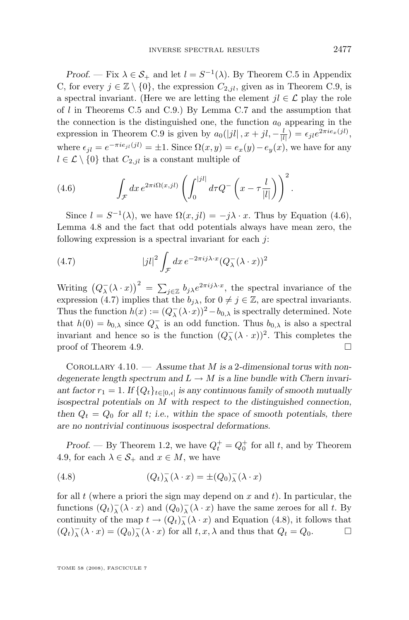<span id="page-33-0"></span>*Proof.* — Fix  $\lambda \in \mathcal{S}_+$  and let  $l = S^{-1}(\lambda)$ . By Theorem [C.5](#page-46-0) in Appendix [C,](#page-42-0) for every  $j \in \mathbb{Z} \setminus \{0\}$ , the expression  $C_{2,il}$ , given as in Theorem [C.9,](#page-48-0) is a spectral invariant. (Here we are letting the element  $jl \in \mathcal{L}$  play the role of  $l$  in Theorems [C.5](#page-46-0) and [C.9.](#page-48-0)) By Lemma [C.7](#page-47-0) and the assumption that the connection is the distinguished one, the function  $a_0$  appearing in the expression in Theorem [C.9](#page-48-0) is given by  $a_0(|jl|, x+jl, -\frac{l}{|l|}) = \epsilon_{jl}e^{2\pi i e_x(jl)},$ where  $\epsilon_{jl} = e^{-\pi i e_{jl}(jl)} = \pm 1$ . Since  $\Omega(x, y) = e_x(y) - e_y(x)$ , we have for any  $l \in \mathcal{L} \setminus \{0\}$  that  $C_{2,il}$  is a constant multiple of

(4.6) 
$$
\int_{\mathcal{F}} dx e^{2\pi i \Omega(x,jl)} \left( \int_0^{|jl|} d\tau Q^- \left( x - \tau \frac{l}{|l|} \right) \right)^2.
$$

Since  $l = S^{-1}(\lambda)$ , we have  $\Omega(x, jl) = -j\lambda \cdot x$ . Thus by Equation (4.6), Lemma [4.8](#page-32-0) and the fact that odd potentials always have mean zero, the following expression is a spectral invariant for each  $i$ :

(4.7) 
$$
|jl|^2 \int_{\mathcal{F}} dx \, e^{-2\pi i j\lambda \cdot x} (Q_\lambda^-(\lambda \cdot x))^2
$$

Writing  $(Q_\lambda^-(\lambda \cdot x))^2 = \sum_{j \in \mathbb{Z}} b_{j\lambda} e^{2\pi i j\lambda \cdot x}$ , the spectral invariance of the expression (4.7) implies that the  $b_{i\lambda}$ , for  $0 \neq j \in \mathbb{Z}$ , are spectral invariants. Thus the function  $h(x) := (Q^-_{\lambda}(\lambda \cdot x))^2 - b_{0,\lambda}$  is spectrally determined. Note that  $h(0) = b_{0,\lambda}$  since  $Q_{\lambda}^-$  is an odd function. Thus  $b_{0,\lambda}$  is also a spectral invariant and hence so is the function  $(Q_\lambda^-(\lambda \cdot x))^2$ . This completes the proof of Theorem [4.9.](#page-32-0)

Corollary 4.10. — *Assume that* M *is a* 2*-dimensional torus with nondegenerate length spectrum and*  $L \rightarrow M$  *is a line bundle with Chern invari*ant factor  $r_1 = 1$ . If  $\{Q_t\}_{t \in [0,\epsilon]}$  is any continuous family of smooth mutually *isospectral potentials on* M *with respect to the distinguished connection,* then  $Q_t = Q_0$  for all t; i.e., within the space of smooth potentials, there *are no nontrivial continuous isospectral deformations.*

*Proof.* — By Theorem [1.2,](#page-5-0) we have  $Q_t^+ = Q_0^+$  for all t, and by Theorem [4.9,](#page-32-0) for each  $\lambda \in \mathcal{S}_+$  and  $x \in M$ , we have

(4.8) 
$$
(Q_t)_{\lambda}^{-}(\lambda \cdot x) = \pm (Q_0)_{\lambda}^{-}(\lambda \cdot x)
$$

for all  $t$  (where a priori the sign may depend on  $x$  and  $t$ ). In particular, the functions  $(Q_t)_\lambda^-(\lambda \cdot x)$  and  $(Q_0)_\lambda^-(\lambda \cdot x)$  have the same zeroes for all t. By continuity of the map  $t \to (Q_t)^{-}_{\lambda}(\lambda \cdot x)$  and Equation (4.8), it follows that  $(Q_t)_{\lambda}^-(\lambda \cdot x) = (Q_0)_{\lambda}^-(\lambda \cdot x)$  for all  $t, x, \lambda$  and thus that  $Q_t = Q_0$ .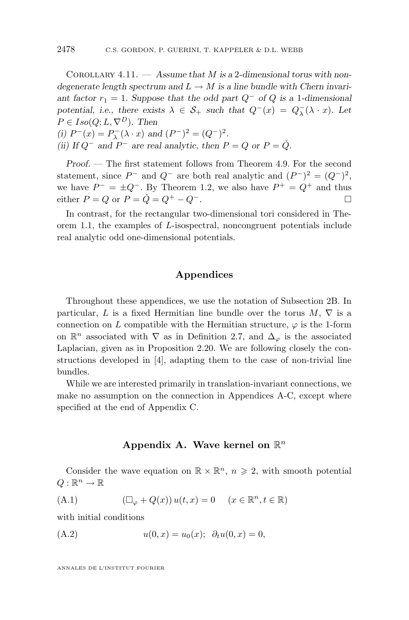<span id="page-34-0"></span>Corollary 4.11. — *Assume that* M *is a* 2*-dimensional torus with nondegenerate length spectrum and*  $L \rightarrow M$  *is a line bundle with Chern invari*ant factor  $r_1 = 1$ . Suppose that the odd part  $Q^-$  of  $Q$  is a 1-dimensional *potential, i.e., there exists*  $\lambda \in S_+$  *such that*  $Q^-(x) = Q^-(\lambda \cdot x)$ *. Let*  $P \in Iso(Q; L, \nabla^D)$ *. Then* (*i*)  $P^-(x) = P^-_\lambda(\lambda \cdot x)$  and  $(P^-)^2 = (Q^-)^2$ . *(ii)* If  $Q^-$  and  $P^-$  are real analytic, then  $P = Q$  or  $P = \check{Q}$ .

*Proof. —* The first statement follows from Theorem [4.9.](#page-32-0) For the second statement, since  $P^-$  and  $Q^-$  are both real analytic and  $(P^-)^2 = (Q^-)^2$ , we have  $P^- = \pm Q^-$ . By Theorem [1.2,](#page-5-0) we also have  $P^+ = Q^+$  and thus either  $P = Q$  or  $P = \check{Q} = Q^+ - Q^-$ .

In contrast, for the rectangular two-dimensional tori considered in Theorem [1.1,](#page-4-0) the examples of L-isospectral, noncongruent potentials include real analytic odd one-dimensional potentials.

#### **Appendices**

Throughout these appendices, we use the notation of Subsection 2B. In particular, L is a fixed Hermitian line bundle over the torus  $M, \nabla$  is a connection on L compatible with the Hermitian structure,  $\varphi$  is the 1-form on  $\mathbb{R}^n$  associated with  $\nabla$  as in Definition [2.7,](#page-10-0) and  $\Delta_{\varphi}$  is the associated Laplacian, given as in Proposition [2.20.](#page-15-0) We are following closely the constructions developed in [\[4\]](#page-56-0), adapting them to the case of non-trivial line bundles.

While we are interested primarily in translation-invariant connections, we make no assumption on the connection in Appendices A-C, except where specified at the end of Appendix C.

#### Appendix A. Wave kernel on  $\mathbb{R}^n$

Consider the wave equation on  $\mathbb{R} \times \mathbb{R}^n$ ,  $n \geq 2$ , with smooth potential  $Q: \mathbb{R}^n \to \mathbb{R}$ 

(A.1) 
$$
(\Box_{\varphi} + Q(x)) u(t, x) = 0 \quad (x \in \mathbb{R}^n, t \in \mathbb{R})
$$

with initial conditions

(A.2) 
$$
u(0, x) = u_0(x); \ \partial_t u(0, x) = 0,
$$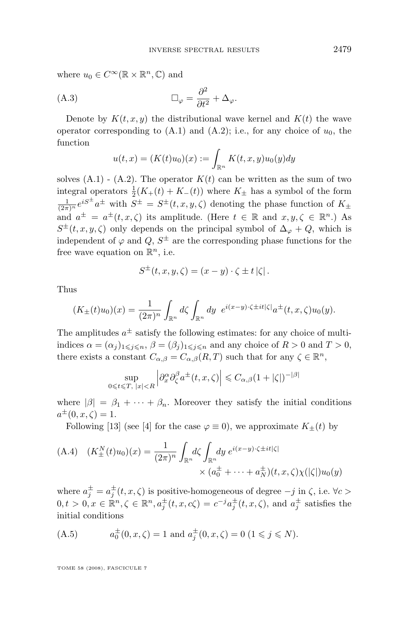<span id="page-35-0"></span>where  $u_0 \in C^\infty(\mathbb{R} \times \mathbb{R}^n, \mathbb{C})$  and

(A.3) 
$$
\Box_{\varphi} = \frac{\partial^2}{\partial t^2} + \Delta_{\varphi}.
$$

Denote by  $K(t, x, y)$  the distributional wave kernel and  $K(t)$  the wave operator corresponding to  $(A.1)$  and  $(A.2)$ ; i.e., for any choice of  $u_0$ , the function

$$
u(t,x) = (K(t)u_0)(x) := \int_{\mathbb{R}^n} K(t,x,y)u_0(y)dy
$$

solves  $(A.1)$  -  $(A.2)$ . The operator  $K(t)$  can be written as the sum of two integral operators  $\frac{1}{2}(K_+(t) + K_-(t))$  where  $K_{\pm}$  has a symbol of the form  $\frac{1}{(2\pi)^n}e^{iS^{\pm}}a^{\pm}$  with  $S^{\pm} = S^{\pm}(t, x, y, \zeta)$  denoting the phase function of  $K_{\pm}$ and  $a^{\pm} = a^{\pm}(t, x, \zeta)$  its amplitude. (Here  $t \in \mathbb{R}$  and  $x, y, \zeta \in \mathbb{R}^n$ .) As  $S^{\pm}(t, x, y, \zeta)$  only depends on the principal symbol of  $\Delta_{\varphi} + Q$ , which is independent of  $\varphi$  and  $Q, S^{\pm}$  are the corresponding phase functions for the free wave equation on  $\mathbb{R}^n$ , i.e.

$$
S^{\pm}(t, x, y, \zeta) = (x - y) \cdot \zeta \pm t |\zeta|.
$$

Thus

$$
(K_{\pm}(t)u_0)(x) = \frac{1}{(2\pi)^n} \int_{\mathbb{R}^n} d\zeta \int_{\mathbb{R}^n} dy \ e^{i(x-y)\cdot\zeta \pm it|\zeta|} a^{\pm}(t,x,\zeta)u_0(y).
$$

The amplitudes  $a^{\pm}$  satisfy the following estimates: for any choice of multiindices  $\alpha = (\alpha_i)_{1 \leq i \leq n}$ ,  $\beta = (\beta_i)_{1 \leq i \leq n}$  and any choice of  $R > 0$  and  $T > 0$ , there exists a constant  $C_{\alpha,\beta} = C_{\alpha,\beta}(R,T)$  such that for any  $\zeta \in \mathbb{R}^n$ ,

$$
\sup_{0\leq t\leq T,\ |x|
$$

where  $|\beta| = \beta_1 + \cdots + \beta_n$ . Moreover they satisfy the initial conditions  $a^{\pm}(0, x, \zeta) = 1.$ 

Following [\[13\]](#page-56-0) (see [\[4\]](#page-56-0) for the case  $\varphi \equiv 0$ ), we approximate  $K_{\pm}(t)$  by

(A.4) 
$$
(K_{\pm}^{N}(t)u_{0})(x) = \frac{1}{(2\pi)^{n}} \int_{\mathbb{R}^{n}} d\zeta \int_{\mathbb{R}^{n}} dy e^{i(x-y)\cdot\zeta \pm it|\zeta|} \times (a_{0}^{\pm} + \dots + a_{N}^{\pm})(t, x, \zeta)\chi(|\zeta|)u_{0}(y)
$$

where  $a_j^{\pm} = a_j^{\pm}(t, x, \zeta)$  is positive-homogeneous of degree  $-j$  in  $\zeta$ , i.e.  $\forall c >$  $0, t > 0, x \in \mathbb{R}^n, \zeta \in \mathbb{R}^n, a_j^{\pm}(t, x, c\zeta) = c^{-j}a_j^{\pm}(t, x, \zeta)$ , and  $a_j^{\pm}$  satisfies the initial conditions

(A.5) 
$$
a_0^{\pm}(0, x, \zeta) = 1 \text{ and } a_j^{\pm}(0, x, \zeta) = 0 \ (1 \leq j \leq N).
$$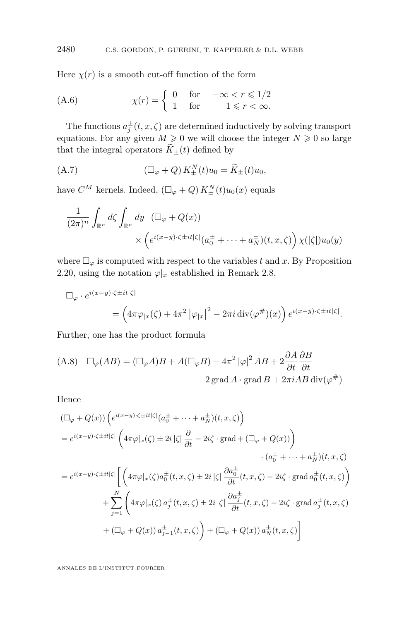Here  $\chi(r)$  is a smooth cut-off function of the form

(A.6) 
$$
\chi(r) = \begin{cases} 0 & \text{for } -\infty < r \leq 1/2 \\ 1 & \text{for } 1 \leq r < \infty. \end{cases}
$$

The functions  $a_j^{\pm}(t, x, \zeta)$  are determined inductively by solving transport equations. For any given  $M \geq 0$  we will choose the integer  $N \geq 0$  so large that the integral operators  $\widetilde{K}_{\pm}(t)$  defined by

(A.7) 
$$
\left(\Box_{\varphi} + Q\right) K_{\pm}^{N}(t) u_{0} = \widetilde{K}_{\pm}(t) u_{0},
$$

have  $C^M$  kernels. Indeed,  $\left(\Box_{\varphi} + Q\right) K^N_{\pm}(t) u_0(x)$  equals

$$
\frac{1}{(2\pi)^n} \int_{\mathbb{R}^n} d\zeta \int_{\mathbb{R}^n} dy \quad (\Box_\varphi + Q(x))
$$

$$
\times \left( e^{i(x-y)\cdot\zeta \pm it|\zeta|} (a_0^{\pm} + \dots + a_N^{\pm})(t, x, \zeta) \right) \chi(|\zeta|) u_0(y)
$$

where  $\Box_{\varphi}$  is computed with respect to the variables t and x. By Proposition [2.20,](#page-15-0) using the notation  $\varphi|_x$  established in Remark [2.8,](#page-10-0)

$$
\Box_{\varphi} \cdot e^{i(x-y)\cdot\zeta \pm it|\zeta|}
$$
  
=  $\left(4\pi\varphi_{|x}(\zeta) + 4\pi^2 |\varphi_{|x}|^2 - 2\pi i \operatorname{div}(\varphi^{\#})(x)\right) e^{i(x-y)\cdot\zeta \pm it|\zeta|}.$ 

Further, one has the product formula

(A.8) 
$$
\Box_{\varphi}(AB) = (\Box_{\varphi}A)B + A(\Box_{\varphi}B) - 4\pi^2 |\varphi|^2 AB + 2\frac{\partial A}{\partial t} \frac{\partial B}{\partial t}
$$

$$
- 2 \operatorname{grad} A \cdot \operatorname{grad} B + 2\pi i AB \operatorname{div}(\varphi^{\#})
$$

Hence

$$
\begin{split} & (\Box_{\varphi} + Q(x)) \left( e^{i(x-y)\cdot\zeta \pm it|\zeta|} (a_0^{\pm} + \dots + a_N^{\pm})(t, x, \zeta) \right) \\ & = e^{i(x-y)\cdot\zeta \pm it|\zeta|} \left( 4\pi \varphi |_{x}(\zeta) \pm 2i|\zeta| \frac{\partial}{\partial t} - 2i\zeta \cdot \text{grad} + (\Box_{\varphi} + Q(x)) \right) \\ & \qquad \qquad \cdot (a_0^{\pm} + \dots + a_N^{\pm})(t, x, \zeta) \\ & = e^{i(x-y)\cdot\zeta \pm it|\zeta|} \left[ \left( 4\pi \varphi |_{x}(\zeta) a_0^{\pm}(t, x, \zeta) \pm 2i|\zeta| \frac{\partial a_0^{\pm}}{\partial t}(t, x, \zeta) - 2i\zeta \cdot \text{grad} a_0^{\pm}(t, x, \zeta) \right) \\ & \qquad \qquad + \sum_{j=1}^N \left( 4\pi \varphi |_{x}(\zeta) a_j^{\pm}(t, x, \zeta) \pm 2i|\zeta| \frac{\partial a_j^{\pm}}{\partial t}(t, x, \zeta) - 2i\zeta \cdot \text{grad} a_j^{\pm}(t, x, \zeta) \right) \\ & \qquad \qquad + (\Box_{\varphi} + Q(x)) a_{j-1}^{\pm}(t, x, \zeta) \right) + (\Box_{\varphi} + Q(x)) a_N^{\pm}(t, x, \zeta) \right] \end{split}
$$

<span id="page-36-0"></span>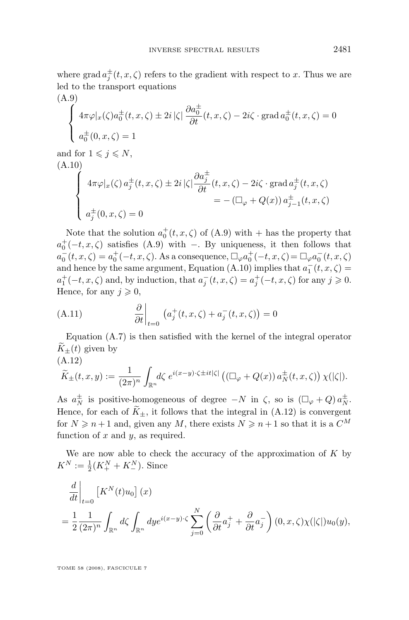<span id="page-37-0"></span>where grad  $a_j^{\pm}(t, x, \zeta)$  refers to the gradient with respect to x. Thus we are led to the transport equations

(A.9)  
\n
$$
\begin{cases}\n4\pi\varphi|_x(\zeta)a_0^{\pm}(t, x, \zeta) \pm 2i|\zeta| \frac{\partial a_0^{\pm}}{\partial t}(t, x, \zeta) - 2i\zeta \cdot \text{grad } a_0^{\pm}(t, x, \zeta) = 0 \\
a_0^{\pm}(0, x, \zeta) = 1\n\end{cases}
$$
\nand for  $1 \leq j \leq N$ ,  
\n(A.10)  
\n
$$
\begin{cases}\n4\pi\varphi|_x(\zeta)a_j^{\pm}(t, x, \zeta) \pm 2i|\zeta| \frac{\partial a_j^{\pm}}{\partial t}(t, x, \zeta) - 2i\zeta \cdot \text{grad } a_j^{\pm}(t, x, \zeta) \\
= -(\square_{\varphi} + Q(x)) a_{j-1}^{\pm}(t, x, \zeta) \\
a_j^{\pm}(0, x, \zeta) = 0\n\end{cases}
$$

Note that the solution  $a_0^+(t, x, \zeta)$  of  $(A.9)$  with  $+$  has the property that  $a_0^+(-t, x, \zeta)$  satisfies (A.9) with −. By uniqueness, it then follows that  $a_0^-(t, x, \zeta) = a_0^+(-t, x, \zeta)$ . As a consequence,  $\Box_{\varphi} a_0^+(-t, x, \zeta) = \Box_{\varphi} a_0^-(t, x, \zeta)$ and hence by the same argument, Equation (A.10) implies that  $a_1^-(t, x, \zeta) =$  $a_1^+(-t, x, \zeta)$  and, by induction, that  $a_j^-(t, x, \zeta) = a_j^+(-t, x, \zeta)$  for any  $j \geqslant 0$ . Hence, for any  $j \geqslant 0$ ,

(A.11) 
$$
\left.\frac{\partial}{\partial t}\right|_{t=0} \left(a_j^+(t,x,\zeta) + a_j^-(t,x,\zeta)\right) = 0
$$

Equation [\(A.7\)](#page-36-0) is then satisfied with the kernel of the integral operator  $\tilde{K}_{+}(t)$  given by (A.12)

$$
\widetilde{K}_{\pm}(t,x,y) := \frac{1}{(2\pi)^n} \int_{\mathbb{R}^n} d\zeta \; e^{i(x-y)\cdot\zeta \pm it|\zeta|} \left( \left( \Box_{\varphi} + Q(x) \right) a_N^{\pm}(t,x,\zeta) \right) \chi(|\zeta|).
$$

As  $a_N^{\pm}$  is positive-homogeneous of degree  $-N$  in  $\zeta$ , so is  $(\Box_{\varphi} + Q) a_N^{\pm}$ . Hence, for each of  $\widetilde{K}_{\pm}$ , it follows that the integral in (A.12) is convergent for  $N \geq n+1$  and, given any M, there exists  $N \geq n+1$  so that it is a  $C^M$ function of  $x$  and  $y$ , as required.

We are now able to check the accuracy of the approximation of  $K$  by  $K^N := \frac{1}{2}(K^N_+ + K^N_-).$  Since

$$
\begin{split}\n\frac{d}{dt}\bigg|_{t=0} \left[K^N(t)u_0\right](x) \\
&= \frac{1}{2} \frac{1}{(2\pi)^n} \int_{\mathbb{R}^n} d\zeta \int_{\mathbb{R}^n} dy e^{i(x-y)\cdot\zeta} \sum_{j=0}^N \left(\frac{\partial}{\partial t} a_j^+ + \frac{\partial}{\partial t} a_j^-\right)(0, x, \zeta)\chi(|\zeta|)u_0(y),\n\end{split}
$$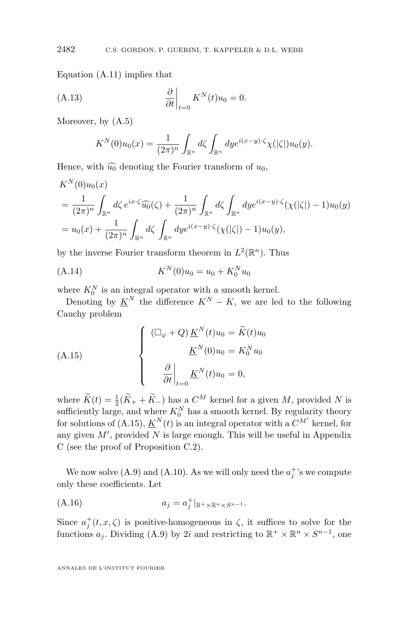Equation [\(A.11\)](#page-37-0) implies that

$$
\frac{\partial}{\partial t}\bigg|_{t=0} K^N(t)u_0 = 0.
$$

Moreover, by [\(A.5\)](#page-35-0)

$$
K^N(0)u_0(x) = \frac{1}{(2\pi)^n} \int_{\mathbb{R}^n} d\zeta \int_{\mathbb{R}^n} dy e^{i(x-y)\cdot \zeta} \chi(|\zeta|)u_0(y).
$$

Hence, with  $\widehat{u_0}$  denoting the Fourier transform of  $u_0$ ,

$$
K^{N}(0)u_{0}(x)
$$
  
=  $\frac{1}{(2\pi)^{n}} \int_{\mathbb{R}^{n}} d\zeta e^{ix\cdot\zeta} \widehat{u_{0}}(\zeta) + \frac{1}{(2\pi)^{n}} \int_{\mathbb{R}^{n}} d\zeta \int_{\mathbb{R}^{n}} dy e^{i(x-y)\cdot\zeta} (\chi(|\zeta|) - 1)u_{0}(y)$   
=  $u_{0}(x) + \frac{1}{(2\pi)^{n}} \int_{\mathbb{R}^{n}} d\zeta \int_{\mathbb{R}^{n}} dy e^{i(x-y)\cdot\zeta} (\chi(|\zeta|) - 1)u_{0}(y),$ 

by the inverse Fourier transform theorem in  $L^2(\mathbb{R}^n)$ . Thus

(A.14) 
$$
K^{N}(0)u_{0} = u_{0} + K_{0}^{N}u_{0}
$$

where  $K_0^N$  is an integral operator with a smooth kernel.

Denoting by  $\underline{K}^N$  the difference  $K^N - K$ , we are led to the following Cauchy problem

(A.15)  

$$
\begin{cases}\n(\Box_{\varphi} + Q) \underline{K}^{N}(t)u_{0} = \widetilde{K}(t)u_{0} \\
\underline{K}^{N}(0)u_{0} = K_{0}^{N}u_{0} \\
\frac{\partial}{\partial t}\Big|_{t=0} \underline{K}^{N}(t)u_{0} = 0,\n\end{cases}
$$

where  $\widetilde{K}(t) = \frac{1}{2}(\widetilde{K}_+ + \widetilde{K}_-)$  has a  $C^M$  kernel for a given M, provided N is sufficiently large, and where  $K_0^N$  has a smooth kernel. By regularity theory for solutions of  $(A.15), K^N(t)$  is an integral operator with a  $C^{M'}$  kernel, for any given  $M'$ , provided  $N$  is large enough. This will be useful in Appendix [C](#page-42-0) (see the proof of Proposition [C.2\)](#page-44-0).

We now solve [\(A.9\)](#page-37-0) and [\(A.10\)](#page-37-0). As we will only need the  $a_j^{\dagger}$ 's we compute only these coefficients. Let

$$
(A.16) \t\t a_j = a_j^+|_{\mathbb{R}^+\times\mathbb{R}^n\times S^{n-1}}.
$$

Since  $a_j^+(t, x, \zeta)$  is positive-homogeneous in  $\zeta$ , it suffices to solve for the functions  $a_j$ . Dividing [\(A.9\)](#page-37-0) by 2i and restricting to  $\mathbb{R}^+ \times \mathbb{R}^n \times S^{n-1}$ , one

<span id="page-38-0"></span>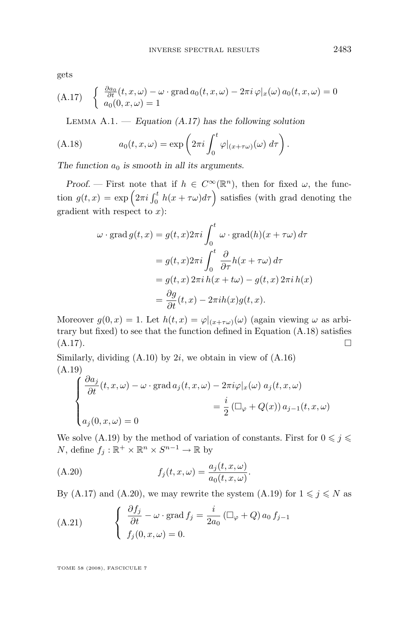<span id="page-39-0"></span>gets

(A.17) 
$$
\begin{cases} \frac{\partial a_0}{\partial t}(t, x, \omega) - \omega \cdot \text{grad } a_0(t, x, \omega) - 2\pi i \varphi|_x(\omega) a_0(t, x, \omega) = 0\\ a_0(0, x, \omega) = 1 \end{cases}
$$

Lemma A.1. — *Equation (A.17) has the following solution*

(A.18) 
$$
a_0(t,x,\omega) = \exp\left(2\pi i \int_0^t \varphi|_{(x+\tau\omega)}(\omega) d\tau\right).
$$

The function  $a_0$  is smooth in all its arguments.

*Proof.* — First note that if  $h \in C^{\infty}(\mathbb{R}^n)$ , then for fixed  $\omega$ , the function  $g(t,x) = \exp\left(2\pi i \int_0^t h(x+\tau\omega)d\tau\right)$  satisfies (with grad denoting the gradient with respect to  $x$ ):

$$
\omega \cdot \operatorname{grad} g(t, x) = g(t, x) 2\pi i \int_0^t \omega \cdot \operatorname{grad}(h)(x + \tau \omega) d\tau
$$

$$
= g(t, x) 2\pi i \int_0^t \frac{\partial}{\partial \tau} h(x + \tau \omega) d\tau
$$

$$
= g(t, x) 2\pi i h(x + t\omega) - g(t, x) 2\pi i h(x)
$$

$$
= \frac{\partial g}{\partial t}(t, x) - 2\pi i h(x) g(t, x).
$$

Moreover  $g(0, x) = 1$ . Let  $h(t, x) = \varphi|_{(x+\tau\omega)}(\omega)$  (again viewing  $\omega$  as arbitrary but fixed) to see that the function defined in Equation (A.18) satisfies  $(A.17).$ 

Similarly, dividing  $(A.10)$  by 2*i*, we obtain in view of  $(A.16)$ (A.19)

$$
\begin{cases}\n\frac{\partial a_j}{\partial t}(t, x, \omega) - \omega \cdot \text{grad } a_j(t, x, \omega) - 2\pi i \varphi|_x(\omega) a_j(t, x, \omega) \\
= \frac{i}{2} \left( \Box_{\varphi} + Q(x) \right) a_{j-1}(t, x, \omega) \\
a_j(0, x, \omega) = 0\n\end{cases}
$$

We solve (A.19) by the method of variation of constants. First for  $0\leqslant j\leqslant$ N, define  $f_j : \mathbb{R}^+ \times \mathbb{R}^n \times S^{n-1} \to \mathbb{R}$  by

(A.20) 
$$
f_j(t, x, \omega) = \frac{a_j(t, x, \omega)}{a_0(t, x, \omega)}.
$$

By (A.17) and (A.20), we may rewrite the system (A.19) for  $1 \leq j \leq N$  as

(A.21) 
$$
\begin{cases} \frac{\partial f_j}{\partial t} - \omega \cdot \text{grad } f_j = \frac{i}{2a_0} \left( \Box_{\varphi} + Q \right) a_0 f_{j-1} \\ f_j(0, x, \omega) = 0. \end{cases}
$$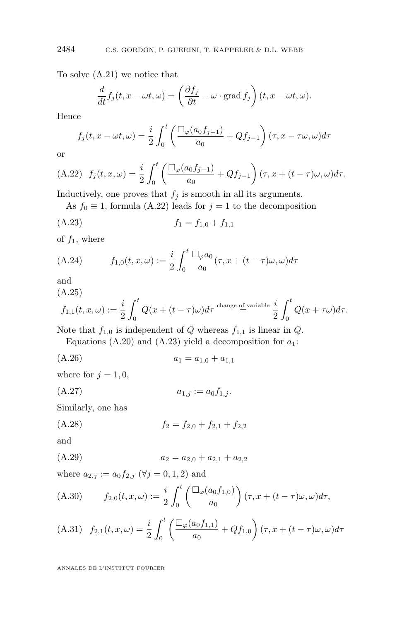To solve [\(A.21\)](#page-39-0) we notice that

$$
\frac{d}{dt}f_j(t, x - \omega t, \omega) = \left(\frac{\partial f_j}{\partial t} - \omega \cdot \text{grad } f_j\right)(t, x - \omega t, \omega).
$$

Hence

$$
f_j(t, x - \omega t, \omega) = \frac{i}{2} \int_0^t \left( \frac{\Box_{\varphi}(a_0 f_{j-1})}{a_0} + Q f_{j-1} \right) (\tau, x - \tau \omega, \omega) d\tau
$$

or

(A.22) 
$$
f_j(t, x, \omega) = \frac{i}{2} \int_0^t \left( \frac{\Box_{\varphi}(a_0 f_{j-1})}{a_0} + Q f_{j-1} \right) (\tau, x + (t - \tau)\omega, \omega) d\tau.
$$

Inductively, one proves that  $f_j$  is smooth in all its arguments.

As  $f_0 \equiv 1$ , formula (A.22) leads for  $j = 1$  to the decomposition

$$
(A.23) \t\t f_1 = f_{1,0} + f_{1,1}
$$

of  $f_1$ , where

(A.24) 
$$
f_{1,0}(t,x,\omega) := \frac{i}{2} \int_0^t \frac{\Box_{\varphi} a_0}{a_0} (\tau, x + (t - \tau)\omega, \omega) d\tau
$$

and

(A.25)

$$
f_{1,1}(t,x,\omega) := \frac{i}{2} \int_0^t Q(x + (t-\tau)\omega) d\tau
$$
<sup>change of variable</sup>  $\frac{i}{2} \int_0^t Q(x + \tau \omega) d\tau$ .

Note that  $f_{1,0}$  is independent of Q whereas  $f_{1,1}$  is linear in Q.

Equations [\(A.20\)](#page-39-0) and (A.23) yield a decomposition for  $a_1$ :

 $(a.26)$   $a_1 = a_{1,0} + a_{1,1}$ 

where for  $j = 1, 0$ ,

$$
(A.27) \t\t\t a_{1,j} := a_0 f_{1,j}.
$$

Similarly, one has

$$
(A.28) \t\t f2 = f2,0 + f2,1 + f2,2
$$

and

$$
(A.29) \t\t\t a_2 = a_{2,0} + a_{2,1} + a_{2,2}
$$

where  $a_{2,j} := a_0 f_{2,j}$  ( $\forall j = 0, 1, 2$ ) and

(A.30) 
$$
f_{2,0}(t,x,\omega) := \frac{i}{2} \int_0^t \left( \frac{\Box_{\varphi}(a_0 f_{1,0})}{a_0} \right) (\tau, x + (t - \tau)\omega, \omega) d\tau,
$$

(A.31) 
$$
f_{2,1}(t,x,\omega) = \frac{i}{2} \int_0^t \left( \frac{\Box_{\varphi}(a_0 f_{1,1})}{a_0} + Q f_{1,0} \right) (\tau, x + (t - \tau)\omega, \omega) d\tau
$$

<span id="page-40-0"></span>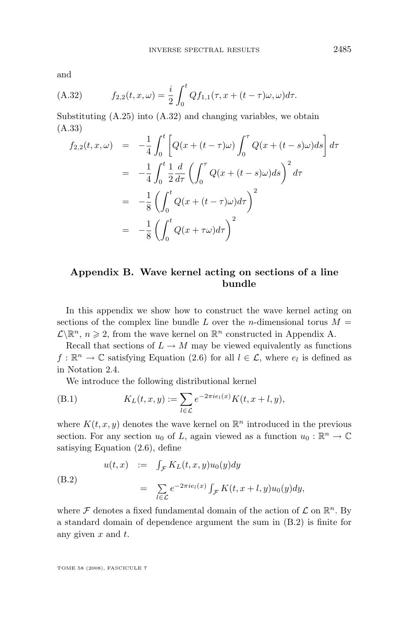<span id="page-41-0"></span>and

(A.32) 
$$
f_{2,2}(t,x,\omega) = \frac{i}{2} \int_0^t Q f_{1,1}(\tau, x + (t - \tau)\omega, \omega) d\tau.
$$

Substituting [\(A.25\)](#page-40-0) into (A.32) and changing variables, we obtain (A.33)

$$
f_{2,2}(t, x, \omega) = -\frac{1}{4} \int_0^t \left[ Q(x + (t - \tau)\omega) \int_0^{\tau} Q(x + (t - s)\omega) ds \right] d\tau
$$
  

$$
= -\frac{1}{4} \int_0^t \frac{1}{2} \frac{d}{d\tau} \left( \int_0^{\tau} Q(x + (t - s)\omega) ds \right)^2 d\tau
$$
  

$$
= -\frac{1}{8} \left( \int_0^t Q(x + (t - \tau)\omega) d\tau \right)^2
$$
  

$$
= -\frac{1}{8} \left( \int_0^t Q(x + \tau\omega) d\tau \right)^2
$$

#### **Appendix B. Wave kernel acting on sections of a line bundle**

In this appendix we show how to construct the wave kernel acting on sections of the complex line bundle L over the *n*-dimensional torus  $M =$  $\mathcal{L}\backslash\mathbb{R}^n$ ,  $n\geqslant 2$ , from the wave kernel on  $\mathbb{R}^n$  constructed in Appendix [A.](#page-34-0)

Recall that sections of  $L \to M$  may be viewed equivalently as functions  $f: \mathbb{R}^n \to \mathbb{C}$  satisfying Equation [\(2.6\)](#page-10-0) for all  $l \in \mathcal{L}$ , where  $e_l$  is defined as in Notation [2.4.](#page-8-0)

We introduce the following distributional kernel

(B.1) 
$$
K_L(t, x, y) := \sum_{l \in \mathcal{L}} e^{-2\pi i e_l(x)} K(t, x + l, y),
$$

where  $K(t, x, y)$  denotes the wave kernel on  $\mathbb{R}^n$  introduced in the previous section. For any section  $u_0$  of L, again viewed as a function  $u_0 : \mathbb{R}^n \to \mathbb{C}$ satisying Equation [\(2.6\)](#page-10-0), define

(B.2)  
\n
$$
u(t,x) := \int_{\mathcal{F}} K_L(t,x,y)u_0(y)dy
$$
\n
$$
= \sum_{l \in \mathcal{L}} e^{-2\pi i e_l(x)} \int_{\mathcal{F}} K(t,x+l,y)u_0(y)dy,
$$

where  $\mathcal F$  denotes a fixed fundamental domain of the action of  $\mathcal L$  on  $\mathbb R^n$ . By a standard domain of dependence argument the sum in (B.2) is finite for any given  $x$  and  $t$ .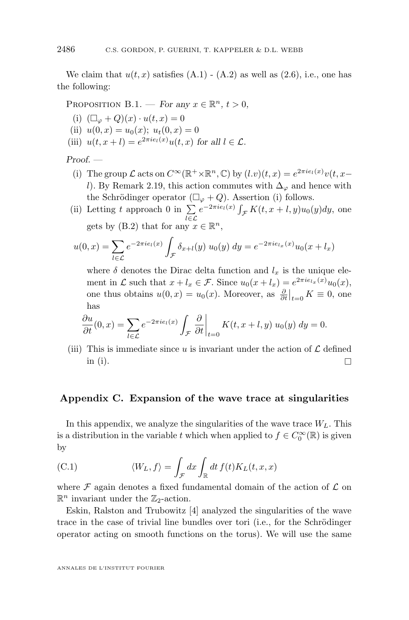<span id="page-42-0"></span>We claim that  $u(t, x)$  satisfies  $(A.1) - (A.2)$  $(A.1) - (A.2)$  $(A.1) - (A.2)$  as well as  $(2.6)$ , i.e., one has the following:

PROPOSITION B.1. — *For any*  $x \in \mathbb{R}^n$ ,  $t > 0$ ,

(i)  $(\Box_{\varphi} + Q)(x) \cdot u(t, x) = 0$ 

- (ii)  $u(0, x) = u_0(x); u_t(0, x) = 0$
- (iii)  $u(t, x + l) = e^{2\pi i e_l(x)} u(t, x)$  for all  $l \in \mathcal{L}$ .

#### *Proof. —*

- (i) The group  $\mathcal L$  acts on  $C^{\infty}(\mathbb{R}^+\times\mathbb{R}^n,\mathbb{C})$  by  $(l.v)(t,x)=e^{2\pi ie_l(x)}v(t,x-$ l). By Remark [2.19,](#page-14-0) this action commutes with  $\Delta_{\varphi}$  and hence with the Schrödinger operator  $(\Box_{\varphi} + Q)$ . Assertion (i) follows.
- (ii) Letting t approach 0 in  $\Sigma$ l∈L  $e^{-2\pi i e_l(x)} \int_{\mathcal{F}} K(t, x+l, y) u_0(y) dy$ , one gets by [\(B.2\)](#page-41-0) that for any  $x \in \mathbb{R}^n$ ,

$$
u(0,x) = \sum_{l \in \mathcal{L}} e^{-2\pi i e_l(x)} \int_{\mathcal{F}} \delta_{x+l}(y) \ u_0(y) \ dy = e^{-2\pi i e_{l_x}(x)} u_0(x + l_x)
$$

where  $\delta$  denotes the Dirac delta function and  $l_x$  is the unique element in  $\mathcal L$  such that  $x + l_x \in \mathcal F$ . Since  $u_0(x + l_x) = e^{2\pi i e_{l_x}(x)} u_0(x)$ , one thus obtains  $u(0, x) = u_0(x)$ . Moreover, as  $\frac{\partial}{\partial t}\big|_{t=0} K \equiv 0$ , one has

$$
\frac{\partial u}{\partial t}(0,x) = \sum_{l \in \mathcal{L}} e^{-2\pi i e_l(x)} \int_{\mathcal{F}} \left. \frac{\partial}{\partial t} \right|_{t=0} K(t,x+l,y) \ u_0(y) \ dy = 0.
$$

(iii) This is immediate since u is invariant under the action of  $\mathcal L$  defined in (i).

#### **Appendix C. Expansion of the wave trace at singularities**

In this appendix, we analyze the singularities of the wave trace  $W_L$ . This is a distribution in the variable t which when applied to  $f \in C_0^{\infty}(\mathbb{R})$  is given by

(C.1) 
$$
\langle W_L, f \rangle = \int_{\mathcal{F}} dx \int_{\mathbb{R}} dt f(t) K_L(t, x, x)
$$

where  $\mathcal F$  again denotes a fixed fundamental domain of the action of  $\mathcal L$  on  $\mathbb{R}^n$  invariant under the  $\mathbb{Z}_2$ -action.

Eskin, Ralston and Trubowitz [\[4\]](#page-56-0) analyzed the singularities of the wave trace in the case of trivial line bundles over tori (i.e., for the Schrödinger operator acting on smooth functions on the torus). We will use the same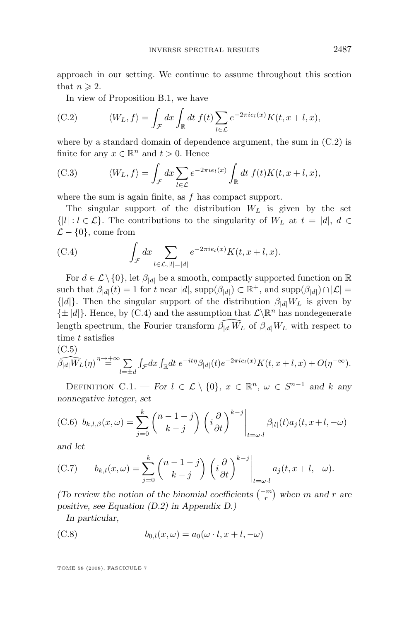<span id="page-43-0"></span>approach in our setting. We continue to assume throughout this section that  $n \geqslant 2$ .

In view of Proposition [B.1,](#page-42-0) we have

(C.2) 
$$
\langle W_L, f \rangle = \int_{\mathcal{F}} dx \int_{\mathbb{R}} dt f(t) \sum_{l \in \mathcal{L}} e^{-2\pi i e_l(x)} K(t, x + l, x),
$$

where by a standard domain of dependence argument, the sum in  $(C.2)$  is finite for any  $x \in \mathbb{R}^n$  and  $t > 0$ . Hence

(C.3) 
$$
\langle W_L, f \rangle = \int_{\mathcal{F}} dx \sum_{l \in \mathcal{L}} e^{-2\pi i e_l(x)} \int_{\mathbb{R}} dt f(t) K(t, x + l, x),
$$

where the sum is again finite, as  $f$  has compact support.

The singular support of the distribution  $W_L$  is given by the set  $\{|l|: l \in \mathcal{L}\}\.$  The contributions to the singularity of  $W_L$  at  $t = |d|, d \in$  $\mathcal{L} - \{0\}$ , come from

(C.4) 
$$
\int_{\mathcal{F}} dx \sum_{l \in \mathcal{L}, |l|=|d|} e^{-2\pi i e_l(x)} K(t, x+l, x).
$$

For  $d \in \mathcal{L} \setminus \{0\}$ , let  $\beta_{|d|}$  be a smooth, compactly supported function on R such that  $\beta_{|d|}(t) = 1$  for t near  $|d|$ , supp $(\beta_{|d|}) \subset \mathbb{R}^+$ , and supp $(\beta_{|d|}) \cap |\mathcal{L}| =$  $\{|d|\}$ . Then the singular support of the distribution  $\beta_{d|W_L}$  is given by  $\{\pm |d|\}$ . Hence, by (C.4) and the assumption that  $\mathcal{L}\backslash\mathbb{R}^n$  has nondegenerate length spectrum, the Fourier transform  $\beta_{|d|}W_L$  of  $\beta_{|d|}W_L$  with respect to time t satisfies

(C.5)  
\n
$$
\widetilde{\beta_{|d|}W_L}(\eta) \stackrel{\eta \to +\infty}{=} \sum_{l=\pm d} \int_{\mathcal{F}} dx \int_{\mathbb{R}} dt \ e^{-it\eta} \beta_{|d|}(t) e^{-2\pi i e_l(x)} K(t, x+l, x) + O(\eta^{-\infty}).
$$

DEFINITION C.1. — *For*  $l \in \mathcal{L} \setminus \{0\}$ ,  $x \in \mathbb{R}^n$ ,  $\omega \in S^{n-1}$  and k any *nonnegative integer, set*

(C.6) 
$$
b_{k,l,\beta}(x,\omega) = \sum_{j=0}^k {n-1-j \choose k-j} \left( i \frac{\partial}{\partial t} \right)^{k-j} \bigg|_{t=\omega \cdot l} \beta_{|l|}(t) a_j(t, x+l, -\omega)
$$

*and let*

(C.7) 
$$
b_{k,l}(x,\omega) = \sum_{j=0}^k {n-1-j \choose k-j} \left( i \frac{\partial}{\partial t} \right)^{k-j} \Bigg|_{t=\omega \cdot l} a_j(t, x+l, -\omega).
$$

*(To review the notion of the binomial coefficients*  $\binom{-m}{r}$  when m and r are *positive, see Equation [\(D.2\)](#page-53-0) in Appendix D.)*

*In particular,*

(C.8) 
$$
b_{0,l}(x,\omega) = a_0(\omega \cdot l, x+l, -\omega)
$$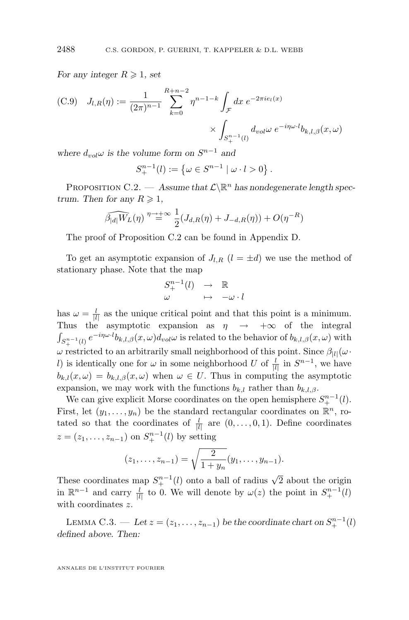*For any integer*  $R \geqslant 1$ *, set* 

(C.9) 
$$
J_{l,R}(\eta) := \frac{1}{(2\pi)^{n-1}} \sum_{k=0}^{R+n-2} \eta^{n-1-k} \int_{\mathcal{F}} dx \ e^{-2\pi i e_l(x)} \times \int_{S_+^{n-1}(l)} d_{vol} \omega \ e^{-i\eta \omega \cdot l} b_{k,l,\beta}(x,\omega)
$$

*where*  $d_{vol}\omega$  *is the volume form on*  $S^{n-1}$  *and* 

$$
S^{n-1}_{+}(l) := \{ \omega \in S^{n-1} \mid \omega \cdot l > 0 \}.
$$

PROPOSITION C.2.  $-$  *Assume that*  $\mathcal{L}\backslash\mathbb{R}^n$  *has nondegenerate length spectrum. Then for any*  $R \geq 1$ ,

$$
\widehat{\beta_{|d|}W_L(\eta)} \stackrel{\eta \to +\infty}{=} \frac{1}{2}(J_{d,R}(\eta) + J_{-d,R}(\eta)) + O(\eta^{-R})
$$

The proof of Proposition C.2 can be found in Appendix [D.](#page-51-0)

To get an asymptotic expansion of  $J_{l,R}$   $(l = \pm d)$  we use the method of stationary phase. Note that the map

$$
\begin{array}{ccc} S^{n-1}_+(l)&\to&\mathbb{R}\\ \omega&\mapsto&-\omega\cdot l\end{array}
$$

has  $\omega = \frac{l}{|l|}$  as the unique critical point and that this point is a minimum. Thus the asymptotic expansion as  $\eta \rightarrow +\infty$  of the integral  $\int_{S^{n-1}_+(l)} e^{-i\eta\omega \cdot l} b_{k,l,\beta}(x,\omega) d_{vol}\omega$  is related to the behavior of  $b_{k,l,\beta}(x,\omega)$  with  $ω$  restricted to an arbitrarily small neighborhood of this point. Since  $β_{|l|}(ω \cdot$ l) is identically one for  $\omega$  in some neighborhood U of  $\frac{l}{|l|}$  in  $S^{n-1}$ , we have  $b_{k,l}(x,\omega) = b_{k,l,\beta}(x,\omega)$  when  $\omega \in U$ . Thus in computing the asymptotic expansion, we may work with the functions  $b_{k,l}$  rather than  $b_{k,l,\beta}$ .

We can give explicit Morse coordinates on the open hemisphere  $S^{n-1}_+(l)$ . First, let  $(y_1, \ldots, y_n)$  be the standard rectangular coordinates on  $\mathbb{R}^n$ , rotated so that the coordinates of  $\frac{l}{|l|}$  are  $(0, \ldots, 0, 1)$ . Define coordinates  $z = (z_1, \ldots, z_{n-1})$  on  $S^{n-1}_{+}(l)$  by setting

$$
(z_1,\ldots,z_{n-1})=\sqrt{\frac{2}{1+y_n}}(y_1,\ldots,y_{n-1}).
$$

These coordinates map  $S^{n-1}_{+}(l)$  onto a ball of radius  $\sqrt{2}$  about the origin in  $\mathbb{R}^{n-1}$  and carry  $\frac{l}{|l|}$  to 0. We will denote by  $\omega(z)$  the point in  $S^{n-1}_{+}(l)$ with coordinates z.

LEMMA C.3. — Let  $z = (z_1, \ldots, z_{n-1})$  be the coordinate chart on  $S^{n-1}_+(l)$ *defined above. Then:*

<span id="page-44-0"></span>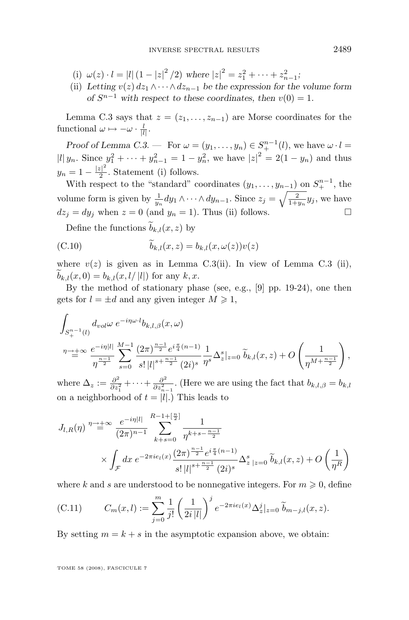- <span id="page-45-0"></span>(i)  $\omega(z) \cdot l = |l| (1 - |z|^2 / 2)$  where  $|z|^2 = z_1^2 + \cdots + z_{n-1}^2$ ;
- (ii) *Letting*  $v(z) dz_1 \wedge \cdots \wedge dz_{n-1}$  *be the expression for the volume form of*  $S^{n-1}$  *with respect to these coordinates, then*  $v(0) = 1$ *.*

Lemma [C.3](#page-44-0) says that  $z = (z_1, \ldots, z_{n-1})$  are Morse coordinates for the functional  $\omega \mapsto -\omega \cdot \frac{l}{|l|}$ .

*Proof of Lemma [C.3.](#page-44-0)* — For  $\omega = (y_1, \ldots, y_n) \in S^{n-1}_+(l)$ , we have  $\omega \cdot l =$  $|l| y_n$ . Since  $y_1^2 + \cdots + y_{n-1}^2 = 1 - y_n^2$ , we have  $|z|^2 = 2(1 - y_n)$  and thus  $y_n = 1 - \frac{|z|^2}{2}$  $\frac{z_1}{2}$ . Statement (i) follows.

With respect to the "standard" coordinates  $(y_1, \ldots, y_{n-1})$  on  $S^{n-1}_+$ , the volume form is given by  $\frac{1}{y_n} dy_1 \wedge \cdots \wedge dy_{n-1}$ . Since  $z_j = \sqrt{\frac{2}{1+y_n}} y_j$ , we have  $dz_i = dy_i$  when  $z = 0$  (and  $y_n = 1$ ). Thus (ii) follows.

Define the functions  $\widetilde{b}_{k,l}(x, z)$  by

(C.10) 
$$
\tilde{b}_{k,l}(x,z) = b_{k,l}(x,\omega(z))v(z)
$$

where  $v(z)$  is given as in Lemma [C.3\(](#page-44-0)ii). In view of Lemma [C.3](#page-44-0) (ii),  $b_{k,l}(x, 0) = b_{k,l}(x, l/|l|)$  for any k, x.

By the method of stationary phase (see, e.g., [\[9\]](#page-56-0) pp. 19-24), one then gets for  $l = \pm d$  and any given integer  $M \geq 1$ ,

$$
\int_{S^{n-1}_{+}(l)} d_{vol} \omega e^{-i\eta \omega \cdot l} b_{k,l,\beta}(x,\omega)
$$
\n
$$
\eta \to +\infty \frac{e^{-i\eta \mid l\mid}}{\eta^{\frac{n-1}{2}}} \sum_{s=0}^{M-1} \frac{(2\pi)^{\frac{n-1}{2}} e^{i\frac{\pi}{4}(n-1)}}{s! \left|l\right|^{s+\frac{n-1}{2}} (2i)^s} \frac{1}{\eta^s} \Delta_z^s |_{z=0} \widetilde{b}_{k,l}(x,z) + O\left(\frac{1}{\eta^{M+\frac{n-1}{2}}}\right),
$$

where  $\Delta_z := \frac{\partial^2}{\partial z^2}$  $\frac{\partial^2}{\partial z_1^2} + \cdots + \frac{\partial^2}{\partial z_n^2}$  $\frac{\partial^2}{\partial z_{n-1}^2}$ . (Here we are using the fact that  $b_{k,l,\beta} = b_{k,l}$ on a neighborhood of  $t = |l|$ .) This leads to

$$
J_{l,R}(\eta) \stackrel{\eta \to +\infty}{=} \frac{e^{-i\eta|l|}}{(2\pi)^{n-1}} \sum_{k+s=0}^{R-1+[\frac{n}{2}]} \frac{1}{\eta^{k+s-\frac{n-1}{2}}} \times \int_{\mathcal{F}} dx \ e^{-2\pi i e_l(x)} \frac{(2\pi)^{\frac{n-1}{2}} e^{i\frac{\pi}{4}(n-1)}}{s! |l|^{s+\frac{n-1}{2}} (2i)^s} \Delta^s_{z|z=0} \widetilde{b}_{k,l}(x,z) + O\left(\frac{1}{\eta^R}\right)
$$

where k and s are understood to be nonnegative integers. For  $m \geqslant 0$ , define

(C.11) 
$$
C_m(x,l) := \sum_{j=0}^m \frac{1}{j!} \left(\frac{1}{2i|l|}\right)^j e^{-2\pi i e_l(x)} \Delta_z^j|_{z=0} \widetilde{b}_{m-j,l}(x,z).
$$

By setting  $m = k + s$  in the asymptotic expansion above, we obtain: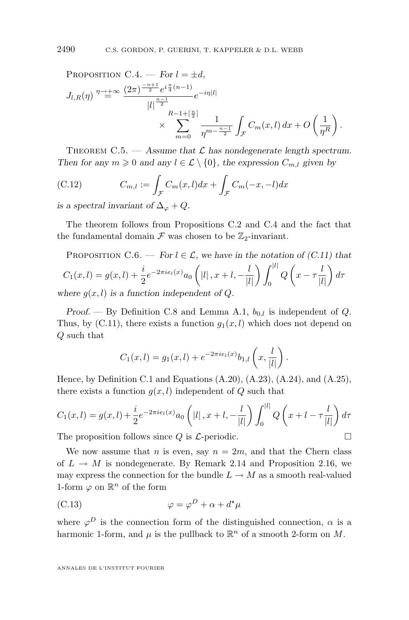<span id="page-46-0"></span>PROPOSITION C.4. — For 
$$
l = \pm d
$$
,  
\n
$$
J_{l,R}(\eta) \stackrel{\eta \to +\infty}{=} \frac{(2\pi)^{\frac{-n+1}{2}} e^{i\frac{\pi}{4}(n-1)}}{|l|^{\frac{n-1}{2}}} e^{-i\eta |l|} \times \sum_{m=0}^{R-1+[\frac{n}{2}]} \frac{1}{\eta^{m-\frac{n-1}{2}}} \int_{\mathcal{F}} C_m(x,l) dx + O\left(\frac{1}{\eta^R}\right).
$$

THEOREM  $C.5.$  — Assume that  $\mathcal L$  has nondegenerate length spectrum. *Then for any*  $m \geq 0$  *and any*  $l \in \mathcal{L} \setminus \{0\}$ , the expression  $C_{m,l}$  given by

(C.12) 
$$
C_{m,l} := \int_{\mathcal{F}} C_m(x,l) dx + \int_{\mathcal{F}} C_m(-x,-l) dx
$$

*is a spectral invariant of*  $\Delta_{\varphi} + Q$ .

The theorem follows from Propositions [C.2](#page-44-0) and [C.4](#page-45-0) and the fact that the fundamental domain  $\mathcal F$  was chosen to be  $\mathbb{Z}_2$ -invariant.

PROPOSITION C.6. — For 
$$
l \in \mathcal{L}
$$
, we have in the notation of (C.11) that  
\n
$$
C_1(x,l) = g(x,l) + \frac{i}{2}e^{-2\pi i e_l(x)}a_0 \left( |l|, x+l, -\frac{l}{|l|} \right) \int_0^{|l|} Q\left(x - \tau \frac{l}{|l|}\right) d\tau
$$
\nwhere  $g(x,l)$  is a function independent of Q.

*Proof.* — By Definition [C.8](#page-43-0) and Lemma [A.1,](#page-39-0)  $b_{0,l}$  is independent of Q. Thus, by  $(C.11)$ , there exists a function  $g_1(x, l)$  which does not depend on Q such that

$$
C_1(x,l) = g_1(x,l) + e^{-2\pi i e_l(x)} b_{1,l} \left( x, \frac{l}{|l|} \right).
$$

Hence, by Definition [C.1](#page-43-0) and Equations [\(A.20\)](#page-39-0), [\(A.23\)](#page-40-0), [\(A.24\)](#page-40-0), and [\(A.25\)](#page-40-0), there exists a function  $g(x, l)$  independent of Q such that

$$
C_1(x, l) = g(x, l) + \frac{i}{2} e^{-2\pi i e_l(x)} a_0 \left( |l| \, , x + l \, , -\frac{l}{|l|} \right) \int_0^{|l|} Q\left( x + l - \tau \frac{l}{|l|} \right) d\tau
$$

The proposition follows since  $Q$  is  $\mathcal{L}$ -periodic.  $\Box$ 

We now assume that *n* is even, say  $n = 2m$ , and that the Chern class of  $L \rightarrow M$  is nondegenerate. By Remark [2.14](#page-12-0) and Proposition [2.16,](#page-12-0) we may express the connection for the bundle  $L \to M$  as a smooth real-valued 1-form  $\varphi$  on  $\mathbb{R}^n$  of the form

(C.13) 
$$
\varphi = \varphi^D + \alpha + d^{\star}\mu
$$

where  $\varphi^D$  is the connection form of the distinguished connection,  $\alpha$  is a harmonic 1-form, and  $\mu$  is the pullback to  $\mathbb{R}^n$  of a smooth 2-form on M.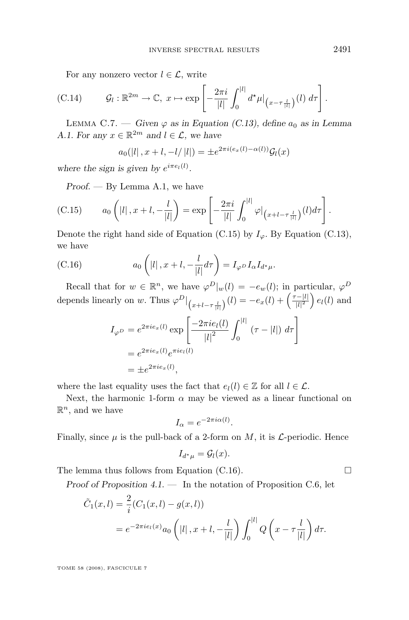<span id="page-47-0"></span>For any nonzero vector  $l \in \mathcal{L}$ , write

(C.14) 
$$
\mathcal{G}_l : \mathbb{R}^{2m} \to \mathbb{C}, \ x \mapsto \exp\left[-\frac{2\pi i}{|l|} \int_0^{|l|} d^{\star}\mu \big|_{(x-\tau\frac{l}{|l|})}(l) d\tau\right].
$$

LEMMA C.7. — *Given*  $\varphi$  *as in Equation [\(C.13\)](#page-46-0), define*  $a_0$  *as in Lemma [A.1.](#page-39-0)* For any  $x \in \mathbb{R}^{2m}$  and  $l \in \mathcal{L}$ , we have

$$
a_0(|l|, x+l, -l/|l|) = \pm e^{2\pi i (e_x(l) - \alpha(l))} \mathcal{G}_l(x)
$$

where the sign is given by  $e^{i \pi e_l(l)}$ .

*Proof. —* By Lemma [A.1,](#page-39-0) we have

(C.15) 
$$
a_0\left(|l|, x+l, -\frac{l}{|l|}\right) = \exp\left[-\frac{2\pi i}{|l|}\int_0^{|l|} \varphi\big|_{\left(x+l-\tau\frac{l}{|l|}\right)}(l)d\tau\right].
$$

Denote the right hand side of Equation (C.15) by  $I_{\varphi}$ . By Equation [\(C.13\)](#page-46-0), we have

(C.16) 
$$
a_0\left(|l|, x+l, -\frac{l}{|l|}d\tau\right) = I_{\varphi^D}I_{\alpha}I_{d^{\star}\mu}.
$$

Recall that for  $w \in \mathbb{R}^n$ , we have  $\varphi^D|_w(l) = -e_w(l)$ ; in particular,  $\varphi^D$ depends linearly on w. Thus  $\varphi^{D}\big|_{(x+l-\tau\frac{l}{|l|})}(l) = -e_x(l) + \left(\frac{\tau-|l|}{|l|^2}\right)$  $\frac{|l-|l|}{|l|^2}$  e<sub>l</sub>(l) and

$$
I_{\varphi D} = e^{2\pi i e_x(l)} \exp\left[\frac{-2\pi i e_l(l)}{|l|^2} \int_0^{|l|} (\tau - |l|) d\tau\right]
$$
  
=  $e^{2\pi i e_x(l)} e^{\pi i e_l(l)}$   
=  $\pm e^{2\pi i e_x(l)}$ ,

where the last equality uses the fact that  $e_l(l) \in \mathbb{Z}$  for all  $l \in \mathcal{L}$ .

Next, the harmonic 1-form  $\alpha$  may be viewed as a linear functional on  $\mathbb{R}^n$ , and we have

$$
I_{\alpha} = e^{-2\pi i \alpha(l)}.
$$

Finally, since  $\mu$  is the pull-back of a 2-form on M, it is  $\mathcal{L}$ -periodic. Hence

$$
I_{d^*\mu} = \mathcal{G}_l(x).
$$

The lemma thus follows from Equation (C.16).  $\Box$ 

*Proof of Proposition [4.1.](#page-28-0) —* In the notation of Proposition [C.6,](#page-46-0) let

$$
\tilde{C}_1(x,l) = \frac{2}{i} (C_1(x,l) - g(x,l))
$$
  
=  $e^{-2\pi i e_l(x)} a_0 \left( |l|, x+l, -\frac{l}{|l|} \right) \int_0^{|l|} Q\left(x - \tau \frac{l}{|l|}\right) d\tau.$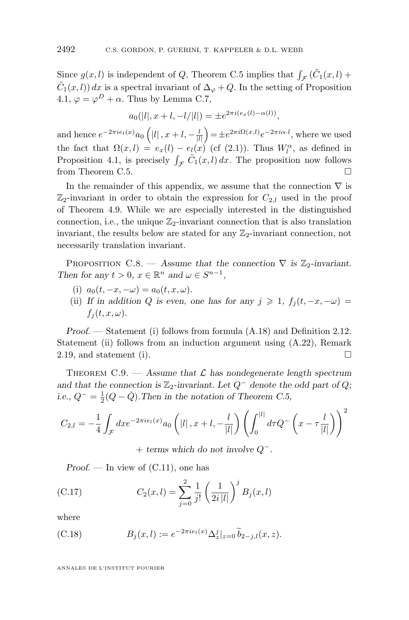<span id="page-48-0"></span>Since  $g(x, l)$  is independent of Q, Theorem [C.5](#page-46-0) implies that  $\int_{\mathcal{F}} (\tilde{C}_1(x, l) +$  $\tilde{C}_1(x, l)$  dx is a spectral invariant of  $\Delta_{\varphi} + Q$ . In the setting of Proposition [4.1,](#page-28-0)  $\varphi = \varphi^D + \alpha$ . Thus by Lemma [C.7,](#page-47-0)

$$
a_0(|l|, x+l, -l/|l|) = \pm e^{2\pi i (e_x(l) - \alpha(l))},
$$

and hence  $e^{-2\pi i e_l(x)}a_0(|l|,x+l,-\frac{l}{|l|})=\pm e^{2\pi i \Omega(x,l)}e^{-2\pi i \alpha \cdot l}$ , where we used the fact that  $\Omega(x,l) = e_x(l) - e_l(x)$  (cf [\(2.1\)](#page-8-0)). Thus  $W_l^{\alpha}$ , as defined in Proposition [4.1,](#page-28-0) is precisely  $\int_{\mathcal{F}} \tilde{C}_1(x, l) dx$ . The proposition now follows from Theorem [C.5.](#page-46-0)

In the remainder of this appendix, we assume that the connection  $\nabla$  is  $\mathbb{Z}_2$ -invariant in order to obtain the expression for  $C_{2,l}$  used in the proof of Theorem [4.9.](#page-32-0) While we are especially interested in the distinguished connection, i.e., the unique  $\mathbb{Z}_2$ -invariant connection that is also translation invariant, the results below are stated for any  $\mathbb{Z}_2$ -invariant connection, not necessarily translation invariant.

PROPOSITION C.8. — Assume that the connection  $\nabla$  is  $\mathbb{Z}_2$ -invariant. *Then for any*  $t > 0$ ,  $x \in \mathbb{R}^n$  *and*  $\omega \in S^{n-1}$ ,

- (i)  $a_0(t, -x, -\omega) = a_0(t, x, \omega)$ .
- (ii) *If in addition* Q *is even, one has for any*  $j \geq 1$ ,  $f_i(t, -x, -\omega)$  =  $f_i(t, x, \omega)$ .

*Proof. —* Statement (i) follows from formula [\(A.18\)](#page-39-0) and Definition [2.12.](#page-11-0) Statement (ii) follows from an induction argument using  $(A.22)$ , Remark [2.19,](#page-14-0) and statement (i).

THEOREM  $C.9.$  — Assume that  $\mathcal L$  has nondegenerate length spectrum and that the connection is  $\mathbb{Z}_2$ -invariant. Let  $Q^-$  denote the odd part of  $Q$ ; *i.e.,*  $Q^- = \frac{1}{2}(Q - \check{Q})$ *. Then in the notation of Theorem [C.5,](#page-46-0)* 

$$
C_{2,l} = -\frac{1}{4} \int_{\mathcal{F}} dx e^{-2\pi i e_l(x)} a_0 \left( |l| \, , x+l , -\frac{l}{|l|} \right) \left( \int_0^{|l|} d\tau Q^- \left( x - \tau \frac{l}{|l|} \right) \right)^2
$$

+ *terms which do not involve* Q −.

*Proof.* — In view of  $(C.11)$ , one has

(C.17) 
$$
C_2(x,l) = \sum_{j=0}^{2} \frac{1}{j!} \left(\frac{1}{2i|l|}\right)^j B_j(x,l)
$$

where

(C.18) 
$$
B_j(x, l) := e^{-2\pi i e_l(x)} \Delta_z^j|_{z=0} \widetilde{b}_{2-j,l}(x, z).
$$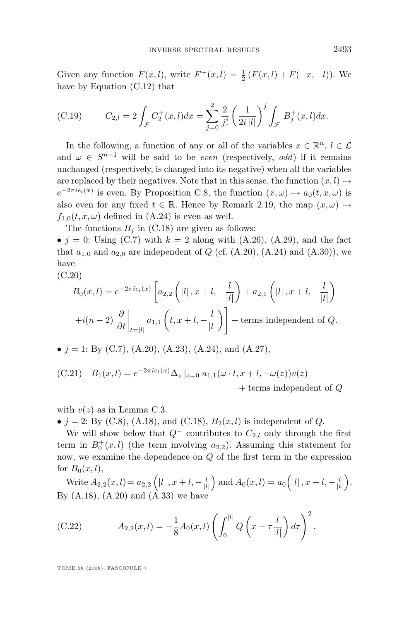<span id="page-49-0"></span>Given any function  $F(x, l)$ , write  $F^+(x, l) = \frac{1}{2} (F(x, l) + F(-x, -l))$ . We have by Equation [\(C.12\)](#page-46-0) that

(C.19) 
$$
C_{2,l} = 2 \int_{\mathcal{F}} C_2^+(x,l) dx = \sum_{j=0}^2 \frac{2}{j!} \left(\frac{1}{2i|l|}\right)^j \int_{\mathcal{F}} B_j^+(x,l) dx.
$$

In the following, a function of any or all of the variables  $x \in \mathbb{R}^n$ ,  $l \in \mathcal{L}$ and  $\omega \in S^{n-1}$  will be said to be *even* (respectively, *odd*) if it remains unchanged (respectively, is changed into its negative) when all the variables are replaced by their negatives. Note that in this sense, the function  $(x, l) \mapsto$  $e^{-2\pi i e_l(x)}$  is even. By Proposition [C.8,](#page-48-0) the function  $(x,\omega) \mapsto a_0(t,x,\omega)$  is also even for any fixed  $t \in \mathbb{R}$ . Hence by Remark [2.19,](#page-14-0) the map  $(x, \omega) \mapsto$  $f_{1,0}(t, x, \omega)$  defined in [\(A.24\)](#page-40-0) is even as well.

The functions  $B_i$  in [\(C.18\)](#page-48-0) are given as follows:

•  $j = 0$ : Using [\(C.7\)](#page-43-0) with  $k = 2$  along with [\(A.26\)](#page-40-0), [\(A.29\)](#page-40-0), and the fact that  $a_{1,0}$  and  $a_{2,0}$  are independent of Q (cf. [\(A.20\)](#page-39-0), [\(A.24\)](#page-40-0) and [\(A.30\)](#page-40-0)), we have

(C.20)

$$
B_0(x,l) = e^{-2\pi i e_l(x)} \left[ a_{2,2} \left( |l| \cdot x + l \cdot \frac{l}{|l|} \right) + a_{2,1} \left( |l| \cdot x + l \cdot \frac{l}{|l|} \right) \right]
$$

$$
+ i(n-2) \left. \frac{\partial}{\partial t} \right|_{t=|l|} a_{1,1} \left( t, x+l \cdot \frac{l}{|l|} \right) \right] + \text{terms independent of } Q.
$$

• 
$$
j = 1
$$
: By (C.7), (A.20), (A.23), (A.24), and (A.27),

(C.21) 
$$
B_1(x,l) = e^{-2\pi i e_l(x)} \Delta_z |_{z=0} a_{1,1}(\omega \cdot l, x+l, -\omega(z)) v(z)
$$

 $+$  terms independent of  $Q$ 

with  $v(z)$  as in Lemma [C.3.](#page-44-0)

•  $j = 2$ : By [\(C.8\)](#page-43-0), [\(A.18\)](#page-39-0), and [\(C.18\)](#page-48-0),  $B_2(x, l)$  is independent of Q.

We will show below that  $Q^-$  contributes to  $C_{2,l}$  only through the first term in  $B_0^+(x,l)$  (the term involving  $a_{2,2}$ ). Assuming this statement for now, we examine the dependence on Q of the first term in the expression for  $B_0(x, l)$ ,

Write  $A_{2,2}(x,l) = a_{2,2} \left( |l|, x+l, -\frac{l}{|l|} \right)$  and  $A_0(x,l) = a_0 \left( |l|, x+l, -\frac{l}{|l|} \right)$ . By  $(A.18)$ ,  $(A.20)$  and  $(A.33)$  we have

(C.22) 
$$
A_{2,2}(x,l) = -\frac{1}{8}A_0(x,l)\left(\int_0^{|l|} Q\left(x - \tau \frac{l}{|l|}\right) d\tau\right)^2.
$$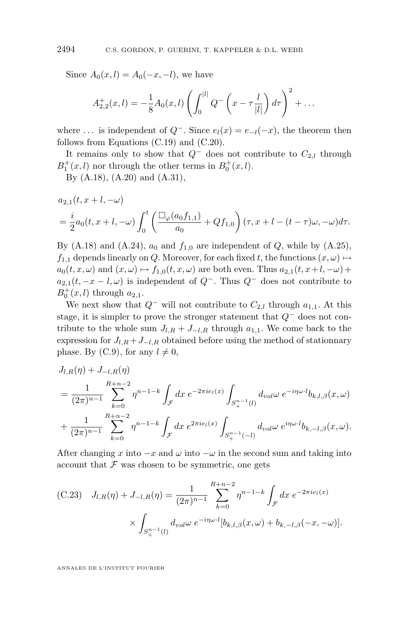<span id="page-50-0"></span>Since  $A_0(x, l) = A_0(-x, -l)$ , we have

$$
A_{2,2}^+(x,l) = -\frac{1}{8}A_0(x,l)\left(\int_0^{|l|} Q^-\left(x-\tau\frac{l}{|l|}\right)d\tau\right)^2 + \dots
$$

where ... is independent of  $Q^-$ . Since  $e_l(x) = e_{-l}(-x)$ , the theorem then follows from Equations [\(C.19\)](#page-49-0) and [\(C.20\)](#page-49-0).

It remains only to show that  $Q^-$  does not contribute to  $C_{2,l}$  through  $B_1^+(x,l)$  nor through the other terms in  $B_0^+(x,l)$ .

By [\(A.18\)](#page-39-0), [\(A.20\)](#page-39-0) and [\(A.31\)](#page-40-0),

$$
a_{2,1}(t, x+l, -\omega)
$$
  
=  $\frac{i}{2}a_0(t, x+l, -\omega)\int_0^t \left(\frac{\Box_{\varphi}(a_0f_{1,1})}{a_0} + Qf_{1,0}\right)(\tau, x+l - (t-\tau)\omega, -\omega)d\tau.$ 

By [\(A.18\)](#page-39-0) and [\(A.24\)](#page-40-0),  $a_0$  and  $f_{1,0}$  are independent of Q, while by [\(A.25\)](#page-40-0),  $f_{1,1}$  depends linearly on Q. Moreover, for each fixed t, the functions  $(x, \omega) \mapsto$  $a_0(t, x, \omega)$  and  $(x, \omega) \mapsto f_{1,0}(t, x, \omega)$  are both even. Thus  $a_{2,1}(t, x+l, -\omega)$  +  $a_{2,1}(t, -x - l, \omega)$  is independent of  $Q^-$ . Thus  $Q^-$  does not contribute to  $B_0^+(x,l)$  through  $a_{2,1}$ .

We next show that  $Q^-$  will not contribute to  $C_{2,l}$  through  $a_{1,1}$ . At this stage, it is simpler to prove the stronger statement that  $Q^-$  does not contribute to the whole sum  $J_{l,R} + J_{-l,R}$  through  $a_{1,1}$ . We come back to the expression for  $J_{l,R} + J_{-l,R}$  obtained before using the method of stationnary phase. By [\(C.9\)](#page-44-0), for any  $l \neq 0$ ,

$$
J_{l,R}(\eta) + J_{-l,R}(\eta)
$$
  
=  $\frac{1}{(2\pi)^{n-1}} \sum_{k=0}^{R+n-2} \eta^{n-1-k} \int_{\mathcal{F}} dx e^{-2\pi i e_l(x)} \int_{S_+^{n-1}(l)} d_{vol} \omega e^{-i\eta \omega \cdot l} b_{k,l,\beta}(x,\omega)$   
+  $\frac{1}{(2\pi)^{n-1}} \sum_{k=0}^{R+n-2} \eta^{n-1-k} \int_{\mathcal{F}} dx e^{2\pi i e_l(x)} \int_{S_+^{n-1}(-l)} d_{vol} \omega e^{i\eta \omega \cdot l} b_{k,-l,\beta}(x,\omega).$ 

After changing x into  $-x$  and  $\omega$  into  $-\omega$  in the second sum and taking into account that  $\mathcal F$  was chosen to be symmetric, one gets

(C.23) 
$$
J_{l,R}(\eta) + J_{-l,R}(\eta) = \frac{1}{(2\pi)^{n-1}} \sum_{k=0}^{R+n-2} \eta^{n-1-k} \int_{\mathcal{F}} dx \ e^{-2\pi i e_l(x)} \times \int_{S_+^{n-1}(l)} d_{vol} \omega \ e^{-i\eta \omega \cdot l} [b_{k,l,\beta}(x,\omega) + b_{k,-l,\beta}(-x,-\omega)].
$$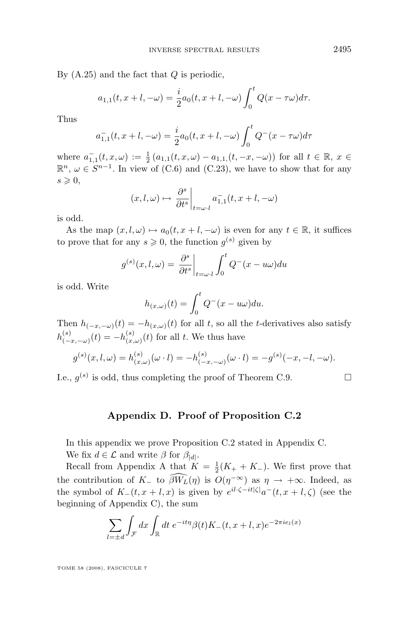<span id="page-51-0"></span>By  $(A.25)$  and the fact that  $Q$  is periodic,

$$
a_{1,1}(t, x + l, -\omega) = \frac{i}{2}a_0(t, x + l, -\omega) \int_0^t Q(x - \tau \omega) d\tau.
$$

Thus

$$
a_{1,1}^-(t, x+l, -\omega) = \frac{i}{2}a_0(t, x+l, -\omega)\int_0^t Q^-(x - \tau\omega)d\tau
$$

where  $a_{1,1}^-(t,x,\omega) := \frac{1}{2} (a_{1,1}(t,x,\omega) - a_{1,1}(t,-x,-\omega))$  for all  $t \in \mathbb{R}, x \in$  $\mathbb{R}^n$ ,  $\omega \in S^{n-1}$ . In view of [\(C.6\)](#page-43-0) and [\(C.23\)](#page-50-0), we have to show that for any  $s \geqslant 0$ ,

$$
(x, l, \omega) \mapsto \left. \frac{\partial^s}{\partial t^s} \right|_{t = \omega \cdot l} a_{1,1}^-(t, x + l, -\omega)
$$

is odd.

As the map  $(x, l, \omega) \mapsto a_0(t, x + l, -\omega)$  is even for any  $t \in \mathbb{R}$ , it suffices to prove that for any  $s \geqslant 0$ , the function  $g^{(s)}$  given by

$$
g^{(s)}(x, l, \omega) = \frac{\partial^s}{\partial t^s}\bigg|_{t=\omega \cdot l} \int_0^t Q^-(x - u\omega) du
$$

is odd. Write

$$
h_{(x,\omega)}(t) = \int_0^t Q^-(x - u\omega) du.
$$

Then  $h_{(-x,-\omega)}(t) = -h_{(x,\omega)}(t)$  for all t, so all the t-derivatives also satisfy  $h^{(s)}_{\ell=1}$  $\binom{(s)}{(-x,-\omega)}(t) = -h^{(s)}_{(x,-\omega)}$  $\binom{(s)}{(x,\omega)}(t)$  for all t. We thus have

$$
g^{(s)}(x, l, \omega) = h^{(s)}_{(x, \omega)}(\omega \cdot l) = -h^{(s)}_{(-x, -\omega)}(\omega \cdot l) = -g^{(s)}(-x, -l, -\omega).
$$

I.e.,  $g^{(s)}$  is odd, thus completing the proof of Theorem [C.9.](#page-48-0)

#### **Appendix D. Proof of Proposition [C.2](#page-44-0)**

In this appendix we prove Proposition [C.2](#page-44-0) stated in Appendix [C.](#page-42-0)

We fix  $d \in \mathcal{L}$  and write  $\beta$  for  $\beta_{|d|}$ .

Recall from [A](#page-34-0)ppendix A that  $K = \frac{1}{2}(K_+ + K_-)$ . We first prove that the contribution of  $K_-\;$  to  $\widehat{\beta W_L}(\eta)$  is  $O(\eta^{-\infty})$  as  $\eta \to +\infty$ . Indeed, as the symbol of  $K_-(t, x+l, x)$  is given by  $e^{il \cdot \zeta - it|\zeta|} a^-(t, x+l, \zeta)$  (see the beginning of Appendix [C\)](#page-42-0), the sum

$$
\sum_{l=\pm d} \int_{\mathcal{F}} dx \int_{\mathbb{R}} dt \ e^{-it\eta} \beta(t) K_{-}(t, x+l, x) e^{-2\pi i e_l(x)}
$$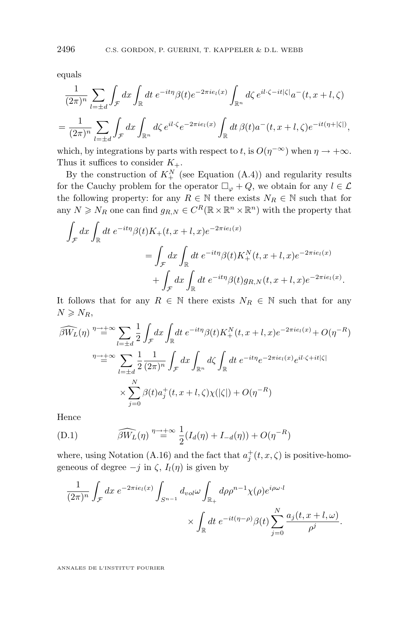<span id="page-52-0"></span>equals

$$
\frac{1}{(2\pi)^n} \sum_{l=\pm d} \int_{\mathcal{F}} dx \int_{\mathbb{R}} dt \ e^{-it\eta} \beta(t) e^{-2\pi i e_l(x)} \int_{\mathbb{R}^n} d\zeta \ e^{il\cdot\zeta - it|\zeta|} a^-(t, x+l, \zeta)
$$

$$
= \frac{1}{(2\pi)^n} \sum_{l=\pm d} \int_{\mathcal{F}} dx \int_{\mathbb{R}^n} d\zeta \ e^{il\cdot\zeta} e^{-2\pi i e_l(x)} \int_{\mathbb{R}} dt \ \beta(t) a^-(t, x+l, \zeta) e^{-it(\eta+|\zeta|)},
$$

which, by integrations by parts with respect to t, is  $O(\eta^{-\infty})$  when  $\eta \to +\infty$ . Thus it suffices to consider  $K_{+}$ .

By the construction of  $K^N_+$  (see Equation [\(A.4\)](#page-35-0)) and regularity results for the Cauchy problem for the operator  $\Box_{\varphi} + Q$ , we obtain for any  $l \in \mathcal{L}$ the following property: for any  $R \in \mathbb{N}$  there exists  $N_R \in \mathbb{N}$  such that for any  $N \ge N_R$  one can find  $g_{R,N} \in C^R(\mathbb{R} \times \mathbb{R}^n \times \mathbb{R}^n)$  with the property that

$$
\int_{\mathcal{F}} dx \int_{\mathbb{R}} dt e^{-it\eta} \beta(t) K_{+}(t, x+t, x) e^{-2\pi i e_{l}(x)}
$$
\n
$$
= \int_{\mathcal{F}} dx \int_{\mathbb{R}} dt e^{-it\eta} \beta(t) K_{+}^{N}(t, x+t, x) e^{-2\pi i e_{l}(x)}
$$
\n
$$
+ \int_{\mathcal{F}} dx \int_{\mathbb{R}} dt e^{-it\eta} \beta(t) g_{R,N}(t, x+t, x) e^{-2\pi i e_{l}(x)}.
$$

It follows that for any  $R \in \mathbb{N}$  there exists  $N_R \in \mathbb{N}$  such that for any  $N \geqslant N_R$ ,

$$
\widehat{\beta W_L}(\eta) \stackrel{\eta \to +\infty}{=} \sum_{l=\pm d} \frac{1}{2} \int_{\mathcal{F}} dx \int_{\mathbb{R}} dt \ e^{-it\eta} \beta(t) K_+^N(t, x+l, x) e^{-2\pi i e_l(x)} + O(\eta^{-R})
$$

$$
\stackrel{\eta \to +\infty}{=} \sum_{l=\pm d} \frac{1}{2} \frac{1}{(2\pi)^n} \int_{\mathcal{F}} dx \int_{\mathbb{R}^n} d\zeta \int_{\mathbb{R}} dt \ e^{-it\eta} e^{-2\pi i e_l(x)} e^{il\cdot\zeta + it|\zeta|}
$$

$$
\times \sum_{j=0}^N \beta(t) a_j^+(t, x+l, \zeta) \chi(|\zeta|) + O(\eta^{-R})
$$

Hence

(D.1) 
$$
\widehat{\beta W_L}(\eta) \stackrel{\eta \to +\infty}{=} \frac{1}{2}(I_d(\eta) + I_{-d}(\eta)) + O(\eta^{-R})
$$

where, using Notation [\(A.16\)](#page-38-0) and the fact that  $a_j^+(t, x, \zeta)$  is positive-homogeneous of degree  $-j$  in  $\zeta$ ,  $I_l(\eta)$  is given by

$$
\frac{1}{(2\pi)^n} \int_{\mathcal{F}} dx \ e^{-2\pi i e_l(x)} \int_{S^{n-1}} d_{vol}\omega \int_{\mathbb{R}_+} d\rho \rho^{n-1} \chi(\rho) e^{i\rho \omega \cdot l} \times \int_{\mathbb{R}} dt \ e^{-it(\eta-\rho)} \beta(t) \sum_{j=0}^N \frac{a_j(t, x+l, \omega)}{\rho^j}.
$$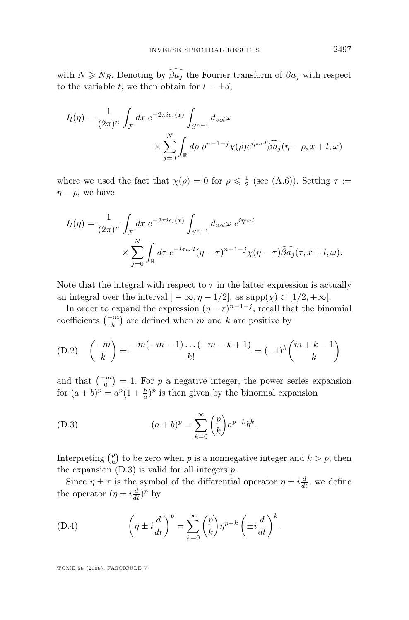<span id="page-53-0"></span>with  $N \geq N_R$ . Denoting by  $\widehat{\beta a_j}$  the Fourier transform of  $\beta a_j$  with respect to the variable t, we then obtain for  $l = \pm d$ ,

$$
I_l(\eta) = \frac{1}{(2\pi)^n} \int_{\mathcal{F}} dx \ e^{-2\pi i e_l(x)} \int_{S^{n-1}} d_{vol}\omega
$$

$$
\times \sum_{j=0}^N \int_{\mathbb{R}} d\rho \ \rho^{n-1-j} \chi(\rho) e^{i\rho \omega \cdot l} \widehat{\beta a_j} (\eta - \rho, x + l, \omega)
$$

where we used the fact that  $\chi(\rho) = 0$  for  $\rho \leq \frac{1}{2}$  (see [\(A.6\)](#page-36-0)). Setting  $\tau :=$  $\eta - \rho$ , we have

$$
I_l(\eta) = \frac{1}{(2\pi)^n} \int_{\mathcal{F}} dx \ e^{-2\pi i e_l(x)} \int_{S^{n-1}} d_{vol} \omega \ e^{i\eta \omega \cdot l}
$$

$$
\times \sum_{j=0}^N \int_{\mathbb{R}} d\tau \ e^{-i\tau \omega \cdot l} (\eta - \tau)^{n-1-j} \chi(\eta - \tau) \widehat{\beta a_j}(\tau, x + l, \omega).
$$

Note that the integral with respect to  $\tau$  in the latter expression is actually an integral over the interval  $]-\infty, \eta-1/2$ , as supp $(\chi) \subset [1/2, +\infty]$ .

In order to expand the expression  $(\eta - \tau)^{n-1-j}$ , recall that the binomial coefficients  $\binom{-m}{k}$  are defined when m and k are positive by

(D.2) 
$$
\binom{-m}{k} = \frac{-m(-m-1)\dots(-m-k+1)}{k!} = (-1)^k \binom{m+k-1}{k}
$$

and that  $\binom{-m}{0} = 1$ . For p a negative integer, the power series expansion for  $(a + b)^p = a^p (1 + \frac{b}{a})^p$  is then given by the binomial expansion

(D.3) 
$$
(a+b)^p = \sum_{k=0}^{\infty} {p \choose k} a^{p-k} b^k.
$$

Interpreting  $\binom{p}{k}$  to be zero when p is a nonnegative integer and  $k > p$ , then the expansion  $(D.3)$  is valid for all integers  $p$ .

Since  $\eta \pm \tau$  is the symbol of the differential operator  $\eta \pm i \frac{d}{dt}$ , we define the operator  $(\eta \pm i \frac{d}{dt})^p$  by

(D.4) 
$$
\left(\eta \pm i\frac{d}{dt}\right)^p = \sum_{k=0}^{\infty} {p \choose k} \eta^{p-k} \left(\pm i\frac{d}{dt}\right)^k.
$$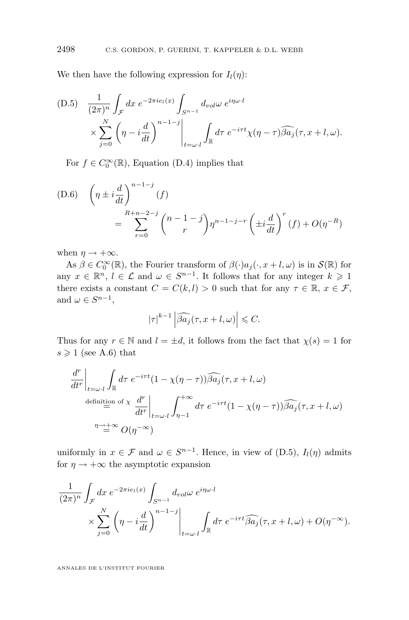We then have the following expression for  $I_l(\eta)$ :

(D.5) 
$$
\frac{1}{(2\pi)^n} \int_{\mathcal{F}} dx \ e^{-2\pi i e_l(x)} \int_{S^{n-1}} d_{vol} \omega \ e^{i\eta \omega \cdot l}
$$

$$
\times \sum_{j=0}^N \left( \eta - i \frac{d}{dt} \right)^{n-1-j} \Big|_{t=\omega \cdot l} \int_{\mathbb{R}} d\tau \ e^{-i\tau t} \chi(\eta - \tau) \widehat{\beta a_j}(\tau, x+l, \omega).
$$

For  $f \in C_0^{\infty}(\mathbb{R})$ , Equation [\(D.4\)](#page-53-0) implies that

(D.6) 
$$
\left(\eta \pm i \frac{d}{dt}\right)^{n-1-j} (f) = \sum_{r=0}^{R+n-2-j} {n-1-j \choose r} \eta^{n-1-j-r} \left(\pm i \frac{d}{dt}\right)^r (f) + O(\eta^{-R})
$$

when  $\eta \rightarrow +\infty$ .

As  $\beta \in C_0^{\infty}(\mathbb{R})$ , the Fourier transform of  $\beta(\cdot)a_j(\cdot, x+l, \omega)$  is in  $\mathcal{S}(\mathbb{R})$  for any  $x \in \mathbb{R}^n$ ,  $l \in \mathcal{L}$  and  $\omega \in S^{n-1}$ . It follows that for any integer  $k \geqslant 1$ there exists a constant  $C = C(k, l) > 0$  such that for any  $\tau \in \mathbb{R}$ ,  $x \in \mathcal{F}$ , and  $\omega \in S^{n-1}$ ,

$$
|\tau|^{k-1} \left| \widehat{\beta a_j}(\tau, x + l, \omega) \right| \leq C.
$$

Thus for any  $r \in \mathbb{N}$  and  $l = \pm d$ , it follows from the fact that  $\chi(s) = 1$  for  $s \geqslant 1$  (see [A.6\)](#page-36-0) that

$$
\frac{d^r}{dt^r}\bigg|_{t=\omega \cdot l} \int_{\mathbb{R}} d\tau \ e^{-i\tau t} (1 - \chi(\eta - \tau)) \widehat{\beta a_j}(\tau, x + l, \omega)
$$
\n
$$
\stackrel{\text{definition of } \chi}{=} \frac{d^r}{dt^r}\bigg|_{t=\omega \cdot l} \int_{\eta-1}^{+\infty} d\tau \ e^{-i\tau t} (1 - \chi(\eta - \tau)) \widehat{\beta a_j}(\tau, x + l, \omega)
$$
\n
$$
\stackrel{\eta \to +\infty}{=} O(\eta^{-\infty})
$$

uniformly in  $x \in \mathcal{F}$  and  $\omega \in S^{n-1}$ . Hence, in view of (D.5),  $I_l(\eta)$  admits for  $\eta \rightarrow +\infty$  the asymptotic expansion

$$
\frac{1}{(2\pi)^n} \int_{\mathcal{F}} dx \, e^{-2\pi i e_l(x)} \int_{S^{n-1}} dv_0 \omega \, e^{i\eta \omega \cdot l} \times \sum_{j=0}^N \left( \eta - i \frac{d}{dt} \right)^{n-1-j} \Big|_{t=\omega \cdot l} \int_{\mathbb{R}} d\tau \, e^{-i\tau t} \widehat{\beta a_j}(\tau, x+l, \omega) + O(\eta^{-\infty}).
$$

<span id="page-54-0"></span>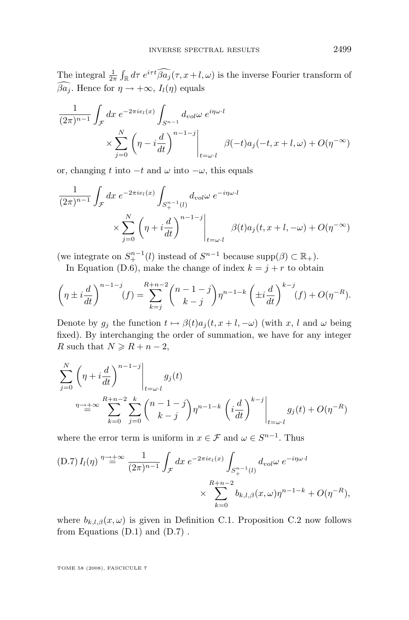The integral  $\frac{1}{2\pi} \int_{\mathbb{R}} d\tau \ e^{i\tau t} \widehat{\beta} a_j(\tau, x+l, \omega)$  is the inverse Fourier transform of  $\widehat{\beta a_i}$ . Hence for  $\eta \to +\infty$ ,  $I_i(\eta)$  equals

$$
\frac{1}{(2\pi)^{n-1}} \int_{\mathcal{F}} dx \ e^{-2\pi i e_l(x)} \int_{S^{n-1}} d_{vol} \omega \ e^{i\eta \omega \cdot l}
$$

$$
\times \sum_{j=0}^{N} \left( \eta - i \frac{d}{dt} \right)^{n-1-j} \Big|_{t=\omega \cdot l} \beta(-t) a_j(-t, x+l, \omega) + O(\eta^{-\infty})
$$

or, changing t into  $-t$  and  $\omega$  into  $-\omega$ , this equals

$$
\frac{1}{(2\pi)^{n-1}} \int_{\mathcal{F}} dx \ e^{-2\pi i e_l(x)} \int_{S_+^{n-1}(l)} d_{vol} \omega \ e^{-i\eta \omega \cdot l}
$$

$$
\times \sum_{j=0}^N \left( \eta + i \frac{d}{dt} \right)^{n-1-j} \Big|_{t=\omega \cdot l} \beta(t) a_j(t, x+l, -\omega) + O(\eta^{-\infty})
$$

(we integrate on  $S^{n-1}_+(l)$  instead of  $S^{n-1}$  because  $\text{supp}(\beta) \subset \mathbb{R}_+$ ).

In Equation [\(D.6\)](#page-54-0), make the change of index  $k = j + r$  to obtain

$$
\left(\eta \pm i\frac{d}{dt}\right)^{n-1-j}(f) = \sum_{k=j}^{R+n-2} {n-1-j \choose k-j} \eta^{n-1-k} \left(\pm i\frac{d}{dt}\right)^{k-j} (f) + O(\eta^{-R}).
$$

Denote by  $g_i$  the function  $t \mapsto \beta(t)a_i(t, x + l, -\omega)$  (with x, l and  $\omega$  being fixed). By interchanging the order of summation, we have for any integer R such that  $N \ge R + n - 2$ ,

$$
\sum_{j=0}^{N} \left( \eta + i \frac{d}{dt} \right)^{n-1-j} \Big|_{t=\omega \cdot l} g_j(t)
$$
\n
$$
\eta \to \infty \sum_{k=0}^{R+n-2} \sum_{j=0}^{k} {n-1-j \choose k-j} \eta^{n-1-k} \left( i \frac{d}{dt} \right)^{k-j} \Big|_{t=\omega \cdot l} g_j(t) + O(\eta^{-R})
$$

where the error term is uniform in  $x \in \mathcal{F}$  and  $\omega \in S^{n-1}$ . Thus

(D.7) 
$$
I_l(\eta) \stackrel{\eta \to +\infty}{=} \frac{1}{(2\pi)^{n-1}} \int_{\mathcal{F}} dx \, e^{-2\pi i e_l(x)} \int_{S_+^{n-1}(l)} d_{vol} \omega \, e^{-i\eta \omega \cdot l}
$$
  
  $\times \sum_{k=0}^{R+n-2} b_{k,l,\beta}(x,\omega) \eta^{n-1-k} + O(\eta^{-R}),$ 

where  $b_{k,l,\beta}(x,\omega)$  is given in Definition [C.1.](#page-43-0) Proposition [C.2](#page-44-0) now follows from Equations  $(D.1)$  and  $(D.7)$ .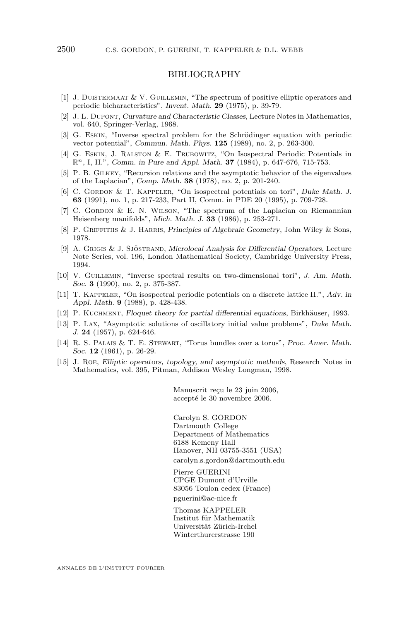#### BIBLIOGRAPHY

- <span id="page-56-0"></span>[1] J. Duistermaat & V. Guillemin, "The spectrum of positive elliptic operators and periodic bicharacteristics", *Invent. Math.* **29** (1975), p. 39-79.
- [2] J. L. Dupont, *Curvature and Characteristic Classes*, Lecture Notes in Mathematics, vol. 640, Springer-Verlag, 1968.
- [3] G. Eskin, "Inverse spectral problem for the Schrödinger equation with periodic vector potential", *Commun. Math. Phys.* **125** (1989), no. 2, p. 263-300.
- [4] G. Eskin, J. Ralston & E. Trubowitz, "On Isospectral Periodic Potentials in Rn, I, II.", *Comm. in Pure and Appl. Math.* **37** (1984), p. 647-676, 715-753.
- [5] P. B. Gilkey, "Recursion relations and the asymptotic behavior of the eigenvalues of the Laplacian", *Comp. Math.* **38** (1978), no. 2, p. 201-240.
- [6] C. GORDON & T. KAPPELER, "On isospectral potentials on tori", *Duke Math. J.* **63** (1991), no. 1, p. 217-233, Part II, Comm. in PDE 20 (1995), p. 709-728.
- [7] C. GORDON  $&\&$  E. N. WILSON, "The spectrum of the Laplacian on Riemannian Heisenberg manifolds", *Mich. Math. J.* **33** (1986), p. 253-271.
- [8] P. Griffiths & J. Harris, *Principles of Algebraic Geometry*, John Wiley & Sons, 1978.
- [9] A. Grigis & J. Sjöstrand, *Microlocal Analysis for Differential Operators*, Lecture Note Series, vol. 196, London Mathematical Society, Cambridge University Press, 1994.
- [10] V. GUILLEMIN, "Inverse spectral results on two-dimensional tori", *J. Am. Math. Soc.* **3** (1990), no. 2, p. 375-387.
- [11] T. Kappeler, "On isospectral periodic potentials on a discrete lattice II.", *Adv. in Appl. Math.* **9** (1988), p. 428-438.
- [12] P. Kuchment, *Floquet theory for partial differential equations*, Birkhäuser, 1993.
- [13] P. Lax, "Asymptotic solutions of oscillatory initial value problems", *Duke Math. J.* **24** (1957), p. 624-646.
- [14] R. S. Palais & T. E. Stewart, "Torus bundles over a torus", *Proc. Amer. Math. Soc.* **12** (1961), p. 26-29.
- [15] J. Roe, *Elliptic operators, topology, and asymptotic methods*, Research Notes in Mathematics, vol. 395, Pitman, Addison Wesley Longman, 1998.

Manuscrit reçu le 23 juin 2006, accepté le 30 novembre 2006.

Carolyn S. GORDON Dartmouth College Department of Mathematics 6188 Kemeny Hall Hanover, NH 03755-3551 (USA) [carolyn.s.gordon@dartmouth.edu](mailto:carolyn.s.gordon@dartmouth.edu)

Pierre GUERINI CPGE Dumont d'Urville 83056 Toulon cedex (France) [pguerini@ac-nice.fr](mailto:pguerini@ac-nice.fr)

Thomas KAPPELER Institut für Mathematik Universität Zürich-Irchel Winterthurerstrasse 190